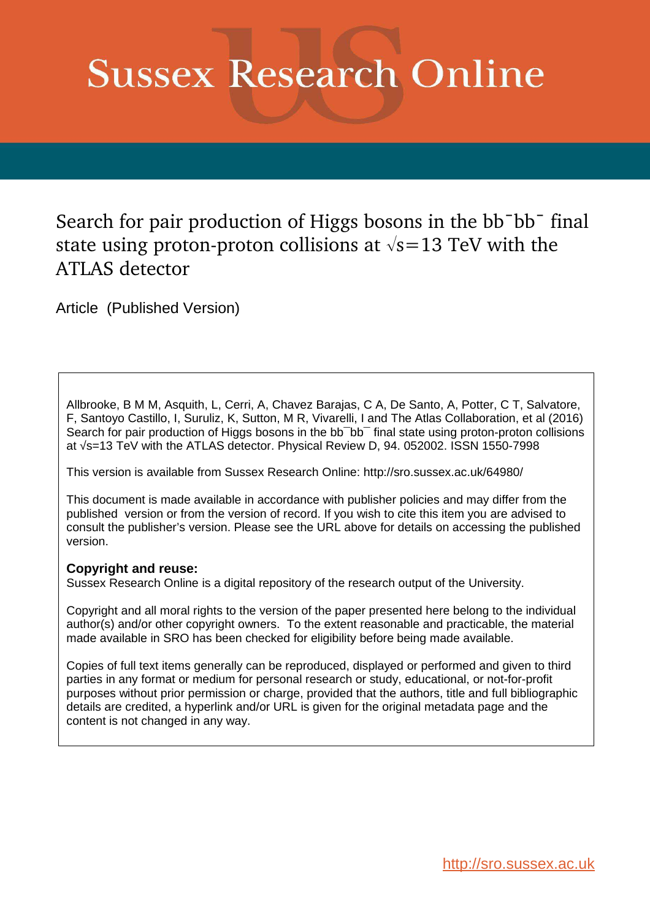# **Sussex Research Online**

# Search for pair production of Higgs bosons in the bb<sup>-</sup>bb<sup>-</sup> final state using proton-proton collisions at  $\sqrt{s}=13$  TeV with the ATLAS detector

Article (Published Version)

Allbrooke, B M M, Asquith, L, Cerri, A, Chavez Barajas, C A, De Santo, A, Potter, C T, Salvatore, F, Santoyo Castillo, I, Suruliz, K, Sutton, M R, Vivarelli, I and The Atlas Collaboration, et al (2016) Search for pair production of Higgs bosons in the  $bb<sup>-</sup>$  final state using proton-proton collisions at √s=13 TeV with the ATLAS detector. Physical Review D, 94. 052002. ISSN 1550-7998

This version is available from Sussex Research Online: http://sro.sussex.ac.uk/64980/

This document is made available in accordance with publisher policies and may differ from the published version or from the version of record. If you wish to cite this item you are advised to consult the publisher's version. Please see the URL above for details on accessing the published version.

## **Copyright and reuse:**

Sussex Research Online is a digital repository of the research output of the University.

Copyright and all moral rights to the version of the paper presented here belong to the individual author(s) and/or other copyright owners. To the extent reasonable and practicable, the material made available in SRO has been checked for eligibility before being made available.

Copies of full text items generally can be reproduced, displayed or performed and given to third parties in any format or medium for personal research or study, educational, or not-for-profit purposes without prior permission or charge, provided that the authors, title and full bibliographic details are credited, a hyperlink and/or URL is given for the original metadata page and the content is not changed in any way.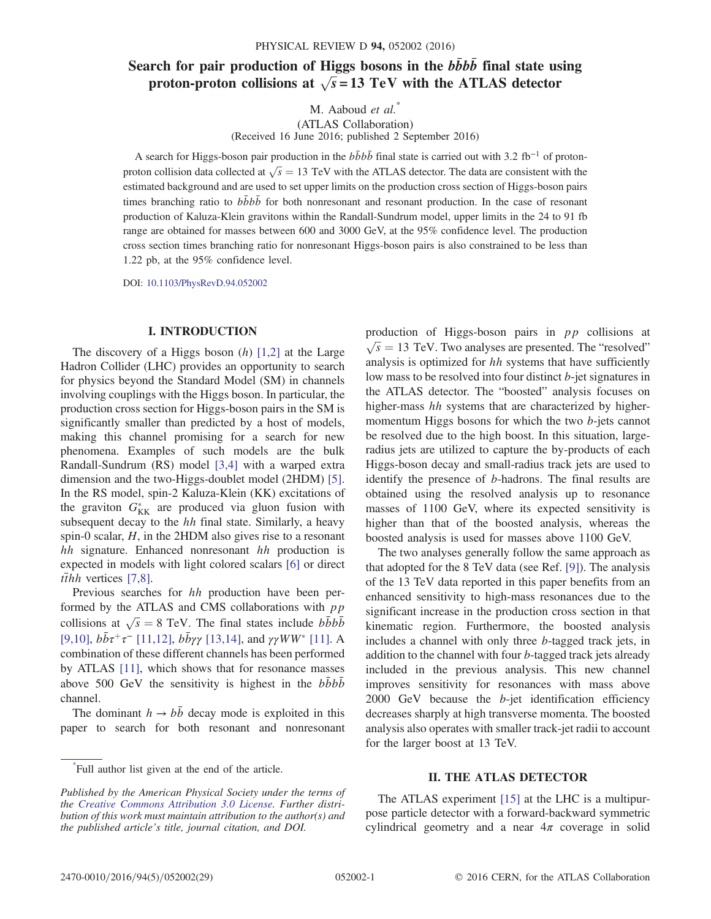# Search for pair production of Higgs bosons in the  $b\bar{b}b\bar{b}$  final state using proton-proton collisions at  $\sqrt{s}$  = 13 TeV with the ATLAS detector

M. Aaboud et al.<sup>\*</sup>

(ATLAS Collaboration) (Received 16 June 2016; published 2 September 2016)

A search for Higgs-boson pair production in the  $b\bar{b}b\bar{b}$  final state is carried out with 3.2 fb<sup>-1</sup> of protonproton collision data collected at  $\sqrt{s} = 13$  TeV with the ATLAS detector. The data are consistent with the estimated background and are used to set upper limits on the production cross section of Higgs-boson pairs times branching ratio to  $b\bar{b}b\bar{b}$  for both nonresonant and resonant production. In the case of resonant production of Kaluza-Klein gravitons within the Randall-Sundrum model, upper limits in the 24 to 91 fb range are obtained for masses between 600 and 3000 GeV, at the 95% confidence level. The production cross section times branching ratio for nonresonant Higgs-boson pairs is also constrained to be less than 1.22 pb, at the 95% confidence level.

DOI: [10.1103/PhysRevD.94.052002](http://dx.doi.org/10.1103/PhysRevD.94.052002)

#### I. INTRODUCTION

<span id="page-1-0"></span>The discovery of a Higgs boson  $(h)$  [\[1,2\]](#page-13-0) at the Large Hadron Collider (LHC) provides an opportunity to search for physics beyond the Standard Model (SM) in channels involving couplings with the Higgs boson. In particular, the production cross section for Higgs-boson pairs in the SM is significantly smaller than predicted by a host of models, making this channel promising for a search for new phenomena. Examples of such models are the bulk Randall-Sundrum (RS) model [\[3,4\]](#page-13-1) with a warped extra dimension and the two-Higgs-doublet model (2HDM) [\[5\]](#page-13-2). In the RS model, spin-2 Kaluza-Klein (KK) excitations of the graviton  $G^*_{\text{KK}}$  are produced via gluon fusion with subsequent decay to the hh final state. Similarly, a heavy spin-0 scalar,  $H$ , in the 2HDM also gives rise to a resonant hh signature. Enhanced nonresonant hh production is expected in models with light colored scalars [\[6\]](#page-13-3) or direct *t* $\bar{t}$ *hh* vertices [\[7,8\]](#page-13-4).

Previous searches for hh production have been performed by the ATLAS and CMS collaborations with  $pp$ collisions at  $\sqrt{s} = 8$  TeV. The final states include  $b\overrightarrow{b}b\overrightarrow{b}$ [\[9,10\]](#page-13-5),  $b\bar{b}\tau^{+}\tau^{-}$  [\[11,12\],](#page-13-6)  $b\bar{b}\gamma\gamma$  [\[13,14\],](#page-13-7) and  $\gamma\gamma WW^{*}$  [\[11\].](#page-13-6) A combination of these different channels has been performed by ATLAS [\[11\]](#page-13-6), which shows that for resonance masses above 500 GeV the sensitivity is highest in the  $b\bar{b}b\bar{b}$ channel.

The dominant  $h \rightarrow bb$  decay mode is exploited in this paper to search for both resonant and nonresonant production of Higgs-boson pairs in pp collisions at  $\sqrt{s}$  = 13 TeV. Two analyses are presented. The "resolved" analysis is optimized for hh systems that have sufficiently low mass to be resolved into four distinct b-jet signatures in the ATLAS detector. The "boosted" analysis focuses on higher-mass hh systems that are characterized by highermomentum Higgs bosons for which the two b-jets cannot be resolved due to the high boost. In this situation, largeradius jets are utilized to capture the by-products of each Higgs-boson decay and small-radius track jets are used to identify the presence of b-hadrons. The final results are obtained using the resolved analysis up to resonance masses of 1100 GeV, where its expected sensitivity is higher than that of the boosted analysis, whereas the boosted analysis is used for masses above 1100 GeV.

The two analyses generally follow the same approach as that adopted for the 8 TeV data (see Ref. [\[9\]](#page-13-5)). The analysis of the 13 TeV data reported in this paper benefits from an enhanced sensitivity to high-mass resonances due to the significant increase in the production cross section in that kinematic region. Furthermore, the boosted analysis includes a channel with only three b-tagged track jets, in addition to the channel with four b-tagged track jets already included in the previous analysis. This new channel improves sensitivity for resonances with mass above  $2000$  GeV because the  $b$ -jet identification efficiency decreases sharply at high transverse momenta. The boosted analysis also operates with smaller track-jet radii to account for the larger boost at 13 TeV.

#### II. THE ATLAS DETECTOR

The ATLAS experiment [\[15\]](#page-14-0) at the LHC is a multipurpose particle detector with a forward-backward symmetric cylindrical geometry and a near  $4\pi$  coverage in solid

<sup>\*</sup> Full author list given at the end of the article.

Published by the American Physical Society under the terms of the [Creative Commons Attribution 3.0 License.](http://creativecommons.org/licenses/by/3.0/) Further distribution of this work must maintain attribution to the author(s) and the published article's title, journal citation, and DOI.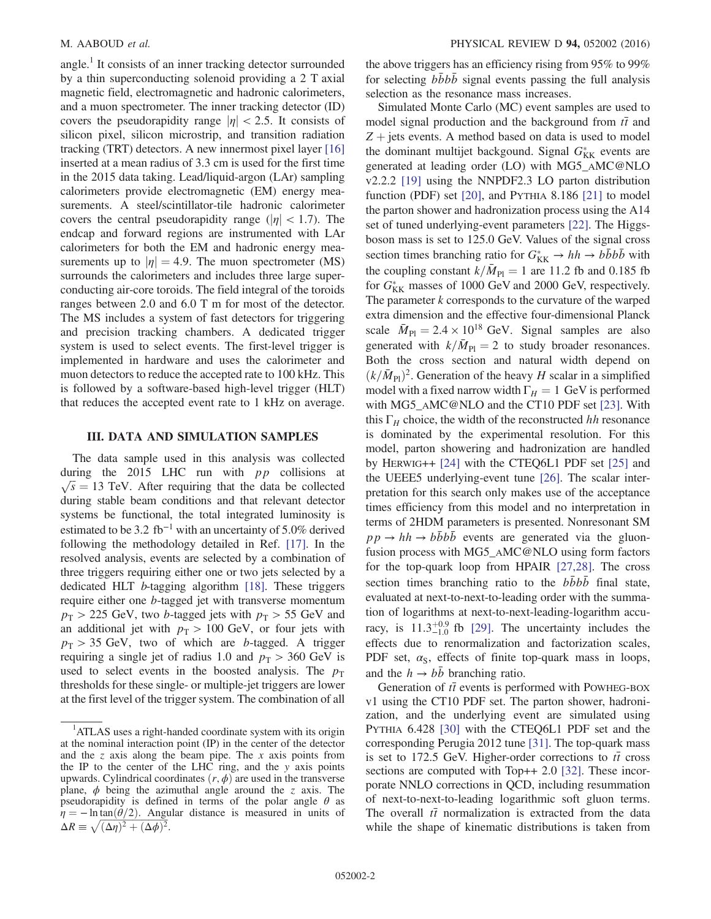angle.<sup>1</sup> It consists of an inner tracking detector surrounded by a thin superconducting solenoid providing a 2 T axial magnetic field, electromagnetic and hadronic calorimeters, and a muon spectrometer. The inner tracking detector (ID) covers the pseudorapidity range  $|\eta| < 2.5$ . It consists of silicon pixel, silicon microstrip, and transition radiation tracking (TRT) detectors. A new innermost pixel layer [\[16\]](#page-14-1) inserted at a mean radius of 3.3 cm is used for the first time in the 2015 data taking. Lead/liquid-argon (LAr) sampling calorimeters provide electromagnetic (EM) energy measurements. A steel/scintillator-tile hadronic calorimeter covers the central pseudorapidity range ( $|\eta|$  < 1.7). The endcap and forward regions are instrumented with LAr calorimeters for both the EM and hadronic energy measurements up to  $|\eta| = 4.9$ . The muon spectrometer (MS) surrounds the calorimeters and includes three large superconducting air-core toroids. The field integral of the toroids ranges between 2.0 and 6.0 T m for most of the detector. The MS includes a system of fast detectors for triggering and precision tracking chambers. A dedicated trigger system is used to select events. The first-level trigger is implemented in hardware and uses the calorimeter and muon detectors to reduce the accepted rate to 100 kHz. This is followed by a software-based high-level trigger (HLT) that reduces the accepted event rate to 1 kHz on average.

#### III. DATA AND SIMULATION SAMPLES

The data sample used in this analysis was collected during the 2015 LHC run with  $pp$  collisions at  $\sqrt{s}$  = 13 TeV. After requiring that the data be collected during stable beam conditions and that relevant detector systems be functional, the total integrated luminosity is estimated to be 3.2 fb<sup>-1</sup> with an uncertainty of 5.0% derived following the methodology detailed in Ref. [\[17\]](#page-14-2). In the resolved analysis, events are selected by a combination of three triggers requiring either one or two jets selected by a dedicated HLT b-tagging algorithm [\[18\].](#page-14-3) These triggers require either one b-tagged jet with transverse momentum  $p_{\rm T} > 225$  GeV, two *b*-tagged jets with  $p_{\rm T} > 55$  GeV and an additional jet with  $p_T > 100$  GeV, or four jets with  $p_T > 35$  GeV, two of which are b-tagged. A trigger requiring a single jet of radius 1.0 and  $p_T > 360$  GeV is used to select events in the boosted analysis. The  $p_T$ thresholds for these single- or multiple-jet triggers are lower at the first level of the trigger system. The combination of all the above triggers has an efficiency rising from 95% to 99% for selecting *bbbb* signal events passing the full analysis selection as the resonance mass increases.

Simulated Monte Carlo (MC) event samples are used to model signal production and the background from  $t\bar{t}$  and  $Z +$  jets events. A method based on data is used to model the dominant multijet backgound. Signal  $G^*_{\text{KK}}$  events are generated at leading order (LO) with MG5\_AMC@NLO v2.2.2 [\[19\]](#page-14-4) using the NNPDF2.3 LO parton distribution function (PDF) set [\[20\],](#page-14-5) and PYTHIA 8.186 [\[21\]](#page-14-6) to model the parton shower and hadronization process using the A14 set of tuned underlying-event parameters [\[22\].](#page-14-7) The Higgsboson mass is set to 125.0 GeV. Values of the signal cross section times branching ratio for  $G_{KK}^* \to hh \to b\bar{b}b\bar{b}$  with the coupling constant  $k/\bar{M}_{\text{Pl}} = 1$  are 11.2 fb and 0.185 fb for  $G^*_{\text{KK}}$  masses of 1000 GeV and 2000 GeV, respectively. The parameter  $k$  corresponds to the curvature of the warped extra dimension and the effective four-dimensional Planck scale  $\bar{M}_{\text{Pl}} = 2.4 \times 10^{18} \text{ GeV}$ . Signal samples are also generated with  $k/\bar{M}_{\text{Pl}} = 2$  to study broader resonances. Both the cross section and natural width depend on  $(k/\bar{M}_{\text{Pl}})^2$ . Generation of the heavy H scalar in a simplified model with a fixed narrow width  $\Gamma_H = 1$  GeV is performed with MG5\_AMC@NLO and the CT10 PDF set [\[23\]](#page-14-8). With this  $\Gamma_H$  choice, the width of the reconstructed hh resonance is dominated by the experimental resolution. For this model, parton showering and hadronization are handled by HERWIG++ [\[24\]](#page-14-9) with the CTEQ6L1 PDF set [\[25\]](#page-14-10) and the UEEE5 underlying-event tune [\[26\]](#page-14-11). The scalar interpretation for this search only makes use of the acceptance times efficiency from this model and no interpretation in terms of 2HDM parameters is presented. Nonresonant SM  $pp \rightarrow hh \rightarrow b\bar{b}b\bar{b}$  events are generated via the gluonfusion process with MG5\_AMC@NLO using form factors for the top-quark loop from HPAIR [\[27,28\].](#page-14-12) The cross section times branching ratio to the  $b\bar{b}b\bar{b}$  final state, evaluated at next-to-next-to-leading order with the summation of logarithms at next-to-next-leading-logarithm accuracy, is  $11.3^{+0.9}_{-1.0}$  fb [\[29\].](#page-14-13) The uncertainty includes the effects due to renormalization and factorization scales, PDF set,  $\alpha_S$ , effects of finite top-quark mass in loops, and the  $h \to b\bar{b}$  branching ratio.

Generation of  $t\bar{t}$  events is performed with POWHEG-BOX v1 using the CT10 PDF set. The parton shower, hadronization, and the underlying event are simulated using PYTHIA 6.428 [\[30\]](#page-14-14) with the CTEQ6L1 PDF set and the corresponding Perugia 2012 tune [\[31\]](#page-14-15). The top-quark mass is set to 172.5 GeV. Higher-order corrections to  $t\bar{t}$  cross sections are computed with Top++ 2.0 [\[32\].](#page-14-16) These incorporate NNLO corrections in QCD, including resummation of next-to-next-to-leading logarithmic soft gluon terms. The overall  $t\bar{t}$  normalization is extracted from the data while the shape of kinematic distributions is taken from

<sup>&</sup>lt;sup>1</sup>ATLAS uses a right-handed coordinate system with its origin at the nominal interaction point (IP) in the center of the detector and the z axis along the beam pipe. The  $x$  axis points from the IP to the center of the LHC ring, and the y axis points upwards. Cylindrical coordinates  $(r, \phi)$  are used in the transverse plane,  $\phi$  being the azimuthal angle around the z axis. The pseudorapidity is defined in terms of the polar angle  $\theta$  as  $\eta = -\ln \tan(\theta/2)$ . Angular distance is measured in units of  $\Delta R \equiv \sqrt{(\Delta \eta)^2 + (\Delta \phi)^2}.$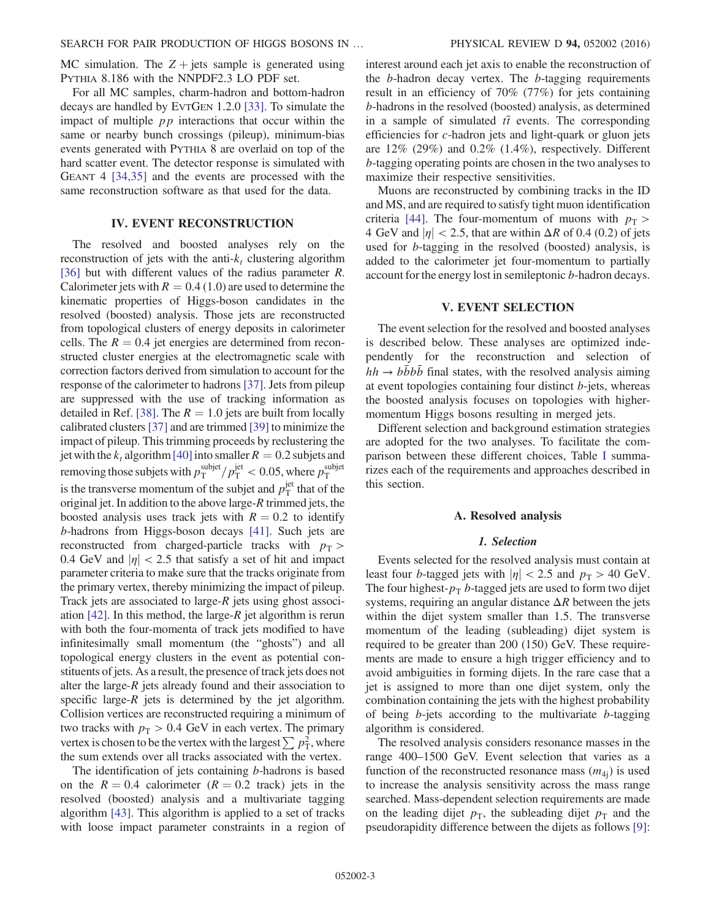<span id="page-3-0"></span>MC simulation. The  $Z + \text{jets}$  sample is generated using PYTHIA 8.186 with the NNPDF2.3 LO PDF set.

For all MC samples, charm-hadron and bottom-hadron decays are handled by EVTGEN 1.2.0 [\[33\]](#page-14-17). To simulate the impact of multiple  $pp$  interactions that occur within the same or nearby bunch crossings (pileup), minimum-bias events generated with PYTHIA 8 are overlaid on top of the hard scatter event. The detector response is simulated with GEANT 4 [\[34,35\]](#page-14-18) and the events are processed with the same reconstruction software as that used for the data.

## IV. EVENT RECONSTRUCTION

The resolved and boosted analyses rely on the reconstruction of jets with the anti- $k_t$  clustering algorithm [\[36\]](#page-14-19) but with different values of the radius parameter R. Calorimeter jets with  $R = 0.4$  (1.0) are used to determine the kinematic properties of Higgs-boson candidates in the resolved (boosted) analysis. Those jets are reconstructed from topological clusters of energy deposits in calorimeter cells. The  $R = 0.4$  jet energies are determined from reconstructed cluster energies at the electromagnetic scale with correction factors derived from simulation to account for the response of the calorimeter to hadrons [\[37\].](#page-14-20) Jets from pileup are suppressed with the use of tracking information as detailed in Ref. [\[38\]](#page-14-21). The  $R = 1.0$  jets are built from locally calibrated clusters [\[37\]](#page-14-20) and are trimmed [\[39\]](#page-14-22) to minimize the impact of pileup. This trimming proceeds by reclustering the jet with the  $k_t$  algorithm [\[40\]](#page-14-23) into smaller  $R = 0.2$  subjets and removing those subjets with  $p_T^{\text{subject}}/p_T^{\text{jet}} < 0.05$ , where  $p_T^{\text{subject}}$ is the transverse momentum of the subjet and  $p_T^{\text{jet}}$  $T<sub>T</sub><sup>jet</sup>$  that of the original jet. In addition to the above large-R trimmed jets, the boosted analysis uses track jets with  $R = 0.2$  to identify b-hadrons from Higgs-boson decays [\[41\].](#page-14-24) Such jets are reconstructed from charged-particle tracks with  $p_T >$ 0.4 GeV and  $|\eta|$  < 2.5 that satisfy a set of hit and impact parameter criteria to make sure that the tracks originate from the primary vertex, thereby minimizing the impact of pileup. Track jets are associated to large- $R$  jets using ghost associ--ation [\[42\]](#page-14-25). In this method, the large- $R$  jet algorithm is rerun with both the four-momenta of track jets modified to have infinitesimally small momentum (the "ghosts") and all topological energy clusters in the event as potential constituents of jets. As a result, the presence of track jets does not alter the large- $R$  jets already found and their association to specific large- $R$  jets is determined by the jet algorithm. Collision vertices are reconstructed requiring a minimum of two tracks with  $p_T > 0.4$  GeV in each vertex. The primary vertex is chosen to be the vertex with the largest  $\sum p_{\rm T}^2$ , where the sum extends over all tracks associated with the vertex.

The identification of jets containing *b*-hadrons is based on the  $R = 0.4$  calorimeter  $(R = 0.2$  track) jets in the resolved (boosted) analysis and a multivariate tagging algorithm [\[43\].](#page-14-26) This algorithm is applied to a set of tracks with loose impact parameter constraints in a region of interest around each jet axis to enable the reconstruction of the b-hadron decay vertex. The b-tagging requirements result in an efficiency of 70% (77%) for jets containing b-hadrons in the resolved (boosted) analysis, as determined in a sample of simulated  $t\bar{t}$  events. The corresponding efficiencies for c-hadron jets and light-quark or gluon jets are  $12\%$  (29%) and  $0.2\%$  (1.4%), respectively. Different b-tagging operating points are chosen in the two analyses to maximize their respective sensitivities.

Muons are reconstructed by combining tracks in the ID and MS, and are required to satisfy tight muon identification criteria [\[44\]](#page-14-27). The four-momentum of muons with  $p_T >$ 4 GeV and  $|\eta|$  < 2.5, that are within  $\Delta R$  of 0.4 (0.2) of jets used for b-tagging in the resolved (boosted) analysis, is added to the calorimeter jet four-momentum to partially account for the energy lost in semileptonic b-hadron decays.

#### V. EVENT SELECTION

The event selection for the resolved and boosted analyses is described below. These analyses are optimized independently for the reconstruction and selection of  $hh \rightarrow b\bar{b}b\bar{b}$  final states, with the resolved analysis aiming at event topologies containing four distinct  $b$ -jets, whereas the boosted analysis focuses on topologies with highermomentum Higgs bosons resulting in merged jets.

Different selection and background estimation strategies are adopted for the two analyses. To facilitate the comparison between these different choices, Table [I](#page-3-0) summarizes each of the requirements and approaches described in this section.

#### A. Resolved analysis

#### 1. Selection

Events selected for the resolved analysis must contain at least four *b*-tagged jets with  $|\eta| < 2.5$  and  $p_T > 40$  GeV. The four highest- $p_T$  b-tagged jets are used to form two dijet systems, requiring an angular distance  $\Delta R$  between the jets within the dijet system smaller than 1.5. The transverse momentum of the leading (subleading) dijet system is required to be greater than 200 (150) GeV. These requirements are made to ensure a high trigger efficiency and to avoid ambiguities in forming dijets. In the rare case that a jet is assigned to more than one dijet system, only the combination containing the jets with the highest probability of being  $b$ -jets according to the multivariate  $b$ -tagging algorithm is considered.

The resolved analysis considers resonance masses in the range 400–1500 GeV. Event selection that varies as a function of the reconstructed resonance mass  $(m_{4j})$  is used to increase the analysis sensitivity across the mass range searched. Mass-dependent selection requirements are made on the leading dijet  $p<sub>T</sub>$ , the subleading dijet  $p<sub>T</sub>$  and the pseudorapidity difference between the dijets as follows [\[9\]](#page-13-5):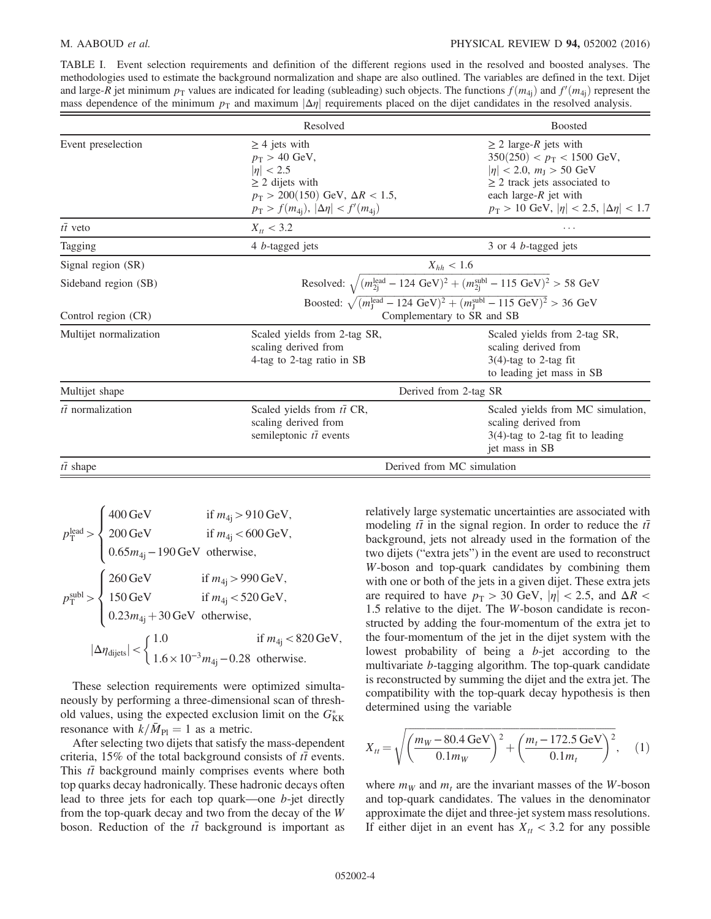TABLE I. Event selection requirements and definition of the different regions used in the resolved and boosted analyses. The methodologies used to estimate the background normalization and shape are also outlined. The variables are defined in the text. Dijet and large-R jet minimum  $p_T$  values are indicated for leading (subleading) such objects. The functions  $f(m_{4j})$  and  $f'(m_{4j})$  represent the mass dependence of the minimum  $p<sub>T</sub>$  and maximum  $|\Delta \eta|$  requirements placed on the dijet candidates in the resolved analysis.

<span id="page-4-1"></span>

|                          | Resolved                                                                                                                                                                                                          | <b>Boosted</b>                                                                                                                                                                                                                  |  |
|--------------------------|-------------------------------------------------------------------------------------------------------------------------------------------------------------------------------------------------------------------|---------------------------------------------------------------------------------------------------------------------------------------------------------------------------------------------------------------------------------|--|
| Event preselection       | $\geq$ 4 jets with<br>$p_{\rm T} > 40 \text{ GeV},$<br>$ \eta $ < 2.5<br>$\geq$ 2 dijets with<br>$p_T > 200(150)$ GeV, $\Delta R < 1.5$ ,<br>$p_{\rm T} > f(m_{4\rm i}),  \Delta \eta  < f'(m_{4\rm i})$          | $\geq$ 2 large- <i>R</i> jets with<br>$350(250) < p_T < 1500$ GeV,<br>$ \eta $ < 2.0, $m_J > 50$ GeV<br>$\geq$ 2 track jets associated to<br>each large- $R$ jet with<br>$p_T > 10$ GeV, $ \eta  < 2.5$ , $ \Delta \eta  < 1.7$ |  |
| $t\bar{t}$ veto          | $X_{tt}$ < 3.2                                                                                                                                                                                                    | $\cdots$                                                                                                                                                                                                                        |  |
| Tagging                  | 4 <i>b</i> -tagged jets                                                                                                                                                                                           | 3 or 4 <i>b</i> -tagged jets                                                                                                                                                                                                    |  |
| Signal region (SR)       |                                                                                                                                                                                                                   | $X_{hh}$ < 1.6                                                                                                                                                                                                                  |  |
| Sideband region (SB)     | Resolved: $\sqrt{(m_{2j}^{\text{lead}} - 124 \text{ GeV})^2 + (m_{2j}^{\text{sub}} - 115 \text{ GeV})^2} > 58 \text{ GeV}$                                                                                        |                                                                                                                                                                                                                                 |  |
| Control region (CR)      | Boosted: $\sqrt{(m_1^{\text{lead}} - 124 \text{ GeV})^2 + (m_1^{\text{sub}} - 115 \text{ GeV})^2} > 36 \text{ GeV}$<br>Complementary to SR and SB                                                                 |                                                                                                                                                                                                                                 |  |
| Multijet normalization   | Scaled yields from 2-tag SR,<br>scaling derived from<br>4-tag to 2-tag ratio in SB                                                                                                                                | Scaled yields from 2-tag SR,<br>scaling derived from<br>$3(4)$ -tag to 2-tag fit<br>to leading jet mass in SB                                                                                                                   |  |
| Multijet shape           | Derived from 2-tag SR                                                                                                                                                                                             |                                                                                                                                                                                                                                 |  |
| $t\bar{t}$ normalization | Scaled yields from $t\bar{t}$ CR,<br>Scaled yields from MC simulation,<br>scaling derived from<br>scaling derived from<br>semileptonic $t\bar{t}$ events<br>$3(4)$ -tag to 2-tag fit to leading<br>jet mass in SB |                                                                                                                                                                                                                                 |  |
| $t\bar{t}$ shape         |                                                                                                                                                                                                                   | Derived from MC simulation                                                                                                                                                                                                      |  |

<span id="page-4-0"></span>

These selection requirements were optimized simultaneously by performing a three-dimensional scan of threshold values, using the expected exclusion limit on the  $G^*_{\text{KK}}$ resonance with  $k/\bar{M}_{\text{Pl}} = 1$  as a metric.

After selecting two dijets that satisfy the mass-dependent criteria, 15% of the total background consists of  $t\bar{t}$  events. This  $t\bar{t}$  background mainly comprises events where both top quarks decay hadronically. These hadronic decays often lead to three jets for each top quark—one b-jet directly from the top-quark decay and two from the decay of the W boson. Reduction of the  $t\bar{t}$  background is important as <span id="page-4-2"></span>relatively large systematic uncertainties are associated with modeling  $t\bar{t}$  in the signal region. In order to reduce the  $t\bar{t}$ background, jets not already used in the formation of the two dijets ("extra jets") in the event are used to reconstruct W-boson and top-quark candidates by combining them with one or both of the jets in a given dijet. These extra jets are required to have  $p_T > 30$  GeV,  $|\eta| < 2.5$ , and  $\Delta R <$ 1.5 relative to the dijet. The W-boson candidate is reconstructed by adding the four-momentum of the extra jet to the four-momentum of the jet in the dijet system with the lowest probability of being a b-jet according to the multivariate b-tagging algorithm. The top-quark candidate is reconstructed by summing the dijet and the extra jet. The compatibility with the top-quark decay hypothesis is then determined using the variable

$$
X_{tt} = \sqrt{\left(\frac{m_W - 80.4 \text{ GeV}}{0.1 m_W}\right)^2 + \left(\frac{m_t - 172.5 \text{ GeV}}{0.1 m_t}\right)^2},\quad(1)
$$

where  $m_W$  and  $m_t$  are the invariant masses of the W-boson and top-quark candidates. The values in the denominator approximate the dijet and three-jet system mass resolutions. If either dijet in an event has  $X_{tt}$  < 3.2 for any possible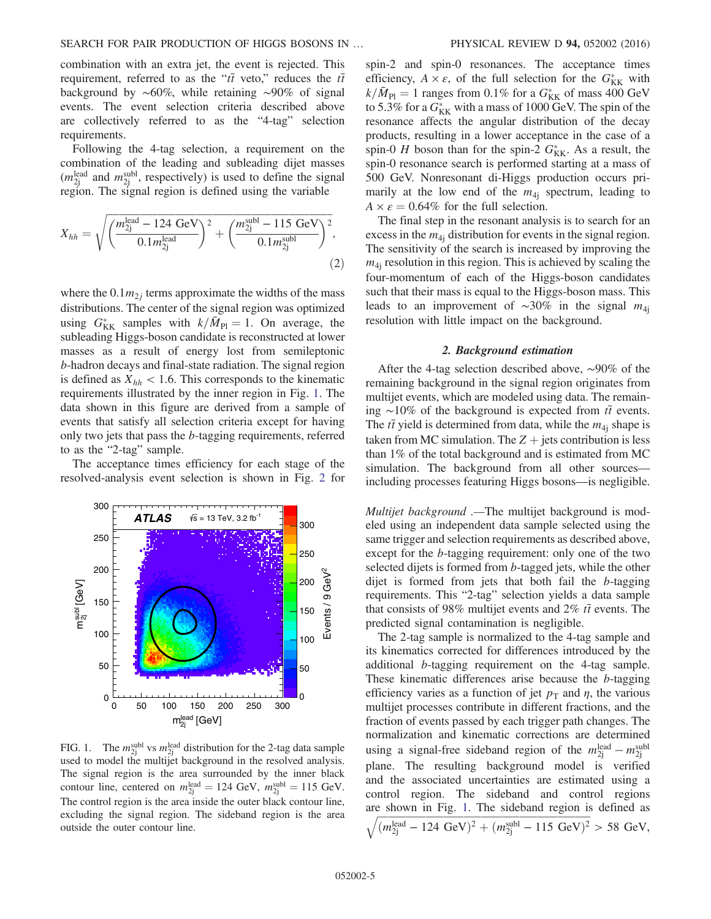<span id="page-5-0"></span>combination with an extra jet, the event is rejected. This requirement, referred to as the " $t\bar{t}$  veto," reduces the  $t\bar{t}$ background by ∼60%, while retaining ∼90% of signal events. The event selection criteria described above are collectively referred to as the "4-tag" selection requirements.

Following the 4-tag selection, a requirement on the combination of the leading and subleading dijet masses  $(m_{2j}^{\text{lead}})$  and  $m_{2j}^{\text{sub}}$ , respectively) is used to define the signal region. The signal region is defined using the variable

$$
X_{hh} = \sqrt{\left(\frac{m_{2j}^{\text{lead}} - 124 \text{ GeV}}{0.1 m_{2j}^{\text{lead}}}\right)^2 + \left(\frac{m_{2j}^{\text{sub}} - 115 \text{ GeV}}{0.1 m_{2j}^{\text{sub}}}\right)^2},\tag{2}
$$

where the  $0.1m_{2j}$  terms approximate the widths of the mass distributions. The center of the signal region was optimized using  $G_{\text{KK}}^*$  samples with  $k/\tilde{M}_{\text{Pl}} = 1$ . On average, the subleading Higgs-boson candidate is reconstructed at lower masses as a result of energy lost from semileptonic b-hadron decays and final-state radiation. The signal region is defined as  $X_{hh}$  < 1.6. This corresponds to the kinematic requirements illustrated by the inner region in Fig. [1.](#page-4-0) The data shown in this figure are derived from a sample of events that satisfy all selection criteria except for having only two jets that pass the b-tagging requirements, referred to as the "2-tag" sample.

<span id="page-5-3"></span>The acceptance times efficiency for each stage of the resolved-analysis event selection is shown in Fig. [2](#page-5-0) for



<span id="page-5-1"></span>FIG. 1. The  $m_{2j}^{\text{subl}}$  vs  $m_{2j}^{\text{lead}}$  distribution for the 2-tag data sample used to model the multijet background in the resolved analysis. The signal region is the area surrounded by the inner black contour line, centered on  $m_{2j}^{\text{lead}} = 124 \text{ GeV}, m_{2j}^{\text{sub}} = 115 \text{ GeV}.$ The control region is the area inside the outer black contour line, excluding the signal region. The sideband region is the area outside the outer contour line.

spin-2 and spin-0 resonances. The acceptance times efficiency,  $A \times \varepsilon$ , of the full selection for the  $G^*_{\text{KK}}$  with  $k/\bar{M}_{\text{Pl}} = 1$  ranges from 0.1% for a  $G_{\text{KK}}^*$  of mass 400 GeV to 5.3% for a  $G^*_{\rm KK}$  with a mass of 1000 GeV. The spin of the resonance affects the angular distribution of the decay products, resulting in a lower acceptance in the case of a spin-0 *H* boson than for the spin-2  $G^*_{\text{KK}}$ . As a result, the spin-0 resonance search is performed starting at a mass of 500 GeV. Nonresonant di-Higgs production occurs primarily at the low end of the  $m_{4j}$  spectrum, leading to  $A \times \varepsilon = 0.64\%$  for the full selection.

The final step in the resonant analysis is to search for an excess in the  $m_{4}$  distribution for events in the signal region. The sensitivity of the search is increased by improving the  $m_{4j}$  resolution in this region. This is achieved by scaling the four-momentum of each of the Higgs-boson candidates such that their mass is equal to the Higgs-boson mass. This leads to an improvement of ~30% in the signal  $m_{4i}$ resolution with little impact on the background.

#### 2. Background estimation

After the 4-tag selection described above, ∼90% of the remaining background in the signal region originates from multijet events, which are modeled using data. The remaining ∼10% of the background is expected from  $t\bar{t}$  events. The  $t\bar{t}$  yield is determined from data, while the  $m_{4j}$  shape is taken from MC simulation. The  $Z +$  jets contribution is less than 1% of the total background and is estimated from MC simulation. The background from all other sources including processes featuring Higgs bosons—is negligible.

<span id="page-5-2"></span>Multijet background .—The multijet background is modeled using an independent data sample selected using the same trigger and selection requirements as described above, except for the b-tagging requirement: only one of the two selected dijets is formed from b-tagged jets, while the other dijet is formed from jets that both fail the b-tagging requirements. This "2-tag" selection yields a data sample that consists of 98% multijet events and 2%  $t\bar{t}$  events. The predicted signal contamination is negligible.

The 2-tag sample is normalized to the 4-tag sample and its kinematics corrected for differences introduced by the additional b-tagging requirement on the 4-tag sample. These kinematic differences arise because the *b*-tagging efficiency varies as a function of jet  $p<sub>T</sub>$  and  $\eta$ , the various multijet processes contribute in different fractions, and the fraction of events passed by each trigger path changes. The normalization and kinematic corrections are determined using a signal-free sideband region of the  $m_{2j}^{\text{lead}} - m_{2j}^{\text{sub}}$ plane. The resulting background model is verified and the associated uncertainties are estimated using a control region. The sideband and control regions are shown in Fig. [1](#page-4-0). The sideband region is defined as  $\sqrt{(m_{2j}^{\text{lead}} - 124 \text{ GeV})^2 + (m_{2j}^{\text{sub}} - 115 \text{ GeV})^2} > 58 \text{ GeV},$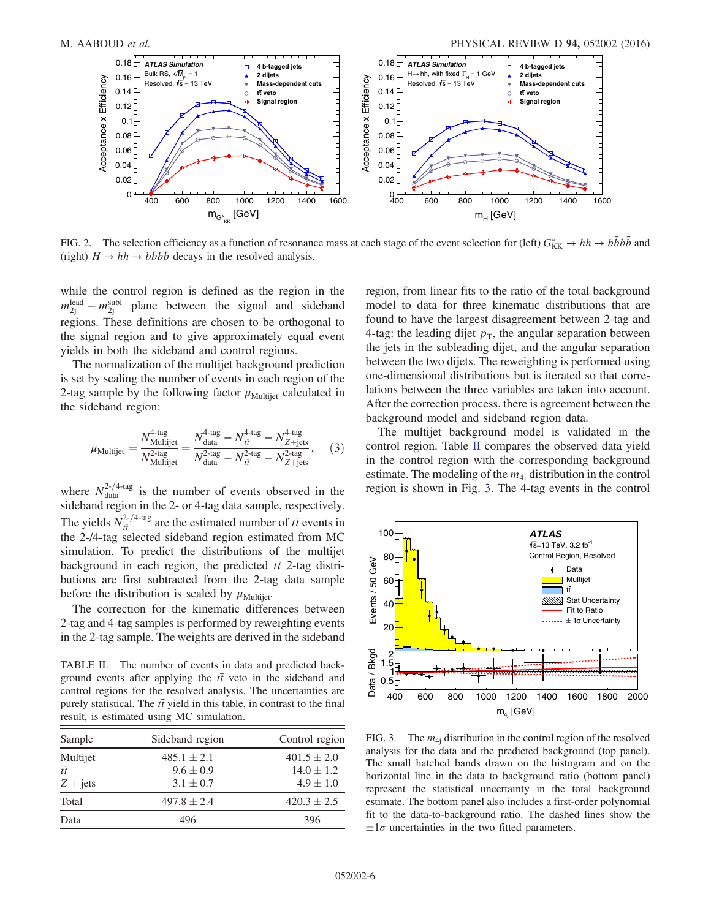

FIG. 2. The selection efficiency as a function of resonance mass at each stage of the event selection for (left)  $G_{KK}^* \to hh \to b\bar{b}b\bar{b}$  and (right)  $H \rightarrow hh \rightarrow b\bar{b}b\bar{b}$  decays in the resolved analysis.

<span id="page-6-0"></span>while the control region is defined as the region in the  $m_{2j}^{\text{lead}} - m_{2j}^{\text{sub}}$  plane between the signal and sideband regions. These definitions are chosen to be orthogonal to the signal region and to give approximately equal event yields in both the sideband and control regions.

The normalization of the multijet background prediction is set by scaling the number of events in each region of the 2-tag sample by the following factor  $\mu_{\text{Multilet}}$  calculated in the sideband region:

$$
\mu_{\text{Multijet}} = \frac{N_{\text{Multijet}}^{4\text{-tag}}}{N_{\text{Multijet}}^{2\text{-tag}}} = \frac{N_{\text{data}}^{4\text{-tag}} - N_{\bar{t}\bar{t}}^{4\text{-tag}} - N_{Z\text{-jets}}^{2\text{-tag}}}{N_{\text{Multijet}}^{2\text{-tag}} - N_{\bar{t}\bar{t}}^{2\text{-tag}} - N_{Z\text{-jets}}^{2\text{-tag}}}, \quad (3)
$$

where  $N_{\text{data}}^{2-}/4$ -tag is the number of events observed in the sideband region in the 2- or 4-tag data sample, respectively. The yields  $N_{\tilde{t} \tilde{t}}^{2-7/4\textrm{-tag}}$  are the estimated number of  $t\tilde{t}$  events in the 2-/4-tag selected sideband region estimated from MC simulation. To predict the distributions of the multijet background in each region, the predicted  $t\bar{t}$  2-tag distributions are first subtracted from the 2-tag data sample before the distribution is scaled by  $\mu_{\text{Multilet}}$ .

The correction for the kinematic differences between 2-tag and 4-tag samples is performed by reweighting events in the 2-tag sample. The weights are derived in the sideband

TABLE II. The number of events in data and predicted background events after applying the  $t\bar{t}$  veto in the sideband and control regions for the resolved analysis. The uncertainties are purely statistical. The  $t\bar{t}$  yield in this table, in contrast to the final result, is estimated using MC simulation.

| Sample                                    | Sideband region                                   | Control region                                     |
|-------------------------------------------|---------------------------------------------------|----------------------------------------------------|
| Multijet<br>$t\overline{t}$<br>$Z + jets$ | $485.1 \pm 2.1$<br>$9.6 \pm 0.9$<br>$3.1 \pm 0.7$ | $401.5 \pm 2.0$<br>$14.0 \pm 1.2$<br>$4.9 \pm 1.0$ |
| Total                                     | $497.8 \pm 2.4$                                   | $420.3 \pm 2.5$                                    |
| Data                                      | 496                                               | 396                                                |

<span id="page-6-1"></span>region, from linear fits to the ratio of the total background model to data for three kinematic distributions that are found to have the largest disagreement between 2-tag and 4-tag: the leading dijet  $p<sub>T</sub>$ , the angular separation between the jets in the subleading dijet, and the angular separation between the two dijets. The reweighting is performed using one-dimensional distributions but is iterated so that correlations between the three variables are taken into account. After the correction process, there is agreement between the background model and sideband region data.

The multijet background model is validated in the control region. Table [II](#page-5-1) compares the observed data yield in the control region with the corresponding background estimate. The modeling of the  $m_{4}$  distribution in the control region is shown in Fig. [3.](#page-5-2) The 4-tag events in the control



FIG. 3. The  $m_{4}$  distribution in the control region of the resolved analysis for the data and the predicted background (top panel). The small hatched bands drawn on the histogram and on the horizontal line in the data to background ratio (bottom panel) represent the statistical uncertainty in the total background estimate. The bottom panel also includes a first-order polynomial fit to the data-to-background ratio. The dashed lines show the  $\pm 1\sigma$  uncertainties in the two fitted parameters.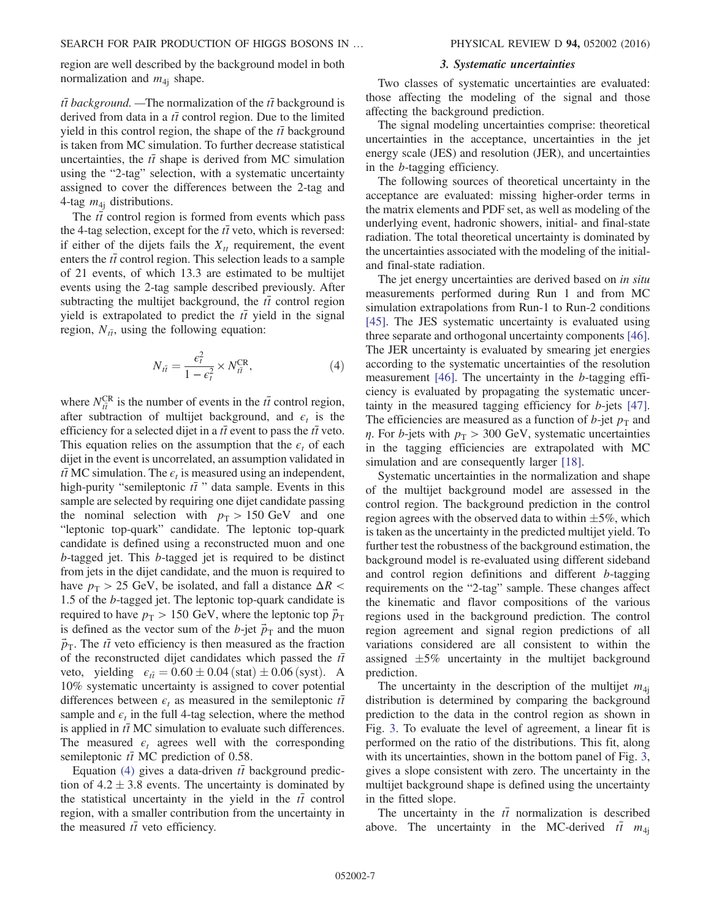<span id="page-7-0"></span>region are well described by the background model in both normalization and  $m_{4j}$  shape.

 $t\bar{t}$  background. —The normalization of the  $t\bar{t}$  background is derived from data in a  $t\bar{t}$  control region. Due to the limited yield in this control region, the shape of the  $t\bar{t}$  background is taken from MC simulation. To further decrease statistical uncertainties, the  $t\bar{t}$  shape is derived from MC simulation using the "2-tag" selection, with a systematic uncertainty assigned to cover the differences between the 2-tag and 4-tag  $m_{4}$  distributions.

The  $t\bar{t}$  control region is formed from events which pass the 4-tag selection, except for the  $t\bar{t}$  veto, which is reversed: if either of the dijets fails the  $X<sub>tt</sub>$  requirement, the event enters the  $t\bar{t}$  control region. This selection leads to a sample of 21 events, of which 13.3 are estimated to be multijet events using the 2-tag sample described previously. After subtracting the multijet background, the  $t\bar{t}$  control region yield is extrapolated to predict the  $t\bar{t}$  yield in the signal region,  $N_{t\bar{t}}$ , using the following equation:

$$
N_{t\bar{t}} = \frac{\epsilon_t^2}{1 - \epsilon_t^2} \times N_{t\bar{t}}^{\text{CR}},\tag{4}
$$

where  $N_{\tilde{t}}^{\text{CR}}$  is the number of events in the  $t\bar{t}$  control region, after subtraction of multijet background, and  $\epsilon_t$  is the efficiency for a selected dijet in a  $t\bar{t}$  event to pass the  $t\bar{t}$  veto. This equation relies on the assumption that the  $\epsilon_t$  of each dijet in the event is uncorrelated, an assumption validated in  $t\bar{t}$  MC simulation. The  $\epsilon_t$  is measured using an independent, high-purity "semileptonic  $t\bar{t}$ " data sample. Events in this sample are selected by requiring one dijet candidate passing the nominal selection with  $p_T > 150 \text{ GeV}$  and one "leptonic top-quark" candidate. The leptonic top-quark candidate is defined using a reconstructed muon and one b-tagged jet. This b-tagged jet is required to be distinct from jets in the dijet candidate, and the muon is required to have  $p_T > 25$  GeV, be isolated, and fall a distance  $\Delta R$  < 1.5 of the b-tagged jet. The leptonic top-quark candidate is required to have  $p_T > 150$  GeV, where the leptonic top  $\bar{p}_T$ is defined as the vector sum of the b-jet  $\vec{p}_T$  and the muon  $\vec{p}_T$ . The  $t\bar{t}$  veto efficiency is then measured as the fraction of the reconstructed dijet candidates which passed the  $t\bar{t}$ veto, yielding  $\epsilon_{t\bar{t}} = 0.60 \pm 0.04 \text{ (stat)} \pm 0.06 \text{ (syst)}$ . A 10% systematic uncertainty is assigned to cover potential differences between  $\epsilon_t$  as measured in the semileptonic  $t\bar{t}$ sample and  $\epsilon_t$  in the full 4-tag selection, where the method is applied in  $t\bar{t}$  MC simulation to evaluate such differences. The measured  $\epsilon_t$  agrees well with the corresponding semileptonic  $t\bar{t}$  MC prediction of 0.58.

<span id="page-7-1"></span>Equation [\(4\)](#page-6-0) gives a data-driven  $t\bar{t}$  background prediction of  $4.2 \pm 3.8$  events. The uncertainty is dominated by the statistical uncertainty in the yield in the  $t\bar{t}$  control region, with a smaller contribution from the uncertainty in the measured  $t\bar{t}$  veto efficiency.

#### 3. Systematic uncertainties

Two classes of systematic uncertainties are evaluated: those affecting the modeling of the signal and those affecting the background prediction.

The signal modeling uncertainties comprise: theoretical uncertainties in the acceptance, uncertainties in the jet energy scale (JES) and resolution (JER), and uncertainties in the b-tagging efficiency.

The following sources of theoretical uncertainty in the acceptance are evaluated: missing higher-order terms in the matrix elements and PDF set, as well as modeling of the underlying event, hadronic showers, initial- and final-state radiation. The total theoretical uncertainty is dominated by the uncertainties associated with the modeling of the initialand final-state radiation.

The jet energy uncertainties are derived based on in situ measurements performed during Run 1 and from MC simulation extrapolations from Run-1 to Run-2 conditions [\[45\]](#page-14-28). The JES systematic uncertainty is evaluated using three separate and orthogonal uncertainty components [\[46\]](#page-14-29). The JER uncertainty is evaluated by smearing jet energies according to the systematic uncertainties of the resolution measurement [\[46\].](#page-14-29) The uncertainty in the b-tagging efficiency is evaluated by propagating the systematic uncertainty in the measured tagging efficiency for b-jets [\[47\]](#page-14-30). The efficiencies are measured as a function of  $b$ -jet  $p<sub>T</sub>$  and  $\eta$ . For *b*-jets with  $p_T > 300$  GeV, systematic uncertainties in the tagging efficiencies are extrapolated with MC simulation and are consequently larger [\[18\].](#page-14-3)

<span id="page-7-2"></span>Systematic uncertainties in the normalization and shape of the multijet background model are assessed in the control region. The background prediction in the control region agrees with the observed data to within  $\pm 5\%$ , which is taken as the uncertainty in the predicted multijet yield. To further test the robustness of the background estimation, the background model is re-evaluated using different sideband and control region definitions and different b-tagging requirements on the "2-tag" sample. These changes affect the kinematic and flavor compositions of the various regions used in the background prediction. The control region agreement and signal region predictions of all variations considered are all consistent to within the assigned  $\pm 5\%$  uncertainty in the multijet background prediction.

The uncertainty in the description of the multijet  $m_{4i}$ distribution is determined by comparing the background prediction to the data in the control region as shown in Fig. [3.](#page-5-2) To evaluate the level of agreement, a linear fit is performed on the ratio of the distributions. This fit, along with its uncertainties, shown in the bottom panel of Fig. [3](#page-5-2), gives a slope consistent with zero. The uncertainty in the multijet background shape is defined using the uncertainty in the fitted slope.

The uncertainty in the  $t\bar{t}$  normalization is described above. The uncertainty in the MC-derived  $t\bar{t}$   $m_{4i}$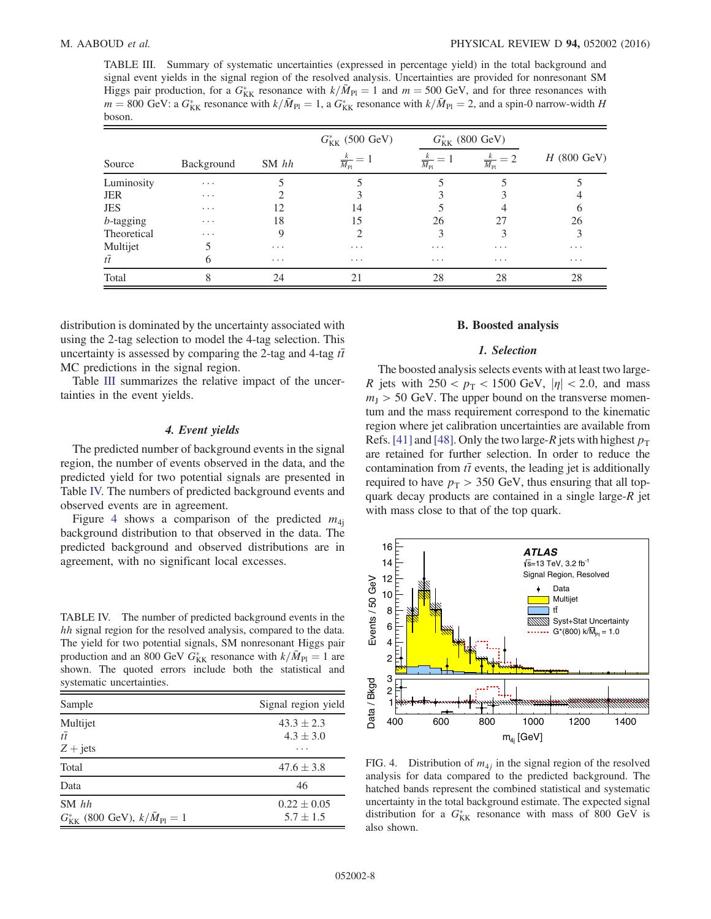<span id="page-8-0"></span>TABLE III. Summary of systematic uncertainties (expressed in percentage yield) in the total background and signal event yields in the signal region of the resolved analysis. Uncertainties are provided for nonresonant SM Higgs pair production, for a  $G_{KK}^*$  resonance with  $k/\bar{M}_{Pl} = 1$  and  $m = 500$  GeV, and for three resonances with  $m = 800 \text{ GeV}$ : a  $G_{\text{KK}}^*$  resonance with  $k/\bar{M}_{\text{Pl}} = 1$ , a  $G_{\text{KK}}^*$  resonance with  $k/\bar{M}_{\text{Pl}} = 2$ , and a spin-0 narrow-width H boson.

|                 | Background |          | $G_{KK}^*$ (500 GeV)                     | $G^*_{KK}$ (800 GeV)                             |                                          |                      |
|-----------------|------------|----------|------------------------------------------|--------------------------------------------------|------------------------------------------|----------------------|
| Source          |            | SM hh    | $\frac{k}{\overline{M}_{\text{Pl}}} = 1$ | $\frac{\kappa}{\frac{1}{2}} = 1$<br>$M_{\rm Pl}$ | $\frac{k}{\overline{M}_{\text{Pl}}}$ = 2 | $H(800 \text{ GeV})$ |
| Luminosity      | $\cdots$   |          |                                          |                                                  |                                          |                      |
| JER             | $\cdots$   |          |                                          |                                                  |                                          |                      |
| <b>JES</b>      | $\cdots$   | 12       | 14                                       |                                                  |                                          |                      |
| $b$ -tagging    | $\cdots$   | 18       | 15                                       | 26                                               | 27                                       | 26                   |
| Theoretical     | $\cdots$   | 9        | 2                                        | 3                                                |                                          | 3                    |
| Multijet        |            | $\cdots$ | $\cdot$ $\cdot$ $\cdot$                  | $\cdots$                                         | $\cdots$                                 | $\cdots$             |
| $t\overline{t}$ | h          | $\cdots$ | $\cdots$                                 | $\cdots$                                         | $\cdots$                                 | $\cdots$             |
| Total           |            | 24       | 21                                       | 28                                               | 28                                       | 28                   |

distribution is dominated by the uncertainty associated with using the 2-tag selection to model the 4-tag selection. This uncertainty is assessed by comparing the 2-tag and 4-tag  $t\bar{t}$ MC predictions in the signal region.

Table [III](#page-7-0) summarizes the relative impact of the uncertainties in the event yields.

#### 4. Event yields

The predicted number of background events in the signal region, the number of events observed in the data, and the predicted yield for two potential signals are presented in Table [IV.](#page-7-1) The numbers of predicted background events and observed events are in agreement.

Figure [4](#page-7-2) shows a comparison of the predicted  $m_{4i}$ background distribution to that observed in the data. The predicted background and observed distributions are in agreement, with no significant local excesses.

<span id="page-8-1"></span>TABLE IV. The number of predicted background events in the hh signal region for the resolved analysis, compared to the data. The yield for two potential signals, SM nonresonant Higgs pair production and an 800 GeV  $G_{\text{KK}}^*$  resonance with  $k/\bar{M}_{\text{Pl}} = 1$  are shown. The quoted errors include both the statistical and systematic uncertainties.

| Sample                                                            | Signal region yield                  |
|-------------------------------------------------------------------|--------------------------------------|
| Multijet<br>$t\overline{t}$<br>$Z + jets$                         | $43.3 \pm 2.3$<br>$4.3 \pm 3.0$<br>. |
| Total                                                             | $47.6 \pm 3.8$                       |
| Data                                                              | 46                                   |
| SM hh<br>$G_{\text{KK}}^*$ (800 GeV), $k/\bar{M}_{\text{Pl}} = 1$ | $0.22 \pm 0.05$<br>$5.7 \pm 1.5$     |

#### B. Boosted analysis

## 1. Selection

<span id="page-8-2"></span>The boosted analysis selects events with at least two large-*R* jets with  $250 < p_T < 1500$  GeV,  $|\eta| < 2.0$ , and mass  $m<sub>I</sub> > 50$  GeV. The upper bound on the transverse momentum and the mass requirement correspond to the kinematic region where jet calibration uncertainties are available from Refs. [\[41\]](#page-14-24) and [\[48\].](#page-14-31) Only the two large-R jets with highest  $p_T$ are retained for further selection. In order to reduce the contamination from  $t\bar{t}$  events, the leading jet is additionally required to have  $p_T > 350$  GeV, thus ensuring that all topquark decay products are contained in a single large-R jet with mass close to that of the top quark.



FIG. 4. Distribution of  $m_{4j}$  in the signal region of the resolved analysis for data compared to the predicted background. The hatched bands represent the combined statistical and systematic uncertainty in the total background estimate. The expected signal distribution for a  $G^*_{\text{KK}}$  resonance with mass of 800 GeV is also shown.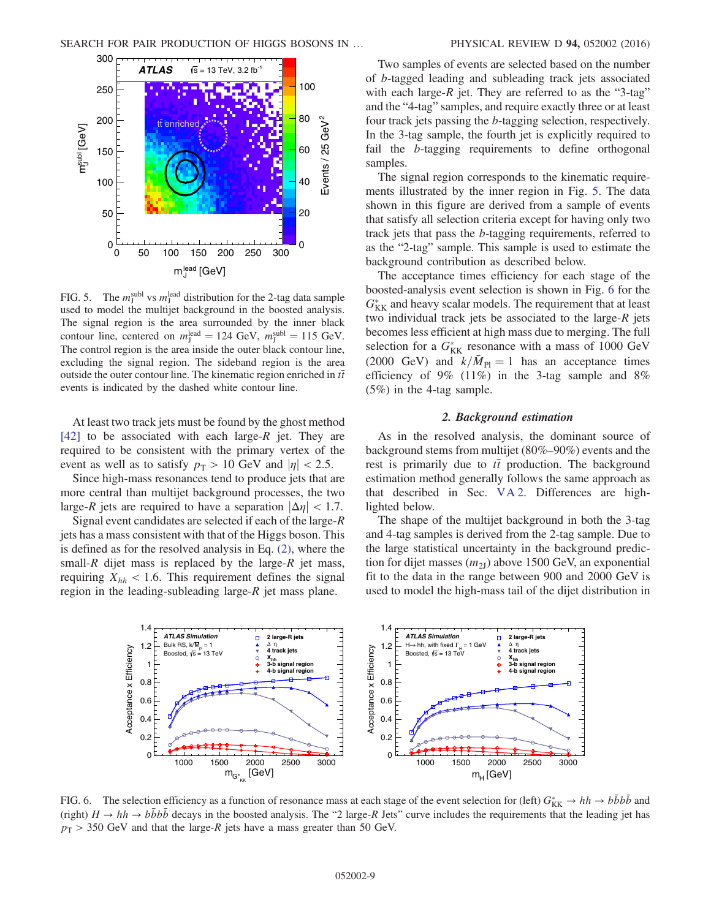<span id="page-9-0"></span>

FIG. 5. The  $m_j^{\text{subl}}$  vs  $m_j^{\text{lead}}$  distribution for the 2-tag data sample used to model the multijet background in the boosted analysis. The signal region is the area surrounded by the inner black contour line, centered on  $m_{\rm J}^{\rm lead} = 124$  GeV,  $m_{\rm J}^{\rm subl} = 115$  GeV. The control region is the area inside the outer black contour line, excluding the signal region. The sideband region is the area outside the outer contour line. The kinematic region enriched in  $t\bar{t}$ events is indicated by the dashed white contour line.

At least two track jets must be found by the ghost method [\[42\]](#page-14-25) to be associated with each large- $R$  jet. They are required to be consistent with the primary vertex of the event as well as to satisfy  $p_T > 10$  GeV and  $|\eta| < 2.5$ .

Since high-mass resonances tend to produce jets that are more central than multijet background processes, the two large-R jets are required to have a separation  $|\Delta \eta| < 1.7$ .

Signal event candidates are selected if each of the large-R jets has a mass consistent with that of the Higgs boson. This is defined as for the resolved analysis in Eq. [\(2\),](#page-4-1) where the small- $R$  dijet mass is replaced by the large- $R$  jet mass, requiring  $X_{hh}$  < 1.6. This requirement defines the signal region in the leading-subleading large- $R$  jet mass plane.

Two samples of events are selected based on the number of b-tagged leading and subleading track jets associated with each large- $R$  jet. They are referred to as the "3-tag" and the "4-tag" samples, and require exactly three or at least four track jets passing the b-tagging selection, respectively. In the 3-tag sample, the fourth jet is explicitly required to fail the *b*-tagging requirements to define orthogonal samples.

The signal region corresponds to the kinematic requirements illustrated by the inner region in Fig. [5.](#page-8-0) The data shown in this figure are derived from a sample of events that satisfy all selection criteria except for having only two track jets that pass the b-tagging requirements, referred to as the "2-tag" sample. This sample is used to estimate the background contribution as described below.

The acceptance times efficiency for each stage of the boosted-analysis event selection is shown in Fig. [6](#page-8-1) for the  $G^*_{\text{KK}}$  and heavy scalar models. The requirement that at least two individual track jets be associated to the large- $R$  jets becomes less efficient at high mass due to merging. The full selection for a  $G^*_{\text{KK}}$  resonance with a mass of 1000 GeV (2000 GeV) and  $k/\bar{M}_{\text{Pl}} = 1$  has an acceptance times efficiency of 9% (11%) in the 3-tag sample and 8% (5%) in the 4-tag sample.

#### 2. Background estimation

As in the resolved analysis, the dominant source of background stems from multijet (80%–90%) events and the rest is primarily due to  $t\bar{t}$  production. The background estimation method generally follows the same approach as that described in Sec. [VA 2.](#page-4-2) Differences are highlighted below.

<span id="page-9-1"></span>The shape of the multijet background in both the 3-tag and 4-tag samples is derived from the 2-tag sample. Due to the large statistical uncertainty in the background prediction for dijet masses  $(m_{2J})$  above 1500 GeV, an exponential fit to the data in the range between 900 and 2000 GeV is used to model the high-mass tail of the dijet distribution in



FIG. 6. The selection efficiency as a function of resonance mass at each stage of the event selection for (left)  $G_{KK}^* \to hh \to b\bar{b}b\bar{b}$  and (right)  $H \rightarrow hh \rightarrow bbbb$  decays in the boosted analysis. The "2 large-R Jets" curve includes the requirements that the leading jet has  $p<sub>T</sub> > 350$  GeV and that the large-R jets have a mass greater than 50 GeV.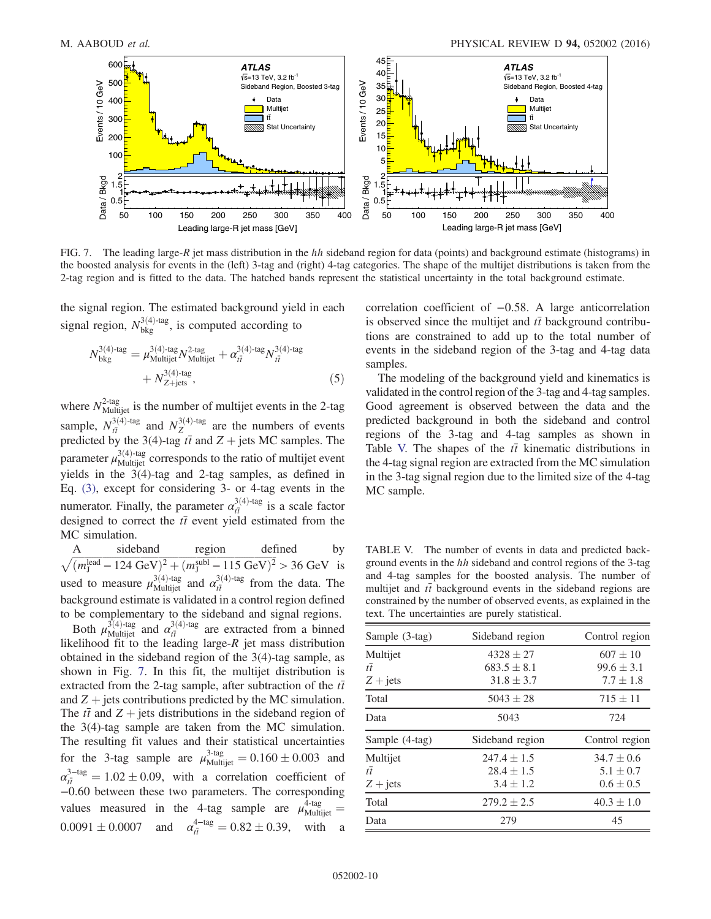<span id="page-10-0"></span>

FIG. 7. The leading large-R jet mass distribution in the  $hh$  sideband region for data (points) and background estimate (histograms) in the boosted analysis for events in the (left) 3-tag and (right) 4-tag categories. The shape of the multijet distributions is taken from the 2-tag region and is fitted to the data. The hatched bands represent the statistical uncertainty in the total background estimate.

the signal region. The estimated background yield in each signal region,  $N_{\text{bkg}}^{3(4)\text{-tag}}$ , is computed according to

$$
N_{\text{bkg}}^{3(4)\text{-tag}} = \mu_{\text{Multijet}}^{3(4)\text{-tag}} N_{\text{Multijet}}^{2\text{-tag}} + \alpha_{\bar{t}i}^{3(4)\text{-tag}} N_{\bar{t}i}^{3(4)\text{-tag}} + N_{Z+\text{jets}}^{3(4)\text{-tag}},
$$
\n(5)

where  $N_{\text{Multijet}}^{2\text{-tag}}$  is the number of multijet events in the 2-tag sample,  $N_{\overrightarrow{H}}^{3(4)-\text{tag}}$  and  $N_Z^{3(4)-\text{tag}}$  are the numbers of events predicted by the 3(4)-tag  $t\bar{t}$  and Z + jets MC samples. The parameter  $\mu_{\text{Multijet}}^{3(4)-\text{tag}}$  corresponds to the ratio of multijet event yields in the 3(4)-tag and 2-tag samples, as defined in Eq. [\(3\),](#page-5-3) except for considering 3- or 4-tag events in the numerator. Finally, the parameter  $\alpha_{\bar{t}}^{3(4)-\text{tag}}$  is a scale factor designed to correct the  $t\bar{t}$  event yield estimated from the MC simulation.

A sideband region defined by  $\sqrt{(m_{\rm J}^{\rm lead} - 124 \text{ GeV})^2 + (m_{\rm J}^{\rm subl} - 115 \text{ GeV})^2} > 36 \text{ GeV}$  is used to measure  $\mu_{\text{Multijet}}^{3(4)-\text{tag}}$  and  $\alpha_{t\bar{t}}^{3(4)-\text{tag}}$  from the data. The background estimate is validated in a control region defined to be complementary to the sideband and signal regions.

Both  $\mu_{\text{Multijet}}^{\mathfrak{Z}(4)-\text{tag}}$  and  $\alpha_{\tilde{t}}^{\mathfrak{Z}(4)-\text{tag}}$  are extracted from a binned likelihood fit to the leading large- $R$  jet mass distribution obtained in the sideband region of the 3(4)-tag sample, as shown in Fig. [7](#page-9-0). In this fit, the multijet distribution is extracted from the 2-tag sample, after subtraction of the  $t\bar{t}$ and  $Z +$  jets contributions predicted by the MC simulation. The  $t\bar{t}$  and  $Z +$  jets distributions in the sideband region of the 3(4)-tag sample are taken from the MC simulation. The resulting fit values and their statistical uncertainties for the 3-tag sample are  $\mu_{\text{Multijet}}^{3\text{-tag}} = 0.160 \pm 0.003$  and  $\alpha_{t\bar{t}}^{3-\text{tag}} = 1.02 \pm 0.09$ , with a correlation coefficient of −0.60 between these two parameters. The corresponding values measured in the 4-tag sample are  $\mu_{\text{Multijet}}^{\overline{4}\text{-tag}} =$  $0.0091 \pm 0.0007$  and  $\alpha_{t\bar{t}}^{4-\text{tag}} = 0.82 \pm 0.39$ , with a correlation coefficient of −0.58. A large anticorrelation is observed since the multijet and  $t\bar{t}$  background contributions are constrained to add up to the total number of events in the sideband region of the 3-tag and 4-tag data samples.

<span id="page-10-1"></span>The modeling of the background yield and kinematics is validated in the control region of the 3-tag and 4-tag samples. Good agreement is observed between the data and the predicted background in both the sideband and control regions of the 3-tag and 4-tag samples as shown in Table [V.](#page-9-1) The shapes of the  $t\bar{t}$  kinematic distributions in the 4-tag signal region are extracted from the MC simulation in the 3-tag signal region due to the limited size of the 4-tag MC sample.

TABLE V. The number of events in data and predicted background events in the hh sideband and control regions of the 3-tag and 4-tag samples for the boosted analysis. The number of multijet and  $t\bar{t}$  background events in the sideband regions are constrained by the number of observed events, as explained in the text. The uncertainties are purely statistical.

| Sample (3-tag)               | Sideband region                                    | Control region                                   |
|------------------------------|----------------------------------------------------|--------------------------------------------------|
| Multijet<br>tī<br>$Z + jets$ | $4328 \pm 27$<br>$683.5 \pm 8.1$<br>$31.8 \pm 3.7$ | $607 \pm 10$<br>$99.6 \pm 3.1$<br>$7.7 \pm 1.8$  |
| Total                        | $5043 \pm 28$                                      | $715 \pm 11$                                     |
| Data                         | 5043                                               | 724                                              |
| Sample (4-tag)               | Sideband region                                    | Control region                                   |
|                              |                                                    |                                                  |
| Multijet<br>tī<br>$Z + jets$ | $247.4 \pm 1.5$<br>$28.4 \pm 1.5$<br>$3.4 \pm 1.2$ | $34.7 \pm 0.6$<br>$5.1 \pm 0.7$<br>$0.6 \pm 0.5$ |
| Total                        | $279.2 \pm 2.5$                                    | $40.3 \pm 1.0$                                   |
| Data                         | 279                                                | 45                                               |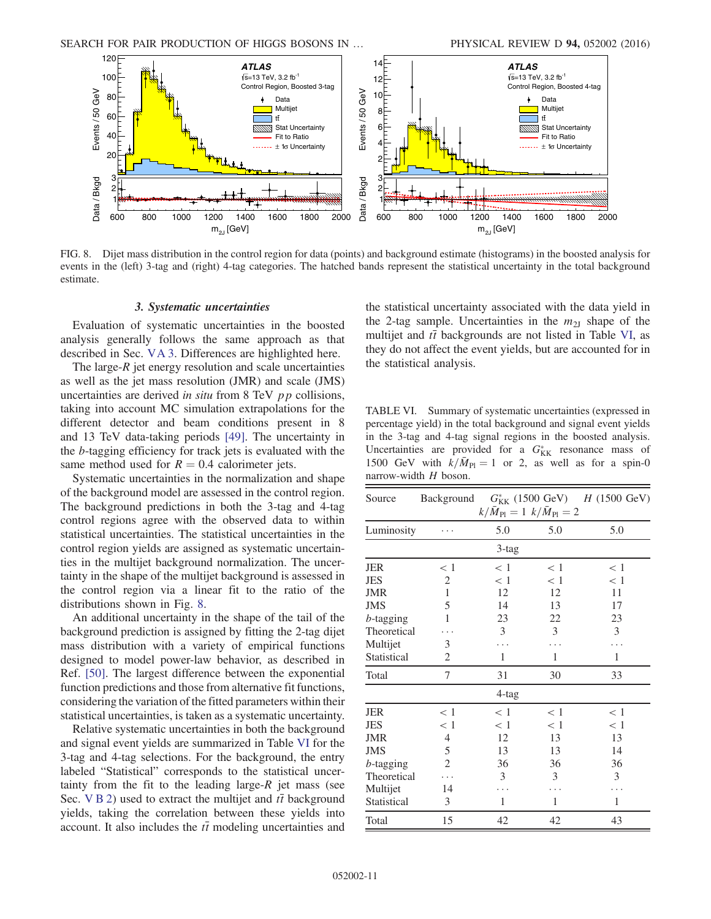<span id="page-11-0"></span>

FIG. 8. Dijet mass distribution in the control region for data (points) and background estimate (histograms) in the boosted analysis for events in the (left) 3-tag and (right) 4-tag categories. The hatched bands represent the statistical uncertainty in the total background estimate.

#### 3. Systematic uncertainties

Evaluation of systematic uncertainties in the boosted analysis generally follows the same approach as that described in Sec. [VA 3](#page-6-1). Differences are highlighted here.

The large- $R$  jet energy resolution and scale uncertainties as well as the jet mass resolution (JMR) and scale (JMS) uncertainties are derived *in situ* from 8 TeV *pp* collisions, taking into account MC simulation extrapolations for the different detector and beam conditions present in 8 and 13 TeV data-taking periods [\[49\].](#page-14-32) The uncertainty in the b-tagging efficiency for track jets is evaluated with the same method used for  $R = 0.4$  calorimeter jets.

Systematic uncertainties in the normalization and shape of the background model are assessed in the control region. The background predictions in both the 3-tag and 4-tag control regions agree with the observed data to within statistical uncertainties. The statistical uncertainties in the control region yields are assigned as systematic uncertainties in the multijet background normalization. The uncertainty in the shape of the multijet background is assessed in the control region via a linear fit to the ratio of the distributions shown in Fig. [8](#page-10-0).

<span id="page-11-1"></span>An additional uncertainty in the shape of the tail of the background prediction is assigned by fitting the 2-tag dijet mass distribution with a variety of empirical functions designed to model power-law behavior, as described in Ref. [\[50\].](#page-14-33) The largest difference between the exponential function predictions and those from alternative fit functions, considering the variation of the fitted parameters within their statistical uncertainties, is taken as a systematic uncertainty.

Relative systematic uncertainties in both the background and signal event yields are summarized in Table [VI](#page-10-1) for the 3-tag and 4-tag selections. For the background, the entry labeled "Statistical" corresponds to the statistical uncertainty from the fit to the leading large- $R$  jet mass (see Sec. V B 2) used to extract the multijet and  $t\bar{t}$  background yields, taking the correlation between these yields into account. It also includes the  $t\bar{t}$  modeling uncertainties and the statistical uncertainty associated with the data yield in the 2-tag sample. Uncertainties in the  $m_{2J}$  shape of the multijet and  $t\bar{t}$  backgrounds are not listed in Table [VI](#page-10-1), as they do not affect the event yields, but are accounted for in the statistical analysis.

TABLE VI. Summary of systematic uncertainties (expressed in percentage yield) in the total background and signal event yields in the 3-tag and 4-tag signal regions in the boosted analysis. Uncertainties are provided for a  $G^*_{\text{KK}}$  resonance mass of 1500 GeV with  $k/\bar{M}_{\text{Pl}} = 1$  or 2, as well as for a spin-0 narrow-width  $H$  boson.

| Source            | Background     | $k/\bar{M}_{\rm Pl} = 1 \ k/\bar{M}_{\rm Pl} = 2$ |                      | $G^*_{\text{KK}}$ (1500 GeV) $H$ (1500 GeV) |
|-------------------|----------------|---------------------------------------------------|----------------------|---------------------------------------------|
| Luminosity        |                | 5.0                                               | 5.0                  | 5.0                                         |
|                   |                | $3$ -tag                                          |                      |                                             |
| <b>JER</b>        | < 1            | < 1                                               | < 1                  | < 1                                         |
| JES               | 2              | < 1                                               | $\lt 1$              | < 1                                         |
| <b>JMR</b>        | 1              | 12                                                | 12                   | 11                                          |
| <b>JMS</b>        | 5              | 14                                                | 13                   | 17                                          |
| <i>b</i> -tagging | 1              | 23                                                | 22                   | 23                                          |
| Theoretical       |                | 3                                                 | 3                    | 3                                           |
| Multijet          | 3              | $\ddot{\phantom{0}}$                              | $\ddot{\phantom{a}}$ | $\ddot{\phantom{a}}$                        |
| Statistical       | $\overline{2}$ | 1                                                 | 1                    | 1                                           |
| Total             | 7              | 31                                                | 30                   | 33                                          |
|                   |                | $4$ -tag                                          |                      |                                             |
| JER               | < 1            | $<$ 1                                             | $<$ 1                | < 1                                         |
| JES               | < 1            | < 1                                               | < 1                  | < 1                                         |
| <b>JMR</b>        | 4              | 12                                                | 13                   | 13                                          |
| <b>JMS</b>        | 5              | 13                                                | 13                   | 14                                          |
| <i>b</i> -tagging | $\mathfrak{2}$ | 36                                                | 36                   | 36                                          |
| Theoretical       |                | 3                                                 | 3                    | 3                                           |
| Multijet          | 14             | $\ddot{\phantom{0}}$                              | $\ddot{\phantom{0}}$ | .                                           |
| Statistical       | 3              | 1                                                 | 1                    | 1                                           |
| Total             | 15             | 42                                                | 42                   | 43                                          |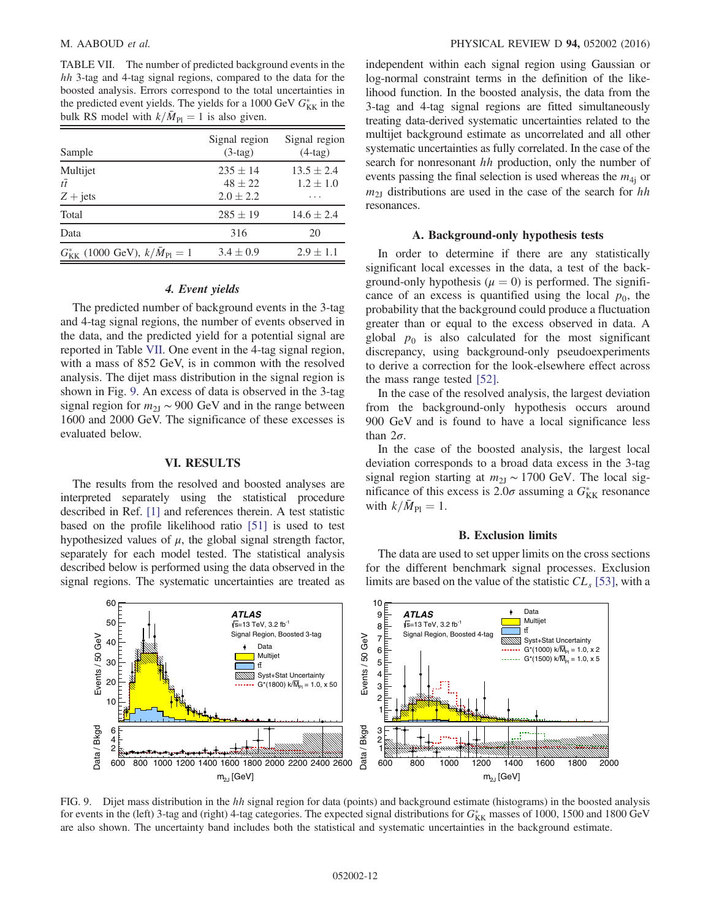<span id="page-12-0"></span>TABLE VII. The number of predicted background events in the hh 3-tag and 4-tag signal regions, compared to the data for the boosted analysis. Errors correspond to the total uncertainties in the predicted event yields. The yields for a 1000 GeV  $G^*_{\text{KK}}$  in the bulk RS model with  $k/\bar{M}_{\text{Pl}} = 1$  is also given.

| Sample                                                    | Signal region<br>$(3-tag)$ | Signal region<br>$(4-tag)$ |
|-----------------------------------------------------------|----------------------------|----------------------------|
| Multijet                                                  | $235 + 14$                 | $13.5 \pm 2.4$             |
| $t\bar{t}$                                                | $48 + 22$                  | $1.2 \pm 1.0$              |
| $Z + jets$                                                | $2.0 \pm 2.2$              | .                          |
| Total                                                     | $285 \pm 19$               | $14.6 \pm 2.4$             |
| Data                                                      | 316                        | 20                         |
| $G_{\text{KK}}^*$ (1000 GeV), $k/\bar{M}_{\text{Pl}} = 1$ | $3.4 \pm 0.9$              | $2.9 \pm 1.1$              |

## 4. Event yields

The predicted number of background events in the 3-tag and 4-tag signal regions, the number of events observed in the data, and the predicted yield for a potential signal are reported in Table [VII.](#page-11-0) One event in the 4-tag signal region, with a mass of 852 GeV, is in common with the resolved analysis. The dijet mass distribution in the signal region is shown in Fig. [9](#page-11-1). An excess of data is observed in the 3-tag signal region for  $m_{2J} \sim 900$  GeV and in the range between 1600 and 2000 GeV. The significance of these excesses is evaluated below.

#### VI. RESULTS

The results from the resolved and boosted analyses are interpreted separately using the statistical procedure described in Ref. [\[1\]](#page-13-0) and references therein. A test statistic based on the profile likelihood ratio [\[51\]](#page-14-34) is used to test hypothesized values of  $\mu$ , the global signal strength factor, separately for each model tested. The statistical analysis described below is performed using the data observed in the signal regions. The systematic uncertainties are treated as independent within each signal region using Gaussian or log-normal constraint terms in the definition of the likelihood function. In the boosted analysis, the data from the 3-tag and 4-tag signal regions are fitted simultaneously treating data-derived systematic uncertainties related to the multijet background estimate as uncorrelated and all other systematic uncertainties as fully correlated. In the case of the search for nonresonant hh production, only the number of events passing the final selection is used whereas the  $m_{4}$  or  $m_{2I}$  distributions are used in the case of the search for hh resonances.

#### A. Background-only hypothesis tests

In order to determine if there are any statistically significant local excesses in the data, a test of the background-only hypothesis ( $\mu = 0$ ) is performed. The significance of an excess is quantified using the local  $p_0$ , the probability that the background could produce a fluctuation greater than or equal to the excess observed in data. A global  $p_0$  is also calculated for the most significant discrepancy, using background-only pseudoexperiments to derive a correction for the look-elsewhere effect across the mass range tested [\[52\].](#page-14-35)

In the case of the resolved analysis, the largest deviation from the background-only hypothesis occurs around 900 GeV and is found to have a local significance less than  $2\sigma$ .

In the case of the boosted analysis, the largest local deviation corresponds to a broad data excess in the 3-tag signal region starting at  $m_{2J} \sim 1700$  GeV. The local significance of this excess is  $2.0\sigma$  assuming a  $G^*_{\text{KK}}$  resonance with  $k/\bar{M}_{\text{Pl}} = 1$ .

#### B. Exclusion limits

The data are used to set upper limits on the cross sections for the different benchmark signal processes. Exclusion limits are based on the value of the statistic  $CL_s$  [\[53\],](#page-14-36) with a



FIG. 9. Dijet mass distribution in the hh signal region for data (points) and background estimate (histograms) in the boosted analysis for events in the (left) 3-tag and (right) 4-tag categories. The expected signal distributions for  $G^*_{\text{KK}}$  masses of 1000, 1500 and 1800 GeV are also shown. The uncertainty band includes both the statistical and systematic uncertainties in the background estimate.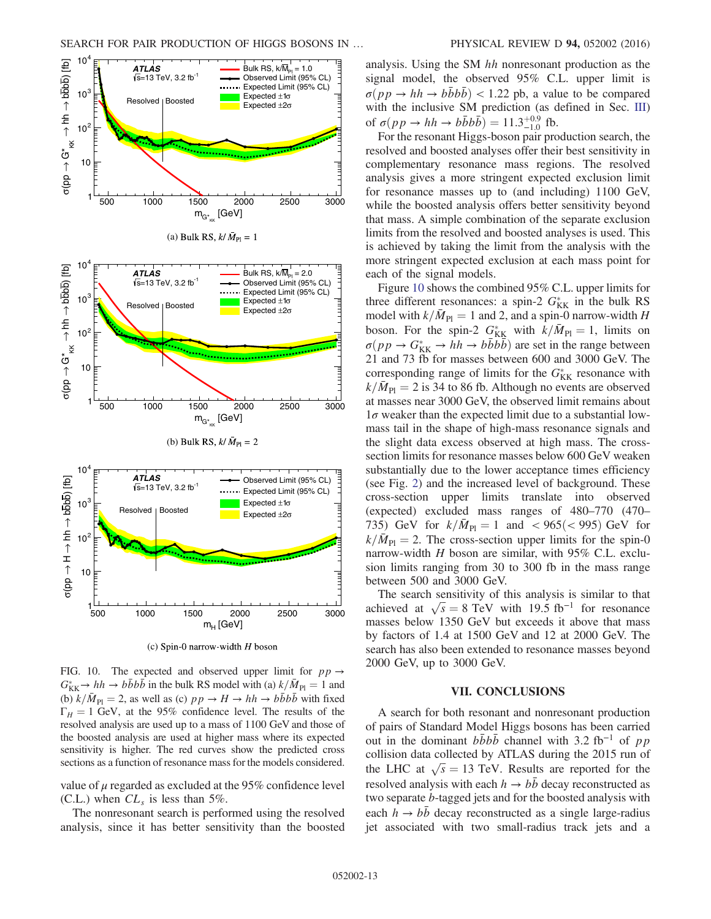

(c) Spin-0 narrow-width  $H$  boson

<span id="page-13-2"></span><span id="page-13-1"></span><span id="page-13-0"></span>FIG. 10. The expected and observed upper limit for  $p p \rightarrow$  $G_{\text{KK}}^* \rightarrow hh \rightarrow b\bar{b}b\bar{b}$  in the bulk RS model with (a)  $k/\bar{M}_{\text{Pl}} = 1$  and (b)  $k/\bar{M}_{\text{Pl}} = 2$ , as well as (c)  $pp \rightarrow H \rightarrow hh \rightarrow b\bar{b}b\bar{b}$  with fixed  $\Gamma_H = 1$  GeV, at the 95% confidence level. The results of the resolved analysis are used up to a mass of 1100 GeV and those of the boosted analysis are used at higher mass where its expected sensitivity is higher. The red curves show the predicted cross sections as a function of resonance mass for the models considered.

<span id="page-13-3"></span>value of  $\mu$  regarded as excluded at the 95% confidence level (C.L.) when  $CL_s$  is less than 5%.

<span id="page-13-4"></span>The nonresonant search is performed using the resolved analysis, since it has better sensitivity than the boosted analysis. Using the SM hh nonresonant production as the signal model, the observed 95% C.L. upper limit is  $\sigma(p \, p \rightarrow hh \rightarrow b\bar{b}b\bar{b})$  < 1.22 pb, a value to be compared with the inclusive SM prediction (as defined in Sec. [III\)](#page-1-0) of  $\sigma(pp \to hh \to b\bar{b}b\bar{b}) = 11.3^{+0.9}_{-1.0}$  fb.

For the resonant Higgs-boson pair production search, the resolved and boosted analyses offer their best sensitivity in complementary resonance mass regions. The resolved analysis gives a more stringent expected exclusion limit for resonance masses up to (and including) 1100 GeV, while the boosted analysis offers better sensitivity beyond that mass. A simple combination of the separate exclusion limits from the resolved and boosted analyses is used. This is achieved by taking the limit from the analysis with the more stringent expected exclusion at each mass point for each of the signal models.

Figure [10](#page-12-0) shows the combined 95% C.L. upper limits for three different resonances: a spin-2  $G^*_{\text{KK}}$  in the bulk RS model with  $k/\bar{M}_{\text{Pl}} = 1$  and 2, and a spin-0 narrow-width H boson. For the spin-2  $G_{KK}^*$  with  $k/M_{\text{Pl}} = 1$ , limits on  $\sigma(pp \to G^*_{\rm K})$  $K_{KK}^* \rightarrow hh \rightarrow b\bar{b}b\bar{b}$  are set in the range between 21 and 73 fb for masses between 600 and 3000 GeV. The corresponding range of limits for the  $G^*_{\text{KK}}$  resonance with  $k/\bar{M}_{\text{Pl}} = 2$  is 34 to 86 fb. Although no events are observed at masses near 3000 GeV, the observed limit remains about  $1\sigma$  weaker than the expected limit due to a substantial lowmass tail in the shape of high-mass resonance signals and the slight data excess observed at high mass. The crosssection limits for resonance masses below 600 GeV weaken substantially due to the lower acceptance times efficiency (see Fig. [2](#page-5-0)) and the increased level of background. These cross-section upper limits translate into observed (expected) excluded mass ranges of 480–770 (470– 735) GeV for  $k/M_{\text{Pl}} = 1$  and < 965(< 995) GeV for  $k/\tilde{M}_{\text{Pl}} = 2$ . The cross-section upper limits for the spin-0 narrow-width  $H$  boson are similar, with 95% C.L. exclusion limits ranging from 30 to 300 fb in the mass range between 500 and 3000 GeV.

<span id="page-13-5"></span>The search sensitivity of this analysis is similar to that achieved at  $\sqrt{s} = 8$  TeV with 19.5 fb<sup>-1</sup> for resonance masses below 1350 GeV but exceeds it above that mass by factors of 1.4 at 1500 GeV and 12 at 2000 GeV. The search has also been extended to resonance masses beyond 2000 GeV, up to 3000 GeV.

#### VII. CONCLUSIONS

<span id="page-13-7"></span><span id="page-13-6"></span>A search for both resonant and nonresonant production of pairs of Standard Model Higgs bosons has been carried out in the dominant  $b\bar{b}b\bar{b}$  channel with 3.2 fb<sup>-1</sup> of pp collision data collected by ATLAS during the 2015 run of the LHC at  $\sqrt{s} = 13$  TeV. Results are reported for the resolved analysis with each  $h \to b\bar{b}$  decay reconstructed as two separate b-tagged jets and for the boosted analysis with each  $h \rightarrow b\bar{b}$  decay reconstructed as a single large-radius jet associated with two small-radius track jets and a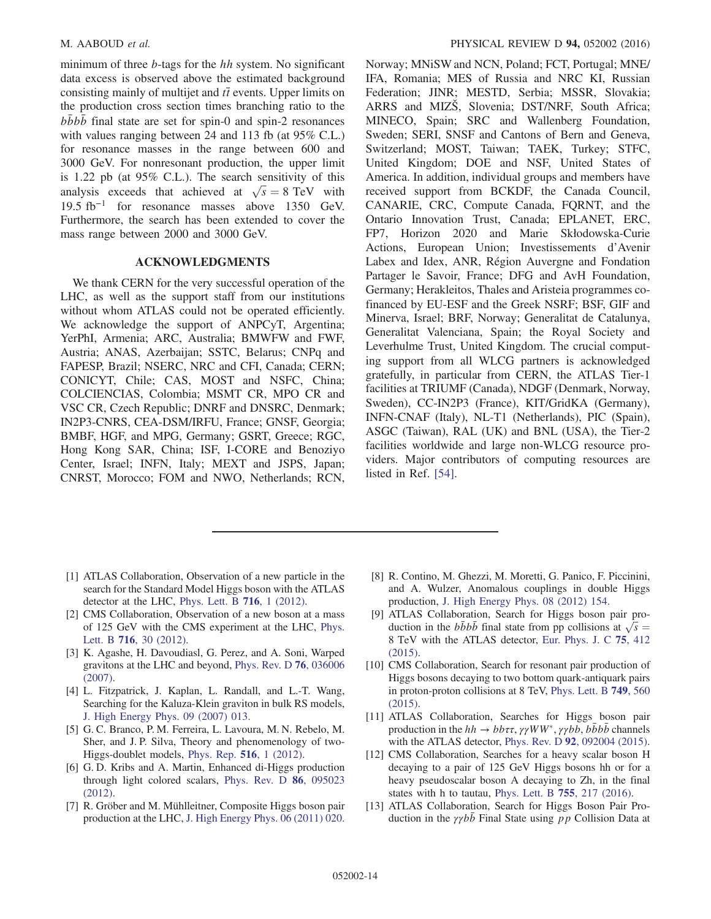<span id="page-14-1"></span><span id="page-14-0"></span>minimum of three  $b$ -tags for the  $hh$  system. No significant data excess is observed above the estimated background consisting mainly of multijet and  $t\bar{t}$  events. Upper limits on the production cross section times branching ratio to the  $b\bar{b}b\bar{b}$  final state are set for spin-0 and spin-2 resonances with values ranging between 24 and 113 fb (at 95% C.L.) for resonance masses in the range between 600 and 3000 GeV. For nonresonant production, the upper limit is 1.22 pb (at 95% C.L.). The search sensitivity of this analysis exceeds that achieved at  $\sqrt{s} = 8 \text{ TeV}$  with 19.5 fb<sup>−</sup><sup>1</sup> for resonance masses above 1350 GeV. Furthermore, the search has been extended to cover the mass range between 2000 and 3000 GeV.

## <span id="page-14-25"></span><span id="page-14-24"></span>ACKNOWLEDGMENTS

<span id="page-14-7"></span><span id="page-14-6"></span><span id="page-14-5"></span><span id="page-14-4"></span><span id="page-14-3"></span><span id="page-14-2"></span>We thank CERN for the very successful operation of the LHC, as well as the support staff from our institutions without whom ATLAS could not be operated efficiently. We acknowledge the support of ANPCyT, Argentina; YerPhI, Armenia; ARC, Australia; BMWFW and FWF, Austria; ANAS, Azerbaijan; SSTC, Belarus; CNPq and FAPESP, Brazil; NSERC, NRC and CFI, Canada; CERN; CONICYT, Chile; CAS, MOST and NSFC, China; COLCIENCIAS, Colombia; MSMT CR, MPO CR and VSC CR, Czech Republic; DNRF and DNSRC, Denmark; IN2P3-CNRS, CEA-DSM/IRFU, France; GNSF, Georgia; BMBF, HGF, and MPG, Germany; GSRT, Greece; RGC, Hong Kong SAR, China; ISF, I-CORE and Benoziyo Center, Israel; INFN, Italy; MEXT and JSPS, Japan; CNRST, Morocco; FOM and NWO, Netherlands; RCN, <span id="page-14-23"></span><span id="page-14-22"></span><span id="page-14-21"></span><span id="page-14-20"></span><span id="page-14-19"></span><span id="page-14-18"></span><span id="page-14-17"></span>Norway; MNiSW and NCN, Poland; FCT, Portugal; MNE/ IFA, Romania; MES of Russia and NRC KI, Russian Federation; JINR; MESTD, Serbia; MSSR, Slovakia; ARRS and MIZŠ, Slovenia; DST/NRF, South Africa; MINECO, Spain; SRC and Wallenberg Foundation, Sweden; SERI, SNSF and Cantons of Bern and Geneva, Switzerland; MOST, Taiwan; TAEK, Turkey; STFC, United Kingdom; DOE and NSF, United States of America. In addition, individual groups and members have received support from BCKDF, the Canada Council, CANARIE, CRC, Compute Canada, FQRNT, and the Ontario Innovation Trust, Canada; EPLANET, ERC, FP7, Horizon 2020 and Marie Skłodowska-Curie Actions, European Union; Investissements d'Avenir Labex and Idex, ANR, Région Auvergne and Fondation Partager le Savoir, France; DFG and AvH Foundation, Germany; Herakleitos, Thales and Aristeia programmes cofinanced by EU-ESF and the Greek NSRF; BSF, GIF and Minerva, Israel; BRF, Norway; Generalitat de Catalunya, Generalitat Valenciana, Spain; the Royal Society and Leverhulme Trust, United Kingdom. The crucial computing support from all WLCG partners is acknowledged gratefully, in particular from CERN, the ATLAS Tier-1 facilities at TRIUMF (Canada), NDGF (Denmark, Norway, Sweden), CC-IN2P3 (France), KIT/GridKA (Germany), INFN-CNAF (Italy), NL-T1 (Netherlands), PIC (Spain), ASGC (Taiwan), RAL (UK) and BNL (USA), the Tier-2 facilities worldwide and large non-WLCG resource providers. Major contributors of computing resources are listed in Ref. [\[54\]](#page-14-37).

- <span id="page-14-12"></span><span id="page-14-11"></span><span id="page-14-10"></span><span id="page-14-9"></span><span id="page-14-8"></span>[1] ATLAS Collaboration, Observation of a new particle in the search for the Standard Model Higgs boson with the ATLAS detector at the LHC, [Phys. Lett. B](http://dx.doi.org/10.1016/j.physletb.2012.08.020) 716, 1 (2012).
- [2] CMS Collaboration, Observation of a new boson at a mass of 125 GeV with the CMS experiment at the LHC, [Phys.](http://dx.doi.org/10.1016/j.physletb.2012.08.021) Lett. B 716[, 30 \(2012\)](http://dx.doi.org/10.1016/j.physletb.2012.08.021).
- <span id="page-14-13"></span>[3] K. Agashe, H. Davoudiasl, G. Perez, and A. Soni, Warped gravitons at the LHC and beyond, [Phys. Rev. D](http://dx.doi.org/10.1103/PhysRevD.76.036006) 76, 036006 [\(2007\).](http://dx.doi.org/10.1103/PhysRevD.76.036006)
- <span id="page-14-15"></span><span id="page-14-14"></span>[4] L. Fitzpatrick, J. Kaplan, L. Randall, and L.-T. Wang, Searching for the Kaluza-Klein graviton in bulk RS models, [J. High Energy Phys. 09 \(2007\) 013.](http://dx.doi.org/10.1088/1126-6708/2007/09/013)
- <span id="page-14-16"></span>[5] G. C. Branco, P. M. Ferreira, L. Lavoura, M. N. Rebelo, M. Sher, and J. P. Silva, Theory and phenomenology of two-Higgs-doublet models, [Phys. Rep.](http://dx.doi.org/10.1016/j.physrep.2012.02.002) 516, 1 (2012).
- [6] G. D. Kribs and A. Martin, Enhanced di-Higgs production through light colored scalars, [Phys. Rev. D](http://dx.doi.org/10.1103/PhysRevD.86.095023) 86, 095023 [\(2012\).](http://dx.doi.org/10.1103/PhysRevD.86.095023)
- [7] R. Gröber and M. Mühlleitner, Composite Higgs boson pair production at the LHC, [J. High Energy Phys. 06 \(2011\) 020.](http://dx.doi.org/10.1007/JHEP06(2011)020)
- <span id="page-14-32"></span><span id="page-14-31"></span><span id="page-14-30"></span><span id="page-14-29"></span><span id="page-14-28"></span><span id="page-14-27"></span><span id="page-14-26"></span>[8] R. Contino, M. Ghezzi, M. Moretti, G. Panico, F. Piccinini, and A. Wulzer, Anomalous couplings in double Higgs production, [J. High Energy Phys. 08 \(2012\) 154.](http://dx.doi.org/10.1007/JHEP08(2012)154)
- <span id="page-14-33"></span>[9] ATLAS Collaboration, Search for Higgs boson pair production in the *bbbb* final state from pp collisions at  $\sqrt{s}$ 8 TeV with the ATLAS detector, [Eur. Phys. J. C](http://dx.doi.org/10.1140/epjc/s10052-015-3628-x) 75, 412 [\(2015\).](http://dx.doi.org/10.1140/epjc/s10052-015-3628-x)
- <span id="page-14-35"></span><span id="page-14-34"></span>[10] CMS Collaboration, Search for resonant pair production of Higgs bosons decaying to two bottom quark-antiquark pairs in proton-proton collisions at 8 TeV, [Phys. Lett. B](http://dx.doi.org/10.1016/j.physletb.2015.08.047) 749, 560 [\(2015\).](http://dx.doi.org/10.1016/j.physletb.2015.08.047)
- <span id="page-14-36"></span>[11] ATLAS Collaboration, Searches for Higgs boson pair production in the  $hh \rightarrow bb\tau\tau$ ,  $\gamma\gamma WW^*$ ,  $\gamma\gamma bb$ ,  $b\bar{b}b\bar{b}$  channels with the ATLAS detector, Phys. Rev. D 92[, 092004 \(2015\).](http://dx.doi.org/10.1103/PhysRevD.92.092004)
- <span id="page-14-37"></span>[12] CMS Collaboration, Searches for a heavy scalar boson H decaying to a pair of 125 GeV Higgs bosons hh or for a heavy pseudoscalar boson A decaying to Zh, in the final states with h to tautau, [Phys. Lett. B](http://dx.doi.org/10.1016/j.physletb.2016.01.056) 755, 217 (2016).
- [13] ATLAS Collaboration, Search for Higgs Boson Pair Production in the  $\gamma \gamma b \bar{b}$  Final State using pp Collision Data at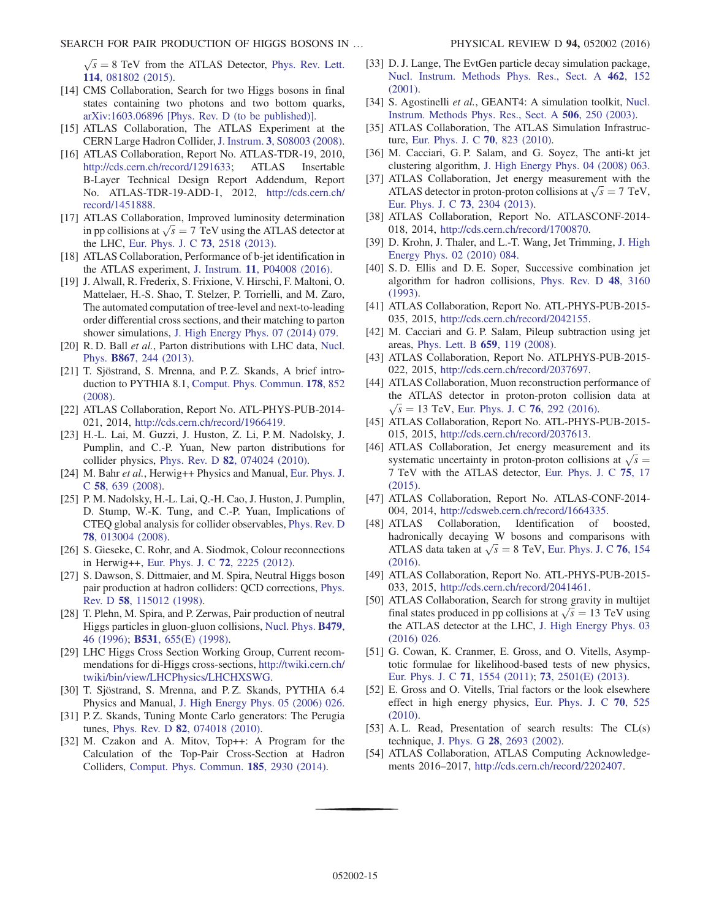$\sqrt{s}$  = 8 TeV from the ATLAS Detector, [Phys. Rev. Lett.](http://dx.doi.org/10.1103/PhysRevLett.114.081802) 114[, 081802 \(2015\).](http://dx.doi.org/10.1103/PhysRevLett.114.081802)

- <span id="page-15-2"></span><span id="page-15-1"></span>[14] CMS Collaboration, Search for two Higgs bosons in final states containing two photons and two bottom quarks, [arXiv:1603.06896 \[Phys. Rev. D \(to be published\)\].](http://arXiv.org/abs/1603.06896)
- [15] ATLAS Collaboration, The ATLAS Experiment at the CERN Large Hadron Collider, J. Instrum. 3[, S08003 \(2008\).](http://dx.doi.org/10.1088/1748-0221/3/08/S08003)
- [16] ATLAS Collaboration, Report No. ATLAS-TDR-19, 2010, [http://cds.cern.ch/record/1291633;](http://cds.cern.ch/record/1291633) ATLAS Insertable B-Layer Technical Design Report Addendum, Report No. ATLAS-TDR-19-ADD-1, 2012, [http://cds.cern.ch/](http://cds.cern.ch/record/1451888) [record/1451888.](http://cds.cern.ch/record/1451888)
- [17] ATLAS Collaboration, Improved luminosity determination in pp collisions at  $\sqrt{s} = 7$  TeV using the ATLAS detector at the LHC, [Eur. Phys. J. C](http://dx.doi.org/10.1140/epjc/s10052-013-2518-3) 73, 2518 (2013).
- [18] ATLAS Collaboration, Performance of b-jet identification in the ATLAS experiment, J. Instrum. 11[, P04008 \(2016\)](http://dx.doi.org/10.1088/1748-0221/11/04/P04008).
- <span id="page-15-4"></span>[19] J. Alwall, R. Frederix, S. Frixione, V. Hirschi, F. Maltoni, O. Mattelaer, H.-S. Shao, T. Stelzer, P. Torrielli, and M. Zaro, The automated computation of tree-level and next-to-leading order differential cross sections, and their matching to parton shower simulations, [J. High Energy Phys. 07 \(2014\) 079.](http://dx.doi.org/10.1007/JHEP07(2014)079)
- <span id="page-15-5"></span>[20] R. D. Ball et al., Parton distributions with LHC data, [Nucl.](http://dx.doi.org/10.1016/j.nuclphysb.2012.10.003) Phys. B867[, 244 \(2013\).](http://dx.doi.org/10.1016/j.nuclphysb.2012.10.003)
- [21] T. Sjöstrand, S. Mrenna, and P.Z. Skands, A brief introduction to PYTHIA 8.1, [Comput. Phys. Commun.](http://dx.doi.org/10.1016/j.cpc.2008.01.036) 178, 852 [\(2008\).](http://dx.doi.org/10.1016/j.cpc.2008.01.036)
- <span id="page-15-6"></span>[22] ATLAS Collaboration, Report No. ATL-PHYS-PUB-2014- 021, 2014, [http://cds.cern.ch/record/1966419.](http://cds.cern.ch/record/1966419)
- [23] H.-L. Lai, M. Guzzi, J. Huston, Z. Li, P. M. Nadolsky, J. Pumplin, and C.-P. Yuan, New parton distributions for collider physics, Phys. Rev. D 82[, 074024 \(2010\)](http://dx.doi.org/10.1103/PhysRevD.82.074024).
- [24] M. Bahr et al., Herwig++ Physics and Manual, [Eur. Phys. J.](http://dx.doi.org/10.1140/epjc/s10052-008-0798-9) C 58[, 639 \(2008\)](http://dx.doi.org/10.1140/epjc/s10052-008-0798-9).
- [25] P. M. Nadolsky, H.-L. Lai, Q.-H. Cao, J. Huston, J. Pumplin, D. Stump, W.-K. Tung, and C.-P. Yuan, Implications of CTEQ global analysis for collider observables, [Phys. Rev. D](http://dx.doi.org/10.1103/PhysRevD.78.013004) 78[, 013004 \(2008\).](http://dx.doi.org/10.1103/PhysRevD.78.013004)
- [26] S. Gieseke, C. Rohr, and A. Siodmok, Colour reconnections in Herwig++, [Eur. Phys. J. C](http://dx.doi.org/10.1140/epjc/s10052-012-2225-5) 72, 2225 (2012).
- [27] S. Dawson, S. Dittmaier, and M. Spira, Neutral Higgs boson pair production at hadron colliders: QCD corrections, [Phys.](http://dx.doi.org/10.1103/PhysRevD.58.115012) Rev. D 58[, 115012 \(1998\)](http://dx.doi.org/10.1103/PhysRevD.58.115012).
- <span id="page-15-3"></span>[28] T. Plehn, M. Spira, and P. Zerwas, Pair production of neutral Higgs particles in gluon-gluon collisions, [Nucl. Phys.](http://dx.doi.org/10.1016/0550-3213(96)00418-X) B479, [46 \(1996\);](http://dx.doi.org/10.1016/0550-3213(96)00418-X) B531[, 655\(E\) \(1998\).](http://dx.doi.org/10.1016/S0550-3213(98)00406-4)
- [29] LHC Higgs Cross Section Working Group, Current recommendations for di-Higgs cross-sections, [http://twiki.cern.ch/](http://twiki.cern.ch/twiki/bin/view/LHCPhysics/LHCHXSWG) [twiki/bin/view/LHCPhysics/LHCHXSWG.](http://twiki.cern.ch/twiki/bin/view/LHCPhysics/LHCHXSWG)
- [30] T. Sjöstrand, S. Mrenna, and P. Z. Skands, PYTHIA 6.4 Physics and Manual, [J. High Energy Phys. 05 \(2006\) 026.](http://dx.doi.org/10.1088/1126-6708/2006/05/026)
- <span id="page-15-0"></span>[31] P. Z. Skands, Tuning Monte Carlo generators: The Perugia tunes, Phys. Rev. D 82[, 074018 \(2010\)](http://dx.doi.org/10.1103/PhysRevD.82.074018).
- [32] M. Czakon and A. Mitov, Top++: A Program for the Calculation of the Top-Pair Cross-Section at Hadron Colliders, [Comput. Phys. Commun.](http://dx.doi.org/10.1016/j.cpc.2014.06.021) 185, 2930 (2014).
- 
- [33] D. J. Lange, The EvtGen particle decay simulation package, [Nucl. Instrum. Methods Phys. Res., Sect. A](http://dx.doi.org/10.1016/S0168-9002(01)00089-4) 462, 152 [\(2001\).](http://dx.doi.org/10.1016/S0168-9002(01)00089-4)
- [34] S. Agostinelli et al., GEANT4: A simulation toolkit, [Nucl.](http://dx.doi.org/10.1016/S0168-9002(03)01368-8) [Instrum. Methods Phys. Res., Sect. A](http://dx.doi.org/10.1016/S0168-9002(03)01368-8) 506, 250 (2003).
- [35] ATLAS Collaboration, The ATLAS Simulation Infrastructure, [Eur. Phys. J. C](http://dx.doi.org/10.1140/epjc/s10052-010-1429-9) 70, 823 (2010).
- [36] M. Cacciari, G. P. Salam, and G. Soyez, The anti-kt jet clustering algorithm, [J. High Energy Phys. 04 \(2008\) 063.](http://dx.doi.org/10.1088/1126-6708/2008/04/063)
- [37] ATLAS Collaboration, Jet energy measurement with the ATLAS detector in proton-proton collisions at  $\sqrt{s} = 7$  TeV, [Eur. Phys. J. C](http://dx.doi.org/10.1140/epjc/s10052-013-2304-2) 73, 2304 (2013).
- [38] ATLAS Collaboration, Report No. ATLASCONF-2014- 018, 2014, [http://cds.cern.ch/record/1700870.](http://cds.cern.ch/record/1700870)
- [39] D. Krohn, J. Thaler, and L.-T. Wang, Jet Trimming, [J. High](http://dx.doi.org/10.1007/JHEP02(2010)084) [Energy Phys. 02 \(2010\) 084.](http://dx.doi.org/10.1007/JHEP02(2010)084)
- [40] S. D. Ellis and D. E. Soper, Successive combination jet algorithm for hadron collisions, [Phys. Rev. D](http://dx.doi.org/10.1103/PhysRevD.48.3160) 48, 3160 [\(1993\).](http://dx.doi.org/10.1103/PhysRevD.48.3160)
- [41] ATLAS Collaboration, Report No. ATL-PHYS-PUB-2015- 035, 2015, [http://cds.cern.ch/record/2042155.](http://cds.cern.ch/record/2042155)
- [42] M. Cacciari and G. P. Salam, Pileup subtraction using jet areas, [Phys. Lett. B](http://dx.doi.org/10.1016/j.physletb.2007.09.077) 659, 119 (2008).
- [43] ATLAS Collaboration, Report No. ATLPHYS-PUB-2015- 022, 2015, [http://cds.cern.ch/record/2037697.](http://cds.cern.ch/record/2037697)
- [44] ATLAS Collaboration, Muon reconstruction performance of the ATLAS detector in proton-proton collision data at  $\sqrt{s}$  = 13 TeV, [Eur. Phys. J. C](http://dx.doi.org/10.1140/epjc/s10052-016-4120-y) 76, 292 (2016).
- [45] ATLAS Collaboration, Report No. ATL-PHYS-PUB-2015- 015, 2015, [http://cds.cern.ch/record/2037613.](http://cds.cern.ch/record/2037613)
- [46] ATLAS Collaboration, Jet energy measurement and its systematic uncertainty in proton-proton collisions at  $\sqrt{s} =$ 7 TeV with the ATLAS detector, [Eur. Phys. J. C](http://dx.doi.org/10.1140/epjc/s10052-014-3190-y) 75, 17 [\(2015\).](http://dx.doi.org/10.1140/epjc/s10052-014-3190-y)
- [47] ATLAS Collaboration, Report No. ATLAS-CONF-2014- 004, 2014, <http://cdsweb.cern.ch/record/1664335>.
- [48] ATLAS Collaboration, Identification of boosted, hadronically decaying W bosons and comparisons with ATLAS data taken at  $\sqrt{s} = 8$  TeV, [Eur. Phys. J. C](http://dx.doi.org/10.1140/epjc/s10052-016-3978-z) 76, 154 [\(2016\).](http://dx.doi.org/10.1140/epjc/s10052-016-3978-z)
- [49] ATLAS Collaboration, Report No. ATL-PHYS-PUB-2015- 033, 2015, [http://cds.cern.ch/record/2041461.](http://cds.cern.ch/record/2041461)
- [50] ATLAS Collaboration, Search for strong gravity in multijet final states produced in pp collisions at  $\sqrt{s} = 13$  TeV using the ATLAS detector at the LHC, [J. High Energy Phys. 03](http://dx.doi.org/10.1007/JHEP03(2016)026) [\(2016\) 026.](http://dx.doi.org/10.1007/JHEP03(2016)026)
- [51] G. Cowan, K. Cranmer, E. Gross, and O. Vitells, Asymptotic formulae for likelihood-based tests of new physics, [Eur. Phys. J. C](http://dx.doi.org/10.1140/epjc/s10052-011-1554-0) 71, 1554 (2011); 73[, 2501\(E\) \(2013\).](http://dx.doi.org/10.1140/epjc/s10052-013-2501-z)
- [52] E. Gross and O. Vitells, Trial factors or the look elsewhere effect in high energy physics, [Eur. Phys. J. C](http://dx.doi.org/10.1140/epjc/s10052-010-1470-8) 70, 525 [\(2010\).](http://dx.doi.org/10.1140/epjc/s10052-010-1470-8)
- [53] A. L. Read, Presentation of search results: The CL(s) technique, J. Phys. G 28[, 2693 \(2002\)](http://dx.doi.org/10.1088/0954-3899/28/10/313).
- [54] ATLAS Collaboration, ATLAS Computing Acknowledgements 2016–2017, <http://cds.cern.ch/record/2202407>.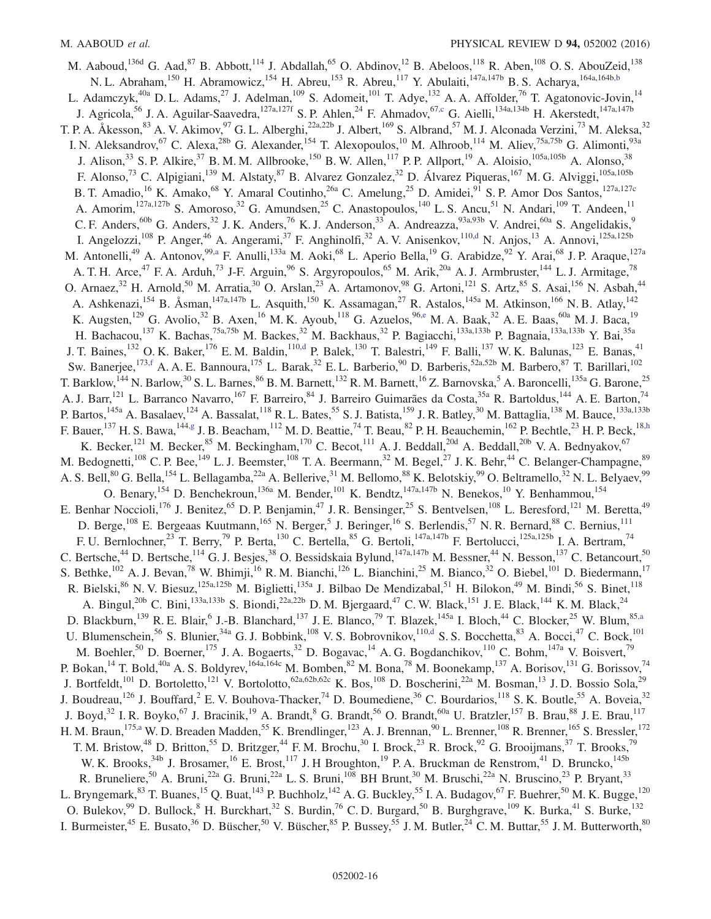<span id="page-16-5"></span><span id="page-16-4"></span><span id="page-16-3"></span><span id="page-16-2"></span><span id="page-16-1"></span><span id="page-16-0"></span>M. Aaboud,<sup>136d</sup> G. Aad,<sup>87</sup> B. Abbott,<sup>114</sup> J. Abdallah,<sup>65</sup> O. Abdinov,<sup>12</sup> B. Abeloos,<sup>118</sup> R. Aben,<sup>108</sup> O. S. AbouZeid,<sup>138</sup> N. L. Abraham,<sup>150</sup> H. Abramowicz,<sup>154</sup> H. Abreu,<sup>153</sup> R. Abreu,<sup>117</sup> Y. Abulaiti,<sup>147a,147b</sup> B. S. Acharya,<sup>164a,164b[,b](#page-27-0)</sup> L. Adamczyk,<sup>40a</sup> D. L. Adams,<sup>27</sup> J. Adelman,<sup>109</sup> S. Adomeit,<sup>101</sup> T. Adye,<sup>132</sup> A. A. Affolder,<sup>76</sup> T. Agatonovic-Jovin,<sup>14</sup> J. Agricola,<sup>56</sup> J. A. Aguilar-Saavedra,<sup>127a,127f</sup> S. P. Ahlen,<sup>24</sup> F. Ahmadov,<sup>67[,c](#page-27-1)</sup> G. Aielli,<sup>134a,134b</sup> H. Akerstedt,<sup>147a,147b</sup> T. P. A. Åkesson,  $83$  A. V. Akimov,  $97$  G. L. Alberghi,  $22a,22b$  J. Albert,  $169$  S. Albrand,  $57$  M. J. Alconada Verzini,  $73$  M. Aleksa,  $32$ I. N. Aleksandrov,<sup>67</sup> C. Alexa,<sup>28b</sup> G. Alexander,<sup>154</sup> T. Alexopoulos,<sup>10</sup> M. Alhroob,<sup>114</sup> M. Aliev,<sup>75a,75b</sup> G. Alimonti,<sup>93a</sup> J. Alison,<sup>33</sup> S. P. Alkire,<sup>37</sup> B. M. M. Allbrooke,<sup>150</sup> B. W. Allen,<sup>117</sup> P. P. Allport,<sup>19</sup> A. Aloisio,<sup>105a,105b</sup> A. Alonso,<sup>38</sup> F. Alonso,<sup>73</sup> C. Alpigiani,<sup>139</sup> M. Alstaty,<sup>87</sup> B. Alvarez Gonzalez,<sup>32</sup> D. Álvarez Piqueras,<sup>167</sup> M. G. Alviggi,<sup>105a,105b</sup> B. T. Amadio,<sup>16</sup> K. Amako,<sup>68</sup> Y. Amaral Coutinho,<sup>26a</sup> C. Amelung,<sup>25</sup> D. Amidei,<sup>91</sup> S. P. Amor Dos Santos,<sup>127a,127c</sup> A. Amorim,<sup>127a,127b</sup> S. Amoroso,<sup>32</sup> G. Amundsen,<sup>25</sup> C. Anastopoulos,<sup>140</sup> L. S. Ancu,<sup>51</sup> N. Andari,<sup>109</sup> T. Andeen,<sup>11</sup> C. F. Anders,<sup>60b</sup> G. Anders,<sup>32</sup> J. K. Anders,<sup>76</sup> K. J. Anderson,<sup>33</sup> A. Andreazza,<sup>93a,93b</sup> V. Andrei,<sup>60a</sup> S. Angelidakis,<sup>9</sup> I. Angelozzi,<sup>108</sup> P. Anger,<sup>46</sup> A. Angerami,<sup>37</sup> F. Anghinolfi,<sup>32</sup> A. V. Anisenkov,<sup>11[0,d](#page-27-2)</sup> N. Anjos,<sup>13</sup> A. Annovi,<sup>125a,125b</sup> M. Antonelli,<sup>49</sup> A. Antonov,<sup>9[9,a](#page-27-3)</sup> F. Anulli,<sup>133a</sup> M. Aoki,<sup>68</sup> L. Aperio Bella,<sup>19</sup> G. Arabidze,<sup>92</sup> Y. Arai,<sup>68</sup> J. P. Araque,<sup>127a</sup> A. T. H. Arce,<sup>47</sup> F. A. Arduh,<sup>73</sup> J-F. Arguin,<sup>96</sup> S. Argyropoulos,<sup>65</sup> M. Arik,<sup>20a</sup> A. J. Armbruster,<sup>144</sup> L. J. Armitage,<sup>78</sup> O. Arnaez,<sup>32</sup> H. Arnold,<sup>50</sup> M. Arratia,<sup>30</sup> O. Arslan,<sup>23</sup> A. Artamonov,<sup>98</sup> G. Artoni,<sup>121</sup> S. Artz,<sup>85</sup> S. Asai,<sup>156</sup> N. Asbah,<sup>44</sup> A. Ashkenazi,<sup>154</sup> B. Åsman,<sup>147a,147b</sup> L. Asquith,<sup>150</sup> K. Assamagan,<sup>27</sup> R. Astalos,<sup>145a</sup> M. Atkinson,<sup>166</sup> N. B. Atlay,<sup>142</sup> K. Augsten,<sup>129</sup> G. Avolio,<sup>32</sup> B. Axen,<sup>16</sup> M. K. Ayoub,<sup>118</sup> G. Azuelos,<sup>9[6,e](#page-27-4)</sup> M. A. Baak,<sup>32</sup> A. E. Baas,<sup>60a</sup> M. J. Baca,<sup>19</sup> H. Bachacou,<sup>137</sup> K. Bachas,<sup>75a,75b</sup> M. Backes,<sup>32</sup> M. Backhaus,<sup>32</sup> P. Bagiacchi,<sup>133a,133b</sup> P. Bagnaia,<sup>133a,133b</sup> Y. Bai,<sup>35a</sup> J. T. Baines,<sup>132</sup> O. K. Baker,<sup>176</sup> E. M. Baldin,<sup>11[0,d](#page-27-2)</sup> P. Balek,<sup>130</sup> T. Balestri,<sup>149</sup> F. Balli,<sup>137</sup> W. K. Balunas,<sup>123</sup> E. Banas,<sup>41</sup> Sw. Banerjee,<sup>173[,f](#page-27-5)</sup> A. A. E. Bannoura,<sup>175</sup> L. Barak,<sup>32</sup> E. L. Barberio,<sup>90</sup> D. Barberis,<sup>52a,52b</sup> M. Barbero,<sup>87</sup> T. Barillari,<sup>102</sup> T. Barklow,  $^{144}$  N. Barlow,  $^{30}$  S. L. Barnes,  $^{86}$  B. M. Barnett,  $^{132}$  R. M. Barnett,  $^{16}$  Z. Barnovska,  $^5$  A. Baroncelli,  $^{135a}$  G. Barone,  $^{25}$ A. J. Barr,<sup>121</sup> L. Barranco Navarro,<sup>167</sup> F. Barreiro,<sup>84</sup> J. Barreiro Guimarães da Costa,<sup>35a</sup> R. Bartoldus,<sup>144</sup> A. E. Barton,<sup>74</sup> P. Bartos, <sup>145a</sup> A. Basalaev, <sup>124</sup> A. Bassalat, <sup>118</sup> R. L. Bates, <sup>55</sup> S. J. Batista, <sup>159</sup> J. R. Batley, <sup>30</sup> M. Battaglia, <sup>138</sup> M. Bauce, <sup>133a,133b</sup> F. Bauer,<sup>137</sup> H. S. Bawa,<sup>14[4,g](#page-27-6)</sup> J. B. Beacham,<sup>112</sup> M. D. Beattie,<sup>74</sup> T. Beau,<sup>82</sup> P. H. Beauchemin,<sup>162</sup> P. Bechtle,<sup>23</sup> H. P. Beck,<sup>18[,h](#page-27-7)</sup> K. Becker,<sup>121</sup> M. Becker,<sup>85</sup> M. Beckingham,<sup>170</sup> C. Becot,<sup>111</sup> A. J. Beddall,<sup>20d</sup> A. Beddall,<sup>20b</sup> V. A. Bednyakov,<sup>67</sup> M. Bedognetti,<sup>108</sup> C. P. Bee,<sup>149</sup> L. J. Beemster,<sup>108</sup> T. A. Beermann,<sup>32</sup> M. Begel,<sup>27</sup> J. K. Behr,<sup>44</sup> C. Belanger-Champagne,<sup>89</sup> A. S. Bell,<sup>80</sup> G. Bella,<sup>154</sup> L. Bellagamba,<sup>22a</sup> A. Bellerive,<sup>31</sup> M. Bellomo,<sup>88</sup> K. Belotskiy,<sup>99</sup> O. Beltramello,<sup>32</sup> N. L. Belyaev,<sup>99</sup> O. Benary, <sup>154</sup> D. Benchekroun, <sup>136a</sup> M. Bender, <sup>101</sup> K. Bendtz, <sup>147a, 147b</sup> N. Benekos, <sup>10</sup> Y. Benhammou, <sup>154</sup> E. Benhar Noccioli,<sup>176</sup> J. Benitez,<sup>65</sup> D. P. Benjamin,<sup>47</sup> J. R. Bensinger,<sup>25</sup> S. Bentvelsen,<sup>108</sup> L. Beresford,<sup>121</sup> M. Beretta,<sup>49</sup> D. Berge,<sup>108</sup> E. Bergeaas Kuutmann,<sup>165</sup> N. Berger,<sup>5</sup> J. Beringer,<sup>16</sup> S. Berlendis,<sup>57</sup> N. R. Bernard,<sup>88</sup> C. Bernius,<sup>111</sup> F. U. Bernlochner,<sup>23</sup> T. Berry,<sup>79</sup> P. Berta,<sup>130</sup> C. Bertella,<sup>85</sup> G. Bertoli,<sup>147a,147b</sup> F. Bertolucci,<sup>125a,125b</sup> I. A. Bertram,<sup>74</sup> C. Bertsche,<sup>44</sup> D. Bertsche,<sup>114</sup> G. J. Besjes,<sup>38</sup> O. Bessidskaia Bylund,<sup>147a,147b</sup> M. Bessner,<sup>44</sup> N. Besson,<sup>137</sup> C. Betancourt,<sup>50</sup> S. Bethke,<sup>102</sup> A. J. Bevan,<sup>78</sup> W. Bhimji,<sup>16</sup> R. M. Bianchi,<sup>126</sup> L. Bianchini,<sup>25</sup> M. Bianco,<sup>32</sup> O. Biebel,<sup>101</sup> D. Biedermann,<sup>17</sup> R. Bielski,<sup>86</sup> N. V. Biesuz,<sup>125a,125b</sup> M. Biglietti,<sup>135a</sup> J. Bilbao De Mendizabal,<sup>51</sup> H. Bilokon,<sup>49</sup> M. Bindi,<sup>56</sup> S. Binet,<sup>118</sup> A. Bingul,<sup>20b</sup> C. Bini,<sup>133a,133b</sup> S. Biondi,<sup>22a,22b</sup> D. M. Bjergaard,<sup>47</sup> C. W. Black,<sup>151</sup> J. E. Black,<sup>144</sup> K. M. Black,<sup>24</sup> D. Blackburn, <sup>139</sup> R. E. Blair, <sup>6</sup> J.-B. Blanchard, <sup>137</sup> J. E. Blanco, <sup>79</sup> T. Blazek, <sup>145a</sup> I. Bloch, <sup>44</sup> C. Blocker, <sup>25</sup> W. Blum, <sup>85, a</sup> U. Blumenschein,<sup>56</sup> S. Blunier,<sup>34a</sup> G. J. Bobbink,<sup>108</sup> V. S. Bobrovnikov,<sup>110[,d](#page-27-2)</sup> S. S. Bocchetta,<sup>83</sup> A. Bocci,<sup>47</sup> C. Bock,<sup>101</sup> M. Boehler,<sup>50</sup> D. Boerner,<sup>175</sup> J. A. Bogaerts,<sup>32</sup> D. Bogavac,<sup>14</sup> A. G. Bogdanchikov,<sup>110</sup> C. Bohm,<sup>147a</sup> V. Boisvert,<sup>79</sup> P. Bokan,  $^{14}$  T. Bold,  $^{40a}$  A. S. Boldyrev,  $^{164a,164c}$  M. Bomben,  $^{82}$  M. Bona,  $^{78}$  M. Boonekamp,  $^{137}$  A. Borisov,  $^{131}$  G. Borissov,  $^{74}$ J. Bortfeldt,<sup>101</sup> D. Bortoletto,<sup>121</sup> V. Bortolotto,<sup>62a,62b,62c</sup> K. Bos,<sup>108</sup> D. Boscherini,<sup>22a</sup> M. Bosman,<sup>13</sup> J. D. Bossio Sola,<sup>29</sup> J. Boudreau,<sup>126</sup> J. Bouffard,<sup>2</sup> E. V. Bouhova-Thacker,<sup>74</sup> D. Boumediene,<sup>36</sup> C. Bourdarios,<sup>118</sup> S. K. Boutle,<sup>55</sup> A. Boveia,<sup>32</sup> J. Boyd,<sup>32</sup> I. R. Boyko,<sup>67</sup> J. Bracinik,<sup>19</sup> A. Brandt,<sup>8</sup> G. Brandt,<sup>56</sup> O. Brandt,<sup>60a</sup> U. Bratzler,<sup>157</sup> B. Brau,<sup>88</sup> J. E. Brau,<sup>117</sup> H. M. Braun,<sup>17[5,a](#page-27-3)</sup> W. D. Breaden Madden,<sup>55</sup> K. Brendlinger,<sup>123</sup> A. J. Brennan,<sup>90</sup> L. Brenner,<sup>108</sup> R. Brenner,<sup>165</sup> S. Bressler,<sup>172</sup> T. M. Bristow,<sup>48</sup> D. Britton,<sup>55</sup> D. Britzger,<sup>44</sup> F. M. Brochu,<sup>30</sup> I. Brock,<sup>23</sup> R. Brock,<sup>92</sup> G. Brooijmans,<sup>37</sup> T. Brooks,<sup>79</sup> W. K. Brooks,<sup>34b</sup> J. Brosamer,<sup>16</sup> E. Brost,<sup>117</sup> J. H Broughton,<sup>19</sup> P. A. Bruckman de Renstrom,<sup>41</sup> D. Bruncko,<sup>145b</sup> R. Bruneliere,<sup>50</sup> A. Bruni,<sup>22a</sup> G. Bruni,<sup>22a</sup> L. S. Bruni,<sup>108</sup> BH Brunt,<sup>30</sup> M. Bruschi,<sup>22a</sup> N. Bruscino,<sup>23</sup> P. Bryant,<sup>33</sup> L. Bryngemark,<sup>83</sup> T. Buanes,<sup>15</sup> Q. Buat,<sup>143</sup> P. Buchholz,<sup>142</sup> A. G. Buckley,<sup>55</sup> I. A. Budagov,<sup>67</sup> F. Buehrer,<sup>50</sup> M. K. Bugge,<sup>120</sup> O. Bulekov,  $99$  D. Bullock,  $8$  H. Burckhart,  $32$  S. Burdin,  $76$  C. D. Burgard,  $50$  B. Burghgrave,  $109$  K. Burka,  $41$  S. Burke,  $132$ I. Burmeister, <sup>45</sup> E. Busato, <sup>36</sup> D. Büscher, <sup>50</sup> V. Büscher, <sup>85</sup> P. Bussey, <sup>55</sup> J. M. Butler, <sup>24</sup> C. M. Buttar, <sup>55</sup> J. M. Butterworth, <sup>80</sup>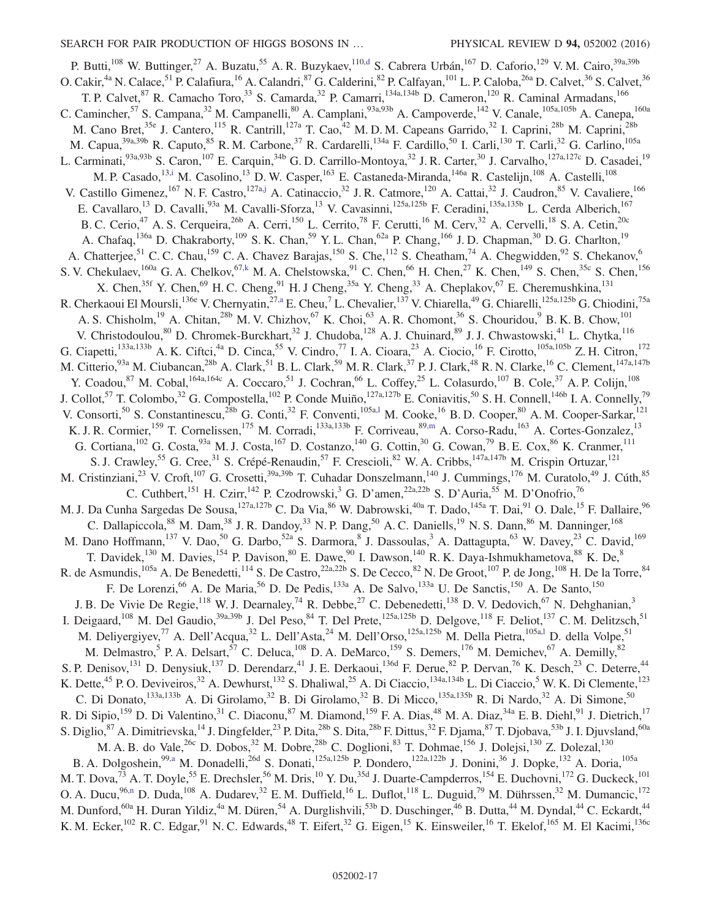<span id="page-17-5"></span><span id="page-17-4"></span><span id="page-17-3"></span><span id="page-17-2"></span><span id="page-17-1"></span><span id="page-17-0"></span>P. Butti,<sup>108</sup> W. Buttinger,<sup>27</sup> A. Buzatu,<sup>55</sup> A. R. Buzykaev,<sup>11[0,d](#page-27-2)</sup> S. Cabrera Urbán,<sup>167</sup> D. Caforio,<sup>129</sup> V. M. Cairo,<sup>39a,39b</sup> O. Cakir,<sup>4a</sup> N. Calace,<sup>51</sup> P. Calafiura,<sup>16</sup> A. Calandri,<sup>87</sup> G. Calderini,<sup>82</sup> P. Calfayan,<sup>101</sup> L. P. Caloba,<sup>26a</sup> D. Calvet,<sup>36</sup> S. Calvet,<sup>36</sup> T. P. Calvet, <sup>87</sup> R. Camacho Toro,<sup>33</sup> S. Camarda,<sup>32</sup> P. Camarri,<sup>134a,134b</sup> D. Cameron,<sup>120</sup> R. Caminal Armadans,<sup>166</sup> C. Camincher,<sup>57</sup> S. Campana,<sup>32</sup> M. Campanelli,<sup>80</sup> A. Camplani,<sup>93a,93b</sup> A. Campoverde,<sup>142</sup> V. Canale,<sup>105a,105b</sup> A. Canepa,<sup>160a</sup> M. Cano Bret,<sup>35e</sup> J. Cantero,<sup>115</sup> R. Cantrill,<sup>127a</sup> T. Cao,<sup>42</sup> M. D. M. Capeans Garrido,<sup>32</sup> I. Caprini,<sup>28b</sup> M. Caprini,<sup>28b</sup> M. Capua,<sup>39a,39b</sup> R. Caputo,<sup>85</sup> R. M. Carbone,<sup>37</sup> R. Cardarelli,<sup>134a</sup> F. Cardillo,<sup>50</sup> I. Carli,<sup>130</sup> T. Carli,<sup>32</sup> G. Carlino,<sup>105a</sup> L. Carminati,<sup>93a,93b</sup> S. Caron,<sup>107</sup> E. Carquin,<sup>34b</sup> G. D. Carrillo-Montoya,<sup>32</sup> J. R. Carter,<sup>30</sup> J. Carvalho,<sup>127a,127c</sup> D. Casadei,<sup>19</sup> M. P. Casado,<sup>13[,i](#page-27-8)</sup> M. Casolino,<sup>13</sup> D. W. Casper,<sup>163</sup> E. Castaneda-Miranda,<sup>146a</sup> R. Castelijn,<sup>108</sup> A. Castelli,<sup>108</sup> V. Castillo Gimenez, <sup>167</sup> N. F. Castro, <sup>127a[,j](#page-27-9)</sup> A. Catinaccio, <sup>32</sup> J. R. Catmore, <sup>120</sup> A. Cattai, <sup>32</sup> J. Caudron, <sup>85</sup> V. Cavaliere, <sup>166</sup> E. Cavallaro,<sup>13</sup> D. Cavalli,<sup>93a</sup> M. Cavalli-Sforza,<sup>13</sup> V. Cavasinni,<sup>125a,125b</sup> F. Ceradini,<sup>135a,135b</sup> L. Cerda Alberich,<sup>167</sup> B. C. Cerio,<sup>47</sup> A. S. Cerqueira,<sup>26b</sup> A. Cerri,<sup>150</sup> L. Cerrito,<sup>78</sup> F. Cerutti,<sup>16</sup> M. Cerv,<sup>32</sup> A. Cervelli,<sup>18</sup> S. A. Cetin,<sup>20c</sup> A. Chafaq, <sup>136a</sup> D. Chakraborty, <sup>109</sup> S. K. Chan, <sup>59</sup> Y. L. Chan, <sup>62a</sup> P. Chang, <sup>166</sup> J. D. Chapman, <sup>30</sup> D. G. Charlton, <sup>19</sup> A. Chatterjee,<sup>51</sup> C. C. Chau,<sup>159</sup> C. A. Chavez Barajas,<sup>150</sup> S. Che,<sup>112</sup> S. Cheatham,<sup>74</sup> A. Chegwidden,<sup>92</sup> S. Chekanov,<sup>6</sup> S. V. Chekulaev,<sup>160a</sup> G. A. Chelkov,<sup>67[,k](#page-27-10)</sup> M. A. Chelstowska,<sup>91</sup> C. Chen,<sup>66</sup> H. Chen,<sup>27</sup> K. Chen,<sup>149</sup> S. Chen,<sup>35c</sup> S. Chen,<sup>156</sup> X. Chen,<sup>35f</sup> Y. Chen,<sup>69</sup> H. C. Cheng,<sup>91</sup> H. J Cheng,<sup>35a</sup> Y. Cheng,<sup>33</sup> A. Cheplakov,<sup>67</sup> E. Cheremushkina,<sup>131</sup> R. Cherkaoui El Moursli, <sup>136e</sup> V. Chernyatin, <sup>2[7,a](#page-27-3)</sup> E. Cheu, <sup>7</sup> L. Chevalier, <sup>137</sup> V. Chiarella, <sup>49</sup> G. Chiarelli, <sup>125a, 125b</sup> G. Chiodini, <sup>75a</sup> A. S. Chisholm,<sup>19</sup> A. Chitan,<sup>28b</sup> M. V. Chizhov,<sup>67</sup> K. Choi,<sup>63</sup> A. R. Chomont,<sup>36</sup> S. Chouridou,<sup>9</sup> B. K. B. Chow,<sup>101</sup> V. Christodoulou,<sup>80</sup> D. Chromek-Burckhart,<sup>32</sup> J. Chudoba,<sup>128</sup> A. J. Chuinard,<sup>89</sup> J. J. Chwastowski,<sup>41</sup> L. Chytka,<sup>116</sup> G. Ciapetti,<sup>133a,133b</sup> A. K. Ciftci,<sup>4a</sup> D. Cinca,<sup>55</sup> V. Cindro,<sup>77</sup> I. A. Cioara,<sup>23</sup> A. Ciocio,<sup>16</sup> F. Cirotto,<sup>105a,105b</sup> Z. H. Citron,<sup>172</sup> M. Citterio,<sup>93a</sup> M. Ciubancan,<sup>28b</sup> A. Clark,<sup>51</sup> B. L. Clark,<sup>59</sup> M. R. Clark,<sup>37</sup> P. J. Clark,<sup>48</sup> R. N. Clarke,<sup>16</sup> C. Clement,<sup>147a,147b</sup> Y. Coadou,<sup>87</sup> M. Cobal,<sup>164a,164c</sup> A. Coccaro,<sup>51</sup> J. Cochran,<sup>66</sup> L. Coffey,<sup>25</sup> L. Colasurdo,<sup>107</sup> B. Cole,<sup>37</sup> A. P. Colijn,<sup>108</sup> J. Collot,<sup>57</sup> T. Colombo,<sup>32</sup> G. Compostella,<sup>102</sup> P. Conde Muiño,<sup>127a,127b</sup> E. Coniavitis,<sup>50</sup> S. H. Connell,<sup>146b</sup> I. A. Connelly,<sup>79</sup> V. Consorti,<sup>50</sup> S. Constantinescu,<sup>28b</sup> G. Conti,<sup>32</sup> F. Conventi,<sup>105a,1</sup> M. Cooke,<sup>16</sup> B. D. Cooper,<sup>80</sup> A. M. Cooper-Sarkar,<sup>121</sup> K. J. R. Cormier,<sup>159</sup> T. Cornelissen,<sup>175</sup> M. Corradi,<sup>133a,133b</sup> F. Corriveau,<sup>89[,m](#page-27-12)</sup> A. Corso-Radu,<sup>163</sup> A. Cortes-Gonzalez,<sup>13</sup> G. Cortiana,<sup>102</sup> G. Costa,<sup>93a</sup> M. J. Costa,<sup>167</sup> D. Costanzo,<sup>140</sup> G. Cottin,<sup>30</sup> G. Cowan,<sup>79</sup> B. E. Cox,<sup>86</sup> K. Cranmer,<sup>111</sup> S. J. Crawley,<sup>55</sup> G. Cree,<sup>31</sup> S. Crépé-Renaudin,<sup>57</sup> F. Crescioli,<sup>82</sup> W. A. Cribbs,<sup>147a,147b</sup> M. Crispin Ortuzar,<sup>121</sup> M. Cristinziani,<sup>23</sup> V. Croft,<sup>107</sup> G. Crosetti,<sup>39a,39b</sup> T. Cuhadar Donszelmann,<sup>140</sup> J. Cummings,<sup>176</sup> M. Curatolo,<sup>49</sup> J. Cúth,<sup>85</sup> C. Cuthbert, <sup>151</sup> H. Czirr, <sup>142</sup> P. Czodrowski, <sup>3</sup> G. D'amen, <sup>22a, 22b</sup> S. D'Auria, <sup>55</sup> M. D'Onofrio, <sup>76</sup> M. J. Da Cunha Sargedas De Sousa,<sup>127a,127b</sup> C. Da Via,<sup>86</sup> W. Dabrowski,<sup>40a</sup> T. Dado,<sup>145a</sup> T. Dai,<sup>91</sup> O. Dale,<sup>15</sup> F. Dallaire,<sup>96</sup> C. Dallapiccola,  $88$  M. Dam,  $38$  J. R. Dandoy,  $33$  N. P. Dang,  $50$  A. C. Daniells,  $^{19}$  N. S. Dann,  $86$  M. Danninger,  $^{168}$ M. Dano Hoffmann,<sup>137</sup> V. Dao,<sup>50</sup> G. Darbo,<sup>52a</sup> S. Darmora,<sup>8</sup> J. Dassoulas,<sup>3</sup> A. Dattagupta,<sup>63</sup> W. Davey,<sup>23</sup> C. David,<sup>169</sup> T. Davidek,<sup>130</sup> M. Davies,<sup>154</sup> P. Davison,<sup>80</sup> E. Dawe,<sup>90</sup> I. Dawson,<sup>140</sup> R. K. Daya-Ishmukhametova,<sup>88</sup> K. De,<sup>8</sup> R. de Asmundis,<sup>105a</sup> A. De Benedetti,<sup>114</sup> S. De Castro,<sup>22a,22b</sup> S. De Cecco,<sup>82</sup> N. De Groot,<sup>107</sup> P. de Jong,<sup>108</sup> H. De la Torre,<sup>84</sup> F. De Lorenzi,<sup>66</sup> A. De Maria,<sup>56</sup> D. De Pedis,<sup>133a</sup> A. De Salvo,<sup>133a</sup> U. De Sanctis,<sup>150</sup> A. De Santo,<sup>150</sup> J. B. De Vivie De Regie,<sup>118</sup> W. J. Dearnaley,<sup>74</sup> R. Debbe,<sup>27</sup> C. Debenedetti,<sup>138</sup> D. V. Dedovich,<sup>67</sup> N. Dehghanian,<sup>3</sup> I. Deigaard,<sup>108</sup> M. Del Gaudio,<sup>39a,39b</sup> J. Del Peso,<sup>84</sup> T. Del Prete,<sup>125a,125b</sup> D. Delgove,<sup>118</sup> F. Deliot,<sup>137</sup> C. M. Delitzsch,<sup>51</sup> M. Deliyergiyev,<sup>77</sup> A. Dell'Acqua,<sup>32</sup> L. Dell'Asta,<sup>24</sup> M. Dell'Orso,<sup>125a,125b</sup> M. Della Pietra,<sup>105a,1</sup> D. della Volpe,<sup>51</sup> M. Delmastro,<sup>5</sup> P. A. Delsart,<sup>57</sup> C. Deluca,<sup>108</sup> D. A. DeMarco,<sup>159</sup> S. Demers,<sup>176</sup> M. Demichev,<sup>67</sup> A. Demilly,<sup>82</sup> S. P. Denisov,<sup>131</sup> D. Denysiuk,<sup>137</sup> D. Derendarz,<sup>41</sup> J. E. Derkaoui,<sup>136d</sup> F. Derue,<sup>82</sup> P. Dervan,<sup>76</sup> K. Desch,<sup>23</sup> C. Deterre,<sup>44</sup> K. Dette,<sup>45</sup> P. O. Deviveiros,<sup>32</sup> A. Dewhurst,<sup>132</sup> S. Dhaliwal,<sup>25</sup> A. Di Ciaccio,<sup>134a,134b</sup> L. Di Ciaccio,<sup>5</sup> W. K. Di Clemente,<sup>123</sup> C. Di Donato,  $^{133a,133b}$  A. Di Girolamo,  $^{32}$  B. Di Girolamo,  $^{32}$  B. Di Micco,  $^{135a,135b}$  R. Di Nardo,  $^{32}$  A. Di Simone,  $^{50}$ R. Di Sipio,<sup>159</sup> D. Di Valentino,<sup>31</sup> C. Diaconu,<sup>87</sup> M. Diamond,<sup>159</sup> F. A. Dias,<sup>48</sup> M. A. Diaz,<sup>34a</sup> E. B. Diehl,<sup>91</sup> J. Dietrich,<sup>17</sup> S. Diglio,<sup>87</sup> A. Dimitrievska,<sup>14</sup> J. Dingfelder,<sup>23</sup> P. Dita,<sup>28b</sup> S. Dita,<sup>28b</sup> F. Dittus,<sup>32</sup> F. Djama,<sup>87</sup> T. Djobava,<sup>53b</sup> J. I. Djuvsland,<sup>60a</sup> M. A. B. do Vale,<sup>26c</sup> D. Dobos,<sup>32</sup> M. Dobre,<sup>28b</sup> C. Doglioni,<sup>83</sup> T. Dohmae,<sup>156</sup> J. Dolejsi,<sup>130</sup> Z. Dolezal,<sup>130</sup> B. A. Dolgoshein,<sup>99[,a](#page-27-3)</sup> M. Donadelli,<sup>26d</sup> S. Donati,<sup>125a,125b</sup> P. Dondero,<sup>122a,122b</sup> J. Donini,<sup>36</sup> J. Dopke,<sup>132</sup> A. Doria,<sup>105a</sup> M. T. Dova,<sup>73</sup> A. T. Doyle,<sup>55</sup> E. Drechsler,<sup>56</sup> M. Dris,<sup>10</sup> Y. Du,<sup>35d</sup> J. Duarte-Campderros,<sup>154</sup> E. Duchovni,<sup>172</sup> G. Duckeck,<sup>101</sup> O. A. Ducu,  $96, n$  D. Duda,  $108$  A. Dudarev,  $32$  E. M. Duffield,  $16$  L. Duflot,  $118$  L. Duguid,  $79$  M. Dührssen,  $32$  M. Dumancic,  $172$ M. Dunford,<sup>60a</sup> H. Duran Yildiz,<sup>4a</sup> M. Düren,<sup>54</sup> A. Durglishvili,<sup>53b</sup> D. Duschinger,<sup>46</sup> B. Dutta,<sup>44</sup> M. Dyndal,<sup>44</sup> C. Eckardt,<sup>44</sup> K. M. Ecker, <sup>102</sup> R. C. Edgar, <sup>91</sup> N. C. Edwards, <sup>48</sup> T. Eifert, <sup>32</sup> G. Eigen, <sup>15</sup> K. Einsweiler, <sup>16</sup> T. Ekelof, <sup>165</sup> M. El Kacimi, <sup>136c</sup>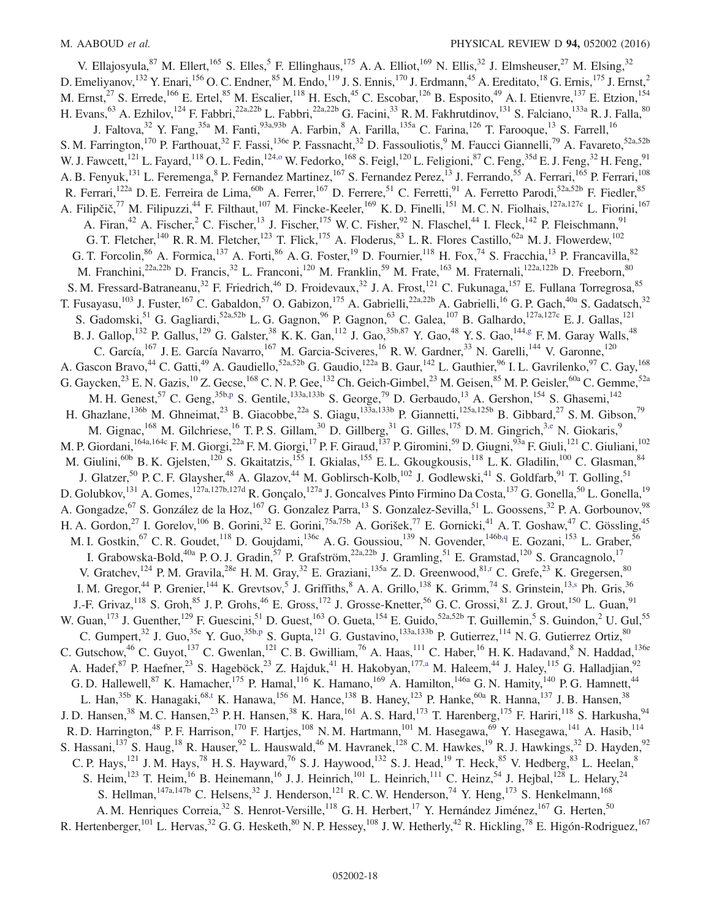<span id="page-18-7"></span><span id="page-18-6"></span><span id="page-18-5"></span><span id="page-18-4"></span><span id="page-18-3"></span><span id="page-18-2"></span><span id="page-18-1"></span><span id="page-18-0"></span>V. Ellajosyula,  $87$  M. Ellert,  $165$  S. Elles,  $5$  F. Ellinghaus,  $175$  A. A. Elliot,  $169$  N. Ellis,  $32$  J. Elmsheuser,  $27$  M. Elsing,  $32$ D. Emeliyanov,<sup>132</sup> Y. Enari,<sup>156</sup> O. C. Endner,<sup>85</sup> M. Endo,<sup>119</sup> J. S. Ennis,<sup>170</sup> J. Erdmann,<sup>45</sup> A. Ereditato,<sup>18</sup> G. Ernis,<sup>175</sup> J. Ernst,<sup>2</sup> M. Ernst,<sup>27</sup> S. Errede,<sup>166</sup> E. Ertel,<sup>85</sup> M. Escalier,<sup>118</sup> H. Esch,<sup>45</sup> C. Escobar,<sup>126</sup> B. Esposito,<sup>49</sup> A. I. Etienvre,<sup>137</sup> E. Etzion,<sup>154</sup> H. Evans, <sup>63</sup> A. Ezhilov,<sup>124</sup> F. Fabbri,<sup>22a,22b</sup> L. Fabbri,<sup>22a,22b</sup> G. Facini,<sup>33</sup> R. M. Fakhrutdinov,<sup>131</sup> S. Falciano,<sup>133a</sup> R. J. Falla,<sup>80</sup> J. Faltova,<sup>32</sup> Y. Fang,<sup>35a</sup> M. Fanti,<sup>93a,93b</sup> A. Farbin,<sup>8</sup> A. Farilla,<sup>135a</sup> C. Farina,<sup>126</sup> T. Farooque,<sup>13</sup> S. Farrell,<sup>16</sup> S. M. Farrington,<sup>170</sup> P. Farthouat,<sup>32</sup> F. Fassi,<sup>136e</sup> P. Fassnacht,<sup>32</sup> D. Fassouliotis,<sup>9</sup> M. Faucci Giannelli,<sup>79</sup> A. Favareto,<sup>52a,52b</sup> W. J. Fawcett,<sup>121</sup> L. Fayard,<sup>118</sup> O. L. Fedin,<sup>124[,o](#page-27-14)</sup> W. Fedorko,<sup>168</sup> S. Feigl,<sup>120</sup> L. Feligioni,<sup>87</sup> C. Feng,<sup>35d</sup> E. J. Feng,<sup>32</sup> H. Feng,<sup>91</sup> A. B. Fenyuk,<sup>131</sup> L. Feremenga, <sup>8</sup> P. Fernandez Martinez, <sup>167</sup> S. Fernandez Perez, <sup>13</sup> J. Ferrando, <sup>55</sup> A. Ferrari, <sup>165</sup> P. Ferrari, <sup>108</sup> R. Ferrari,<sup>122a</sup> D. E. Ferreira de Lima,<sup>60b</sup> A. Ferrer,<sup>167</sup> D. Ferrere,<sup>51</sup> C. Ferretti,<sup>91</sup> A. Ferretto Parodi,<sup>52a,52b</sup> F. Fiedler,<sup>85</sup> A. Filipčič,<sup>77</sup> M. Filipuzzi,<sup>44</sup> F. Filthaut,<sup>107</sup> M. Fincke-Keeler,<sup>169</sup> K. D. Finelli,<sup>151</sup> M. C. N. Fiolhais,<sup>127a,127c</sup> L. Fiorini,<sup>167</sup> A. Firan,<sup>42</sup> A. Fischer,<sup>2</sup> C. Fischer,<sup>13</sup> J. Fischer,<sup>175</sup> W. C. Fisher,<sup>92</sup> N. Flaschel,<sup>44</sup> I. Fleck,<sup>142</sup> P. Fleischmann,<sup>91</sup> G. T. Fletcher,<sup>140</sup> R. R. M. Fletcher,<sup>123</sup> T. Flick,<sup>175</sup> A. Floderus,<sup>83</sup> L. R. Flores Castillo,<sup>62a</sup> M. J. Flowerdew,<sup>102</sup> G. T. Forcolin,  $86$  A. Formica,  $137$  A. Forti,  $86$  A. G. Foster,  $19$  D. Fournier,  $118$  H. Fox,  $74$  S. Fracchia,  $13$  P. Francavilla,  $82$ M. Franchini,<sup>22a,22b</sup> D. Francis,<sup>32</sup> L. Franconi,<sup>120</sup> M. Franklin,<sup>59</sup> M. Frate,<sup>163</sup> M. Fraternali,<sup>122a,122b</sup> D. Freeborn,<sup>80</sup> S. M. Fressard-Batraneanu,<sup>32</sup> F. Friedrich,<sup>46</sup> D. Froidevaux,<sup>32</sup> J. A. Frost,<sup>121</sup> C. Fukunaga,<sup>157</sup> E. Fullana Torregrosa,<sup>85</sup> T. Fusayasu,<sup>103</sup> J. Fuster,<sup>167</sup> C. Gabaldon,<sup>57</sup> O. Gabizon,<sup>175</sup> A. Gabrielli,<sup>22a,22b</sup> A. Gabrielli,<sup>16</sup> G. P. Gach,<sup>40a</sup> S. Gadatsch,<sup>32</sup> S. Gadomski,<sup>51</sup> G. Gagliardi,<sup>52a,52b</sup> L. G. Gagnon,<sup>96</sup> P. Gagnon,<sup>63</sup> C. Galea,<sup>107</sup> B. Galhardo,<sup>127a,127c</sup> E. J. Gallas,<sup>121</sup> B. J. Gallop,<sup>132</sup> P. Gallus,<sup>129</sup> G. Galster,<sup>38</sup> K. K. Gan,<sup>112</sup> J. Gao,<sup>35b,87</sup> Y. Gao,<sup>48</sup> Y. S. Gao,<sup>144[,g](#page-27-6)</sup> F. M. Garay Walls,<sup>48</sup> C. García,<sup>167</sup> J. E. García Navarro,<sup>167</sup> M. Garcia-Sciveres,<sup>16</sup> R. W. Gardner,<sup>33</sup> N. Garelli,<sup>144</sup> V. Garonne,<sup>120</sup> A. Gascon Bravo,<sup>44</sup> C. Gatti,<sup>49</sup> A. Gaudiello,<sup>52a,52b</sup> G. Gaudio,<sup>122a</sup> B. Gaur,<sup>142</sup> L. Gauthier,<sup>96</sup> I. L. Gavrilenko,<sup>97</sup> C. Gay,<sup>168</sup> G. Gaycken,<sup>23</sup> E. N. Gazis,<sup>10</sup> Z. Gecse,<sup>168</sup> C. N. P. Gee,<sup>132</sup> Ch. Geich-Gimbel,<sup>23</sup> M. Geisen,<sup>85</sup> M. P. Geisler,<sup>60a</sup> C. Gemme,<sup>52a</sup> M. H. Genest,<sup>57</sup> C. Geng,<sup>35b[,p](#page-27-15)</sup> S. Gentile,<sup>133a,133b</sup> S. George,<sup>79</sup> D. Gerbaudo,<sup>13</sup> A. Gershon,<sup>154</sup> S. Ghasemi,<sup>142</sup> H. Ghazlane,<sup>136b</sup> M. Ghneimat,<sup>23</sup> B. Giacobbe,<sup>22a</sup> S. Giagu,<sup>133a,133b</sup> P. Giannetti,<sup>125a,125b</sup> B. Gibbard,<sup>27</sup> S. M. Gibson,<sup>79</sup> M. Gignac,<sup>168</sup> M. Gilchriese,<sup>16</sup> T. P. S. Gillam,<sup>30</sup> D. Gillberg,<sup>31</sup> G. Gilles,<sup>175</sup> D. M. Gingrich,<sup>3[,e](#page-27-4)</sup> N. Giokaris,<sup>9</sup> M. P. Giordani,<sup>164a,164c</sup> F. M. Giorgi,<sup>22a</sup> F. M. Giorgi,<sup>17</sup> P. F. Giraud,<sup>137</sup> P. Giromini,<sup>59</sup> D. Giugni,<sup>93a</sup> F. Giuli,<sup>121</sup> C. Giuliani,<sup>102</sup> M. Giulini,<sup>60b</sup> B. K. Gjelsten,<sup>120</sup> S. Gkaitatzis,<sup>155</sup> I. Gkialas,<sup>155</sup> E. L. Gkougkousis,<sup>118</sup> L. K. Gladilin,<sup>100</sup> C. Glasman,<sup>84</sup> J. Glatzer,<sup>50</sup> P. C. F. Glaysher,<sup>48</sup> A. Glazov,<sup>44</sup> M. Goblirsch-Kolb,<sup>102</sup> J. Godlewski,<sup>41</sup> S. Goldfarb,<sup>91</sup> T. Golling,<sup>51</sup> D. Golubkov,<sup>131</sup> A. Gomes,<sup>127a,127b,127d</sup> R. Gonçalo,<sup>127a</sup> J. Goncalves Pinto Firmino Da Costa,<sup>137</sup> G. Gonella,<sup>50</sup> L. Gonella,<sup>19</sup> A. Gongadze,<sup>67</sup> S. González de la Hoz,<sup>167</sup> G. Gonzalez Parra,<sup>13</sup> S. Gonzalez-Sevilla,<sup>51</sup> L. Goossens,<sup>32</sup> P. A. Gorbounov,<sup>98</sup> H. A. Gordon,<sup>27</sup> I. Gorelov,<sup>106</sup> B. Gorini,<sup>32</sup> E. Gorini,<sup>75a,75b</sup> A. Gorišek,<sup>77</sup> E. Gornicki,<sup>41</sup> A. T. Goshaw,<sup>47</sup> C. Gössling,<sup>45</sup> M. I. Gostkin, <sup>67</sup> C. R. Goudet, <sup>118</sup> D. Goujdami, <sup>136c</sup> A. G. Goussiou, <sup>139</sup> N. Govender, <sup>146[b,q](#page-27-16)</sup> E. Gozani, <sup>153</sup> L. Graber, <sup>56</sup> I. Grabowska-Bold,<sup>40a</sup> P. O. J. Gradin,<sup>57</sup> P. Grafström,<sup>22a,22b</sup> J. Gramling,<sup>51</sup> E. Gramstad,<sup>120</sup> S. Grancagnolo,<sup>17</sup> V. Gratchev,<sup>124</sup> P. M. Gravila,<sup>28e</sup> H. M. Gray,<sup>32</sup> E. Graziani,<sup>135a</sup> Z. D. Greenwood,<sup>81[,r](#page-27-17)</sup> C. Grefe,<sup>23</sup> K. Gregersen,<sup>80</sup> I. M. Gregor,<sup>44</sup> P. Grenier,<sup>144</sup> K. Grevtsov,<sup>5</sup> J. Griffiths,<sup>8</sup> A. A. Grillo,<sup>138</sup> K. Grimm,<sup>74</sup> S. Grinstein,<sup>13[,s](#page-27-18)</sup> Ph. Gris,<sup>36</sup> J.-F. Grivaz,<sup>118</sup> S. Groh,<sup>85</sup> J. P. Grohs,<sup>46</sup> E. Gross,<sup>172</sup> J. Grosse-Knetter,<sup>56</sup> G. C. Grossi,<sup>81</sup> Z. J. Grout,<sup>150</sup> L. Guan,<sup>91</sup> W. Guan, <sup>173</sup> J. Guenther, <sup>129</sup> F. Guescini, <sup>51</sup> D. Guest, <sup>163</sup> O. Gueta, <sup>154</sup> E. Guido, <sup>52a, 52b</sup> T. Guillemin, <sup>5</sup> S. Guindon, <sup>2</sup> U. Gul, <sup>55</sup> C. Gumpert,<sup>32</sup> J. Guo,<sup>35e</sup> Y. Guo,<sup>35b[,p](#page-27-15)</sup> S. Gupta,<sup>121</sup> G. Gustavino,<sup>133a,133b</sup> P. Gutierrez,<sup>114</sup> N. G. Gutierrez Ortiz,<sup>80</sup> C. Gutschow,<sup>46</sup> C. Guyot,<sup>137</sup> C. Gwenlan,<sup>121</sup> C. B. Gwilliam,<sup>76</sup> A. Haas,<sup>111</sup> C. Haber,<sup>16</sup> H. K. Hadavand,<sup>8</sup> N. Haddad,<sup>136e</sup> A. Hadef,<sup>87</sup> P. Haefner,<sup>23</sup> S. Hageböck,<sup>23</sup> Z. Hajduk,<sup>41</sup> H. Hakobyan,<sup>17[7,a](#page-27-3)</sup> M. Haleem,<sup>44</sup> J. Haley,<sup>115</sup> G. Halladjian,<sup>92</sup> G. D. Hallewell,<sup>87</sup> K. Hamacher,<sup>175</sup> P. Hamal,<sup>116</sup> K. Hamano,<sup>169</sup> A. Hamilton,<sup>146a</sup> G. N. Hamity,<sup>140</sup> P. G. Hamnett,<sup>44</sup> L. Han,<sup>35b</sup> K. Hanagaki,<sup>68[,t](#page-27-19)</sup> K. Hanawa,<sup>156</sup> M. Hance,<sup>138</sup> B. Haney,<sup>123</sup> P. Hanke,<sup>60a</sup> R. Hanna,<sup>137</sup> J. B. Hansen,<sup>38</sup> J. D. Hansen,<sup>38</sup> M. C. Hansen,<sup>23</sup> P. H. Hansen,<sup>38</sup> K. Hara,<sup>161</sup> A. S. Hard,<sup>173</sup> T. Harenberg,<sup>175</sup> F. Hariri,<sup>118</sup> S. Harkusha,<sup>94</sup> R. D. Harrington,<sup>48</sup> P. F. Harrison,<sup>170</sup> F. Hartjes,<sup>108</sup> N. M. Hartmann,<sup>101</sup> M. Hasegawa,<sup>69</sup> Y. Hasegawa,<sup>141</sup> A. Hasib,<sup>114</sup> S. Hassani,<sup>137</sup> S. Haug,<sup>18</sup> R. Hauser,<sup>92</sup> L. Hauswald,<sup>46</sup> M. Havranek,<sup>128</sup> C. M. Hawkes,<sup>19</sup> R. J. Hawkings,<sup>32</sup> D. Hayden,<sup>92</sup> C. P. Hays,<sup>121</sup> J. M. Hays,<sup>78</sup> H. S. Hayward,<sup>76</sup> S. J. Haywood,<sup>132</sup> S. J. Head,<sup>19</sup> T. Heck,<sup>85</sup> V. Hedberg,<sup>83</sup> L. Heelan,<sup>8</sup> S. Heim,<sup>123</sup> T. Heim,<sup>16</sup> B. Heinemann,<sup>16</sup> J. J. Heinrich,<sup>101</sup> L. Heinrich,<sup>111</sup> C. Heinz,<sup>54</sup> J. Hejbal,<sup>128</sup> L. Helary,<sup>24</sup> S. Hellman,<sup>147a,147b</sup> C. Helsens,<sup>32</sup> J. Henderson,<sup>121</sup> R. C. W. Henderson,<sup>74</sup> Y. Heng,<sup>173</sup> S. Henkelmann,<sup>168</sup> A. M. Henriques Correia,<sup>32</sup> S. Henrot-Versille,<sup>118</sup> G. H. Herbert,<sup>17</sup> Y. Hernández Jiménez,<sup>167</sup> G. Herten,<sup>50</sup> R. Hertenberger,<sup>101</sup> L. Hervas,<sup>32</sup> G. G. Hesketh,<sup>80</sup> N. P. Hessey,<sup>108</sup> J. W. Hetherly,<sup>42</sup> R. Hickling,<sup>78</sup> E. Higón-Rodriguez,<sup>167</sup>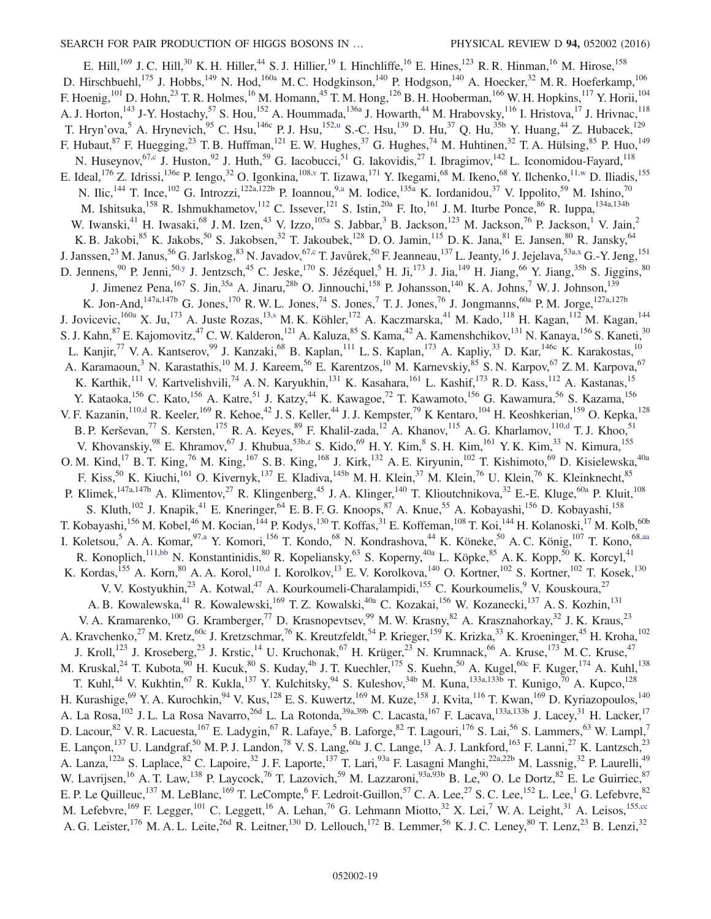<span id="page-19-3"></span><span id="page-19-2"></span><span id="page-19-1"></span><span id="page-19-0"></span>E. Hill,<sup>169</sup> J. C. Hill,<sup>30</sup> K. H. Hiller,<sup>44</sup> S. J. Hillier,<sup>19</sup> I. Hinchliffe,<sup>16</sup> E. Hines,<sup>123</sup> R. R. Hinman,<sup>16</sup> M. Hirose,<sup>158</sup> D. Hirschbuehl,<sup>175</sup> J. Hobbs,<sup>149</sup> N. Hod,<sup>160a</sup> M. C. Hodgkinson,<sup>140</sup> P. Hodgson,<sup>140</sup> A. Hoecker,<sup>32</sup> M. R. Hoeferkamp,<sup>106</sup> F. Hoenig,<sup>101</sup> D. Hohn,<sup>23</sup> T. R. Holmes,<sup>16</sup> M. Homann,<sup>45</sup> T. M. Hong,<sup>126</sup> B. H. Hooberman,<sup>166</sup> W. H. Hopkins,<sup>117</sup> Y. Horii,<sup>104</sup> A. J. Horton,<sup>143</sup> J-Y. Hostachy,<sup>57</sup> S. Hou,<sup>152</sup> A. Hoummada,<sup>136a</sup> J. Howarth,<sup>44</sup> M. Hrabovsky,<sup>116</sup> I. Hristova,<sup>17</sup> J. Hrivnac,<sup>118</sup> T. Hryn'ova,<sup>5</sup> A. Hrynevich,<sup>95</sup> C. Hsu,<sup>146c</sup> P. J. Hsu,<sup>15[2,u](#page-27-20)</sup> S.-C. Hsu,<sup>139</sup> D. Hu,<sup>37</sup> Q. Hu,<sup>35b</sup> Y. Huang,<sup>44</sup> Z. Hubacek,<sup>129</sup> F. Hubaut,<sup>87</sup> F. Huegging,<sup>23</sup> T. B. Huffman,<sup>121</sup> E. W. Hughes,<sup>37</sup> G. Hughes,<sup>74</sup> M. Huhtinen,<sup>32</sup> T. A. Hülsing,<sup>85</sup> P. Huo,<sup>149</sup> N. Huseynov,<sup>67[,c](#page-27-1)</sup> J. Huston,<sup>92</sup> J. Huth,<sup>59</sup> G. Iacobucci,<sup>51</sup> G. Iakovidis,<sup>27</sup> I. Ibragimov,<sup>142</sup> L. Iconomidou-Fayard,<sup>118</sup> E. Ideal,<sup>176</sup> Z. Idrissi,<sup>136e</sup> P. Iengo,<sup>32</sup> O. Igonkina,<sup>108[,v](#page-27-21)</sup> T. Iizawa,<sup>171</sup> Y. Ikegami,<sup>68</sup> M. Ikeno,<sup>68</sup> Y. Ilchenko,<sup>1[1,w](#page-27-22)</sup> D. Iliadis,<sup>155</sup> N. Ilic, <sup>144</sup> T. Ince, <sup>102</sup> G. Introzzi, <sup>122a,122b</sup> P. Ioannou, <sup>9[,a](#page-27-3)</sup> M. Iodice,  $135a$  K. Iordanidou, <sup>37</sup> V. Ippolito, <sup>59</sup> M. Ishino, <sup>70</sup> M. Ishitsuka,<sup>158</sup> R. Ishmukhametov,<sup>112</sup> C. Issever,<sup>121</sup> S. Istin,<sup>20a</sup> F. Ito,<sup>161</sup> J. M. Iturbe Ponce,<sup>86</sup> R. Iuppa,<sup>134a,134b</sup> W. Iwanski,<sup>41</sup> H. Iwasaki,<sup>68</sup> J. M. Izen,<sup>43</sup> V. Izzo,<sup>105a</sup> S. Jabbar,<sup>3</sup> B. Jackson,<sup>123</sup> M. Jackson,<sup>76</sup> P. Jackson,<sup>1</sup> V. Jain,<sup>2</sup> K. B. Jakobi,<sup>85</sup> K. Jakobs,<sup>50</sup> S. Jakobsen,<sup>32</sup> T. Jakoubek,<sup>128</sup> D. O. Jamin,<sup>115</sup> D. K. Jana,<sup>81</sup> E. Jansen,<sup>80</sup> R. Jansky,<sup>64</sup> J. Janssen,<sup>23</sup> M. Janus,<sup>56</sup> G. Jarlskog,<sup>83</sup> N. Javadov,<sup>6[7,c](#page-27-1)</sup> T. Javůrek,<sup>50</sup> F. Jeanneau,<sup>137</sup> L. Jeanty,<sup>16</sup> J. Jejelava,<sup>53a[,x](#page-27-23)</sup> G.-Y. Jeng,<sup>151</sup> D. Jennens,  $90$  P. Jenni,  $50y$  J. Jentzsch,  $45$  C. Jeske,  $170$  S. Jézéquel,  $5$  H. Ji,  $173$  J. Jia,  $149$  H. Jiang,  $66$  Y. Jiang,  $35b$  S. Jiggins,  $80$ J. Jimenez Pena,<sup>167</sup> S. Jin,<sup>35a</sup> A. Jinaru,<sup>28b</sup> O. Jinnouchi,<sup>158</sup> P. Johansson,<sup>140</sup> K. A. Johns,<sup>7</sup> W. J. Johnson,<sup>139</sup> K. Jon-And,  $^{147a,147b}$  G. Jones,  $^{170}$  R. W. L. Jones,  $^{74}$  S. Jones,  $^{7}$  T. J. Jones,  $^{76}$  J. Jongmanns,  $^{60a}$  P. M. Jorge,  $^{127a,127b}$ J. Jovicevic,<sup>160a</sup> X. Ju,<sup>173</sup> A. Juste Rozas,<sup>1[3,s](#page-27-18)</sup> M. K. Köhler,<sup>172</sup> A. Kaczmarska,<sup>41</sup> M. Kado,<sup>118</sup> H. Kagan,<sup>112</sup> M. Kagan,<sup>144</sup> S. J. Kahn, <sup>87</sup> E. Kajomovitz, <sup>47</sup> C. W. Kalderon, <sup>121</sup> A. Kaluza, <sup>85</sup> S. Kama, <sup>42</sup> A. Kamenshchikov, <sup>131</sup> N. Kanaya, <sup>156</sup> S. Kaneti, <sup>30</sup> L. Kanjir,<sup>77</sup> V. A. Kantserov,<sup>99</sup> J. Kanzaki,<sup>68</sup> B. Kaplan,<sup>111</sup> L. S. Kaplan,<sup>173</sup> A. Kapliy,<sup>33</sup> D. Kar,<sup>146c</sup> K. Karakostas,<sup>10</sup> A. Karamaoun,<sup>3</sup> N. Karastathis,<sup>10</sup> M. J. Kareem,<sup>56</sup> E. Karentzos,<sup>10</sup> M. Karnevskiy,<sup>85</sup> S. N. Karpov,<sup>67</sup> Z. M. Karpova,<sup>67</sup> K. Karthik,<sup>111</sup> V. Kartvelishvili,<sup>74</sup> A. N. Karyukhin,<sup>131</sup> K. Kasahara,<sup>161</sup> L. Kashif,<sup>173</sup> R. D. Kass,<sup>112</sup> A. Kastanas,<sup>15</sup> Y. Kataoka, <sup>156</sup> C. Kato, <sup>156</sup> A. Katre, <sup>51</sup> J. Katzy, <sup>44</sup> K. Kawagoe, <sup>72</sup> T. Kawamoto, <sup>156</sup> G. Kawamura, <sup>56</sup> S. Kazama, <sup>156</sup> V. F. Kazanin,<sup>11[0,d](#page-27-2)</sup> R. Keeler,<sup>169</sup> R. Kehoe,<sup>42</sup> J. S. Keller,<sup>44</sup> J. J. Kempster,<sup>79</sup> K Kentaro,<sup>104</sup> H. Keoshkerian,<sup>159</sup> O. Kepka,<sup>128</sup> B. P. Kerševan,<sup>77</sup> S. Kersten,<sup>175</sup> R. A. Keyes,<sup>89</sup> F. Khalil-zada,<sup>12</sup> A. Khanov,<sup>115</sup> A. G. Kharlamov,<sup>11[0,d](#page-27-2)</sup> T. J. Khoo,<sup>51</sup> V. Khovanskiy,<sup>98</sup> E. Khramov,<sup>67</sup> J. Khubua,<sup>53b[,z](#page-27-25)</sup> S. Kido,<sup>69</sup> H. Y. Kim,<sup>8</sup> S. H. Kim,<sup>161</sup> Y. K. Kim,<sup>33</sup> N. Kimura,<sup>155</sup> O. M. Kind,<sup>17</sup> B. T. King,<sup>76</sup> M. King,<sup>167</sup> S. B. King,<sup>168</sup> J. Kirk,<sup>132</sup> A. E. Kiryunin,<sup>102</sup> T. Kishimoto,<sup>69</sup> D. Kisielewska,<sup>40a</sup> F. Kiss,<sup>50</sup> K. Kiuchi,<sup>161</sup> O. Kivernyk,<sup>137</sup> E. Kladiva,<sup>145b</sup> M. H. Klein,<sup>37</sup> M. Klein,<sup>76</sup> U. Klein,<sup>76</sup> K. Kleinknecht,<sup>85</sup> P. Klimek,<sup>147a,147b</sup> A. Klimentov,<sup>27</sup> R. Klingenberg,<sup>45</sup> J. A. Klinger,<sup>140</sup> T. Klioutchnikova,<sup>32</sup> E.-E. Kluge,<sup>60a</sup> P. Kluit,<sup>108</sup> S. Kluth,<sup>102</sup> J. Knapik,<sup>41</sup> E. Kneringer,<sup>64</sup> E. B. F. G. Knoops,<sup>87</sup> A. Knue,<sup>55</sup> A. Kobayashi,<sup>156</sup> D. Kobayashi,<sup>158</sup> T. Kobayashi,<sup>156</sup> M. Kobel,<sup>46</sup> M. Kocian,<sup>144</sup> P. Kodys,<sup>130</sup> T. Koffas,<sup>31</sup> E. Koffeman,<sup>108</sup> T. Koi,<sup>144</sup> H. Kolanoski,<sup>17</sup> M. Kolb,<sup>60b</sup> I. Koletsou,<sup>5</sup> A. A. Komar,<sup>9[7,a](#page-27-3)</sup> Y. Komori,<sup>156</sup> T. Kondo,<sup>68</sup> N. Kondrashova,<sup>44</sup> K. Köneke,<sup>50</sup> A. C. König,<sup>107</sup> T. Kono,<sup>6[8,aa](#page-27-26)</sup> R. Konoplich,<sup>111[,bb](#page-27-27)</sup> N. Konstantinidis,<sup>80</sup> R. Kopeliansky,<sup>63</sup> S. Koperny,<sup>40a</sup> L. Köpke,<sup>85</sup> A. K. Kopp,<sup>50</sup> K. Korcyl,<sup>41</sup> K. Kordas,<sup>155</sup> A. Korn,<sup>80</sup> A. A. Korol,<sup>11[0,d](#page-27-2)</sup> I. Korolkov,<sup>13</sup> E. V. Korolkova,<sup>140</sup> O. Kortner,<sup>102</sup> S. Kortner,<sup>102</sup> T. Kosek,<sup>130</sup> V. V. Kostyukhin,<sup>23</sup> A. Kotwal,<sup>47</sup> A. Kourkoumeli-Charalampidi,<sup>155</sup> C. Kourkoumelis,<sup>9</sup> V. Kouskoura,<sup>27</sup> A. B. Kowalewska,<sup>41</sup> R. Kowalewski,<sup>169</sup> T. Z. Kowalski,<sup>40a</sup> C. Kozakai,<sup>156</sup> W. Kozanecki,<sup>137</sup> A. S. Kozhin,<sup>131</sup> V. A. Kramarenko,<sup>100</sup> G. Kramberger,<sup>77</sup> D. Krasnopevtsev,<sup>99</sup> M. W. Krasny,<sup>82</sup> A. Krasznahorkay,<sup>32</sup> J. K. Kraus,<sup>23</sup> A. Kravchenko,<sup>27</sup> M. Kretz,<sup>60c</sup> J. Kretzschmar,<sup>76</sup> K. Kreutzfeldt,<sup>54</sup> P. Krieger,<sup>159</sup> K. Krizka,<sup>33</sup> K. Kroeninger,<sup>45</sup> H. Kroha,<sup>102</sup> J. Kroll,<sup>123</sup> J. Kroseberg,<sup>23</sup> J. Krstic,<sup>14</sup> U. Kruchonak,<sup>67</sup> H. Krüger,<sup>23</sup> N. Krumnack,<sup>66</sup> A. Kruse,<sup>173</sup> M. C. Kruse,<sup>47</sup> M. Kruskal,<sup>24</sup> T. Kubota,<sup>90</sup> H. Kucuk,<sup>80</sup> S. Kuday,<sup>4b</sup> J. T. Kuechler,<sup>175</sup> S. Kuehn,<sup>50</sup> A. Kugel,<sup>60c</sup> F. Kuger,<sup>174</sup> A. Kuhl,<sup>138</sup> T. Kuhl,<sup>44</sup> V. Kukhtin,<sup>67</sup> R. Kukla,<sup>137</sup> Y. Kulchitsky,<sup>94</sup> S. Kuleshov,<sup>34b</sup> M. Kuna,<sup>133a,133b</sup> T. Kunigo,<sup>70</sup> A. Kupco,<sup>128</sup> H. Kurashige,<sup>69</sup> Y. A. Kurochkin,<sup>94</sup> V. Kus,<sup>128</sup> E. S. Kuwertz,<sup>169</sup> M. Kuze,<sup>158</sup> J. Kvita,<sup>116</sup> T. Kwan,<sup>169</sup> D. Kyriazopoulos,<sup>140</sup> A. La Rosa, <sup>102</sup> J. L. La Rosa Navarro, <sup>26d</sup> L. La Rotonda, <sup>39a, 39b</sup> C. Lacasta, <sup>167</sup> F. Lacava, <sup>133a, 133b</sup> J. Lacey, <sup>31</sup> H. Lacker, <sup>17</sup> D. Lacour,  $^{82}$  V. R. Lacuesta,  $^{167}$  E. Ladygin,  $^{67}$  R. Lafaye,  $^{5}$  B. Laforge,  $^{82}$  T. Lagouri,  $^{176}$  S. Lai,  $^{56}$  S. Lammers,  $^{63}$  W. Lampl,  $^{7}$ E. Lançon,<sup>137</sup> U. Landgraf,<sup>50</sup> M. P. J. Landon,<sup>78</sup> V. S. Lang,<sup>60a</sup> J. C. Lange,<sup>13</sup> A. J. Lankford,<sup>163</sup> F. Lanni,<sup>27</sup> K. Lantzsch,<sup>23</sup> A. Lanza,<sup>122a</sup> S. Laplace,<sup>82</sup> C. Lapoire,<sup>32</sup> J. F. Laporte,<sup>137</sup> T. Lari,<sup>93a</sup> F. Lasagni Manghi,<sup>22a,22b</sup> M. Lassnig,<sup>32</sup> P. Laurelli,<sup>49</sup> W. Lavrijsen,<sup>16</sup> A. T. Law,<sup>138</sup> P. Laycock,<sup>76</sup> T. Lazovich,<sup>59</sup> M. Lazzaroni,<sup>93a,93b</sup> B. Le,<sup>90</sup> O. Le Dortz,<sup>82</sup> E. Le Guirriec,<sup>87</sup> E. P. Le Quilleuc,  $^{137}$  M. LeBlanc,  $^{169}$  T. LeCompte,  $^6$  F. Ledroit-Guillon,  $^{57}$  C. A. Lee, $^{27}$  S. C. Lee,  $^{152}$  L. Lee,  $^1$  G. Lefebvre,  $^{82}$ M. Lefebvre,<sup>169</sup> F. Legger,<sup>101</sup> C. Leggett,<sup>16</sup> A. Lehan,<sup>76</sup> G. Lehmann Miotto,<sup>32</sup> X. Lei,<sup>7</sup> W. A. Leight,<sup>31</sup> A. Leisos,<sup>15[5,cc](#page-27-28)</sup> A. G. Leister,<sup>176</sup> M. A. L. Leite,<sup>26d</sup> R. Leitner,<sup>130</sup> D. Lellouch,<sup>172</sup> B. Lemmer,<sup>56</sup> K. J. C. Leney,<sup>80</sup> T. Lenz,<sup>23</sup> B. Lenzi,<sup>32</sup>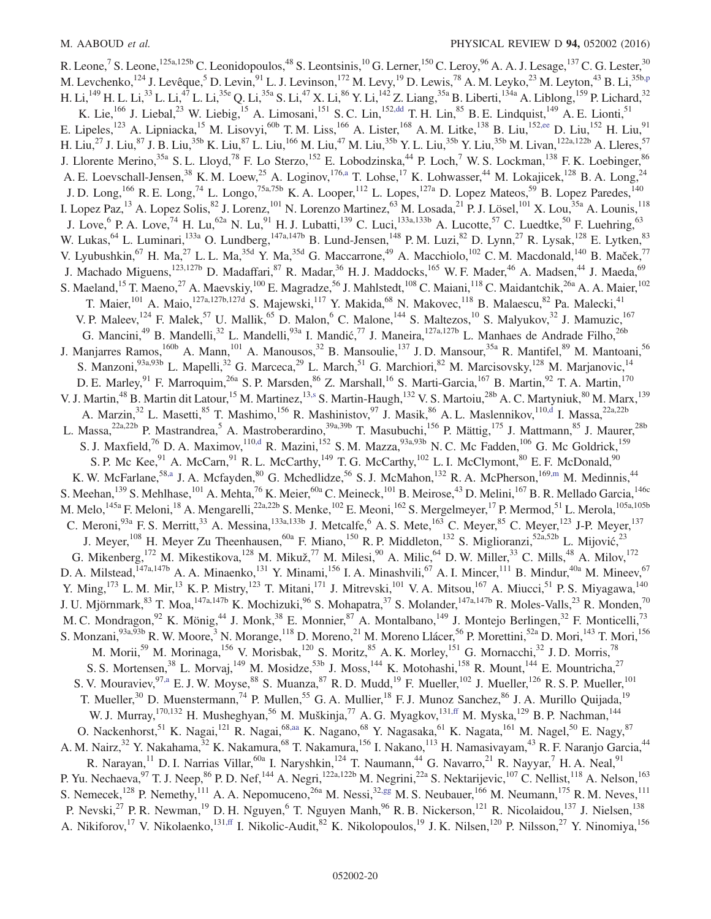<span id="page-20-3"></span><span id="page-20-2"></span><span id="page-20-1"></span><span id="page-20-0"></span>R. Leone,<sup>7</sup> S. Leone,<sup>125a,125b</sup> C. Leonidopoulos,<sup>48</sup> S. Leontsinis,<sup>10</sup> G. Lerner,<sup>150</sup> C. Leroy,<sup>96</sup> A. A. J. Lesage,<sup>137</sup> C. G. Lester,<sup>30</sup> M. Levchenko,<sup>124</sup> J. Levêque,<sup>5</sup> D. Levin,<sup>91</sup> L. J. Levinson,<sup>172</sup> M. Levy,<sup>19</sup> D. Lewis,<sup>78</sup> A. M. Leyko,<sup>23</sup> M. Leyton,<sup>43</sup> B. Li,<sup>35b[,p](#page-27-15)</sup> H. Li,<sup>149</sup> H. L. Li,<sup>33</sup> L. Li,<sup>47</sup> L. Li,<sup>35e</sup> Q. Li,<sup>35a</sup> S. Li,<sup>47</sup> X. Li,<sup>86</sup> Y. Li,<sup>142</sup> Z. Liang,<sup>35a</sup> B. Liberti,<sup>134a</sup> A. Liblong,<sup>159</sup> P. Lichard,<sup>32</sup> K. Lie,<sup>166</sup> J. Liebal,<sup>23</sup> W. Liebig,<sup>15</sup> A. Limosani,<sup>151</sup> S. C. Lin,<sup>15[2,dd](#page-27-29)</sup> T. H. Lin,<sup>85</sup> B. E. Lindquist,<sup>149</sup> A. E. Lionti,<sup>51</sup> E. Lipeles,<sup>123</sup> A. Lipniacka,<sup>15</sup> M. Lisovyi,<sup>60b</sup> T. M. Liss,<sup>166</sup> A. Lister,<sup>168</sup> A. M. Litke,<sup>138</sup> B. Liu,<sup>152[,ee](#page-27-30)</sup> D. Liu,<sup>152</sup> H. Liu,<sup>91</sup> H. Liu,<sup>27</sup> J. Liu,<sup>87</sup> J. B. Liu,<sup>35b</sup> K. Liu,<sup>87</sup> L. Liu,<sup>166</sup> M. Liu,<sup>47</sup> M. Liu,<sup>35b</sup> Y. L. Liu,<sup>35b</sup> Y. Liu,<sup>35b</sup> M. Livan,<sup>122a,122b</sup> A. Lleres,<sup>57</sup> J. Llorente Merino,<sup>35a</sup> S. L. Lloyd,<sup>78</sup> F. Lo Sterzo,<sup>152</sup> E. Lobodzinska,<sup>44</sup> P. Loch,<sup>7</sup> W. S. Lockman,<sup>138</sup> F. K. Loebinger,<sup>86</sup> A. E. Loevschall-Jensen,<sup>38</sup> K. M. Loew,<sup>25</sup> A. Loginov,<sup>17[6,a](#page-27-3)</sup> T. Lohse,<sup>17</sup> K. Lohwasser,<sup>44</sup> M. Lokajicek,<sup>128</sup> B. A. Long,<sup>24</sup> J. D. Long,<sup>166</sup> R. E. Long,<sup>74</sup> L. Longo,<sup>75a,75b</sup> K. A. Looper,<sup>112</sup> L. Lopes,<sup>127a</sup> D. Lopez Mateos,<sup>59</sup> B. Lopez Paredes,<sup>140</sup> I. Lopez Paz,<sup>13</sup> A. Lopez Solis,<sup>82</sup> J. Lorenz,<sup>101</sup> N. Lorenzo Martinez,<sup>63</sup> M. Losada,<sup>21</sup> P. J. Lösel,<sup>101</sup> X. Lou,<sup>35a</sup> A. Lounis,<sup>118</sup> J. Love, <sup>6</sup> P. A. Love,<sup>74</sup> H. Lu,<sup>62a</sup> N. Lu,<sup>91</sup> H. J. Lubatti,<sup>139</sup> C. Luci,<sup>133a,133b</sup> A. Lucotte,<sup>57</sup> C. Luedtke,<sup>50</sup> F. Luehring,<sup>63</sup> W. Lukas, <sup>64</sup> L. Luminari, <sup>133a</sup> O. Lundberg, <sup>147a, 147b</sup> B. Lund-Jensen, <sup>148</sup> P. M. Luzi, <sup>82</sup> D. Lynn, <sup>27</sup> R. Lysak, <sup>128</sup> E. Lytken, <sup>83</sup> V. Lyubushkin, <sup>67</sup> H. Ma, <sup>27</sup> L. L. Ma, <sup>35d</sup> Y. Ma, <sup>35d</sup> G. Maccarrone, <sup>49</sup> A. Macchiolo, <sup>102</sup> C. M. Macdonald, <sup>140</sup> B. Maček, <sup>77</sup> J. Machado Miguens,<sup>123,127b</sup> D. Madaffari,<sup>87</sup> R. Madar,<sup>36</sup> H. J. Maddocks,<sup>165</sup> W. F. Mader,<sup>46</sup> A. Madsen,<sup>44</sup> J. Maeda,<sup>69</sup> S. Maeland,<sup>15</sup> T. Maeno,<sup>27</sup> A. Maevskiy,<sup>100</sup> E. Magradze,<sup>56</sup> J. Mahlstedt,<sup>108</sup> C. Maiani,<sup>118</sup> C. Maidantchik,<sup>26a</sup> A. A. Maier,<sup>102</sup> T. Maier,<sup>101</sup> A. Maio,<sup>127a,127b,127d</sup> S. Majewski,<sup>117</sup> Y. Makida,<sup>68</sup> N. Makovec,<sup>118</sup> B. Malaescu,<sup>82</sup> Pa. Malecki,<sup>41</sup> V. P. Maleev,<sup>124</sup> F. Malek,<sup>57</sup> U. Mallik,<sup>65</sup> D. Malon,<sup>6</sup> C. Malone,<sup>144</sup> S. Maltezos,<sup>10</sup> S. Malyukov,<sup>32</sup> J. Mamuzic,<sup>167</sup> G. Mancini,<sup>49</sup> B. Mandelli,<sup>32</sup> L. Mandelli,<sup>93a</sup> I. Mandić,<sup>77</sup> J. Maneira,<sup>127a,127b</sup> L. Manhaes de Andrade Filho,<sup>26b</sup> J. Manjarres Ramos,<sup>160b</sup> A. Mann,<sup>101</sup> A. Manousos,<sup>32</sup> B. Mansoulie,<sup>137</sup> J. D. Mansour,<sup>35a</sup> R. Mantifel,<sup>89</sup> M. Mantoani,<sup>56</sup> S. Manzoni,<sup>93a,93b</sup> L. Mapelli,<sup>32</sup> G. Marceca,<sup>29</sup> L. March,<sup>51</sup> G. Marchiori,<sup>82</sup> M. Marcisovsky,<sup>128</sup> M. Marjanovic,<sup>14</sup> D. E. Marley, <sup>91</sup> F. Marroquim, <sup>26a</sup> S. P. Marsden, <sup>86</sup> Z. Marshall, <sup>16</sup> S. Marti-Garcia, <sup>167</sup> B. Martin, <sup>92</sup> T. A. Martin, <sup>170</sup> V. J. Martin,<sup>48</sup> B. Martin dit Latour,<sup>15</sup> M. Martinez,<sup>13[,s](#page-27-18)</sup> S. Martin-Haugh,<sup>132</sup> V. S. Martoiu,<sup>28b</sup> A. C. Martyniuk,<sup>80</sup> M. Marx,<sup>139</sup> A. Marzin,<sup>32</sup> L. Masetti,<sup>85</sup> T. Mashimo,<sup>156</sup> R. Mashinistov,<sup>97</sup> J. Masik,<sup>86</sup> A. L. Maslennikov,<sup>11[0,d](#page-27-2)</sup> I. Massa,<sup>22a,22b</sup> L. Massa,<sup>22a,22b</sup> P. Mastrandrea,<sup>5</sup> A. Mastroberardino,<sup>39a,39b</sup> T. Masubuchi,<sup>156</sup> P. Mättig,<sup>175</sup> J. Mattmann,<sup>85</sup> J. Maurer,<sup>28b</sup> S. J. Maxfield,<sup>76</sup> D. A. Maximov,<sup>110[,d](#page-27-2)</sup> R. Mazini,<sup>152</sup> S. M. Mazza,<sup>93a,93b</sup> N. C. Mc Fadden,<sup>106</sup> G. Mc Goldrick,<sup>159</sup> S. P. Mc Kee, <sup>91</sup> A. McCarn, <sup>91</sup> R. L. McCarthy, <sup>149</sup> T. G. McCarthy, <sup>102</sup> L. I. McClymont, <sup>80</sup> E. F. McDonald, <sup>90</sup> K. W. McFarlane,<sup>5[8,a](#page-27-3)</sup> J. A. Mcfayden,<sup>80</sup> G. Mchedlidze,<sup>56</sup> S. J. McMahon,<sup>132</sup> R. A. McPherson,<sup>16[9,m](#page-27-12)</sup> M. Medinnis,<sup>44</sup> S. Meehan,<sup>139</sup> S. Mehlhase,<sup>101</sup> A. Mehta,<sup>76</sup> K. Meier,<sup>60a</sup> C. Meineck,<sup>101</sup> B. Meirose,<sup>43</sup> D. Melini,<sup>167</sup> B. R. Mellado Garcia,<sup>146c</sup> M. Melo,<sup>145a</sup> F. Meloni,<sup>18</sup> A. Mengarelli,<sup>22a,22b</sup> S. Menke,<sup>102</sup> E. Meoni,<sup>162</sup> S. Mergelmeyer,<sup>17</sup> P. Mermod,<sup>51</sup> L. Merola,<sup>105a,105b</sup> C. Meroni,<sup>93a</sup> F. S. Merritt,<sup>33</sup> A. Messina,<sup>133a,133b</sup> J. Metcalfe,<sup>6</sup> A. S. Mete,<sup>163</sup> C. Meyer,<sup>85</sup> C. Meyer,<sup>123</sup> J-P. Meyer,<sup>137</sup> J. Meyer,<sup>108</sup> H. Meyer Zu Theenhausen,<sup>60a</sup> F. Miano,<sup>150</sup> R. P. Middleton,<sup>132</sup> S. Miglioranzi,<sup>52a,52b</sup> L. Mijović,<sup>23</sup> G. Mikenberg, <sup>172</sup> M. Mikestikova, <sup>128</sup> M. Mikuž, <sup>77</sup> M. Milesi, <sup>90</sup> A. Milic, <sup>64</sup> D. W. Miller, <sup>33</sup> C. Mills, <sup>48</sup> A. Milov, <sup>172</sup> D. A. Milstead,<sup>147a,147b</sup> A. A. Minaenko,<sup>131</sup> Y. Minami,<sup>156</sup> I. A. Minashvili,<sup>67</sup> A. I. Mincer,<sup>111</sup> B. Mindur,<sup>40a</sup> M. Mineev,<sup>67</sup> Y. Ming,<sup>173</sup> L. M. Mir,<sup>13</sup> K. P. Mistry,<sup>123</sup> T. Mitani,<sup>171</sup> J. Mitrevski,<sup>101</sup> V. A. Mitsou,<sup>167</sup> A. Miucci,<sup>51</sup> P. S. Miyagawa,<sup>140</sup> J. U. Mjörnmark,<sup>83</sup> T. Moa,<sup>147a,147b</sup> K. Mochizuki,<sup>96</sup> S. Mohapatra,<sup>37</sup> S. Molander,<sup>147a,147b</sup> R. Moles-Valls,<sup>23</sup> R. Monden,<sup>70</sup> M. C. Mondragon,<sup>92</sup> K. Mönig,<sup>44</sup> J. Monk,<sup>38</sup> E. Monnier,<sup>87</sup> A. Montalbano,<sup>149</sup> J. Montejo Berlingen,<sup>32</sup> F. Monticelli,<sup>73</sup> S. Monzani,<sup>93a,93b</sup> R. W. Moore,<sup>3</sup> N. Morange,<sup>118</sup> D. Moreno,<sup>21</sup> M. Moreno Llácer,<sup>56</sup> P. Morettini,<sup>52a</sup> D. Mori,<sup>143</sup> T. Mori,<sup>156</sup> M. Morii,<sup>59</sup> M. Morinaga,<sup>156</sup> V. Morisbak,<sup>120</sup> S. Moritz,<sup>85</sup> A. K. Morley,<sup>151</sup> G. Mornacchi,<sup>32</sup> J. D. Morris,<sup>78</sup> S. S. Mortensen,<sup>38</sup> L. Morvaj,<sup>149</sup> M. Mosidze,<sup>53b</sup> J. Moss,<sup>144</sup> K. Motohashi,<sup>158</sup> R. Mount,<sup>144</sup> E. Mountricha,<sup>27</sup> S. V. Mouraviev,  $97, a \text{ E. J. W. Moyse}^{88}$ , S. Muanza,  $87$ , R. D. Mudd,  $19$ , F. Mueller,  $102$ , J. Mueller,  $126$ , R. S. P. Mueller,  $101$ T. Mueller,<sup>30</sup> D. Muenstermann,<sup>74</sup> P. Mullen,<sup>55</sup> G. A. Mullier,<sup>18</sup> F. J. Munoz Sanchez,<sup>86</sup> J. A. Murillo Quijada,<sup>19</sup> W. J. Murray,<sup>170,132</sup> H. Musheghyan,<sup>56</sup> M. Muškinja,<sup>77</sup> A. G. Myagkov,<sup>131[,ff](#page-27-31)</sup> M. Myska,<sup>129</sup> B. P. Nachman,<sup>144</sup> O. Nackenhorst,<sup>51</sup> K. Nagai,<sup>121</sup> R. Nagai,<sup>68[,aa](#page-27-26)</sup> K. Nagano,<sup>68</sup> Y. Nagasaka,<sup>61</sup> K. Nagata,<sup>161</sup> M. Nagel,<sup>50</sup> E. Nagy,<sup>87</sup> A. M. Nairz,<sup>32</sup> Y. Nakahama,<sup>32</sup> K. Nakamura,<sup>68</sup> T. Nakamura,<sup>156</sup> I. Nakano,<sup>113</sup> H. Namasivayam,<sup>43</sup> R. F. Naranjo Garcia,<sup>44</sup> R. Narayan,<sup>11</sup> D. I. Narrias Villar,<sup>60a</sup> I. Naryshkin,<sup>124</sup> T. Naumann,<sup>44</sup> G. Navarro,<sup>21</sup> R. Nayyar,<sup>7</sup> H. A. Neal,<sup>91</sup> P. Yu. Nechaeva,<sup>97</sup> T. J. Neep,<sup>86</sup> P. D. Nef,<sup>144</sup> A. Negri,<sup>122a,122b</sup> M. Negrini,<sup>22a</sup> S. Nektarijevic,<sup>107</sup> C. Nellist,<sup>118</sup> A. Nelson,<sup>163</sup> S. Nemecek,<sup>128</sup> P. Nemethy,<sup>111</sup> A. A. Nepomuceno,<sup>26a</sup> M. Nessi,<sup>3[2,gg](#page-27-32)</sup> M. S. Neubauer,<sup>166</sup> M. Neumann,<sup>175</sup> R. M. Neves,<sup>111</sup> P. Nevski,<sup>27</sup> P. R. Newman,<sup>19</sup> D. H. Nguyen,<sup>6</sup> T. Nguyen Manh,<sup>96</sup> R. B. Nickerson,<sup>121</sup> R. Nicolaidou,<sup>137</sup> J. Nielsen,<sup>138</sup> A. Nikiforov,<sup>17</sup> V. Nikolaenko,<sup>13[1,ff](#page-27-31)</sup> I. Nikolic-Audit,<sup>82</sup> K. Nikolopoulos,<sup>19</sup> J. K. Nilsen,<sup>120</sup> P. Nilsson,<sup>27</sup> Y. Ninomiya,<sup>156</sup>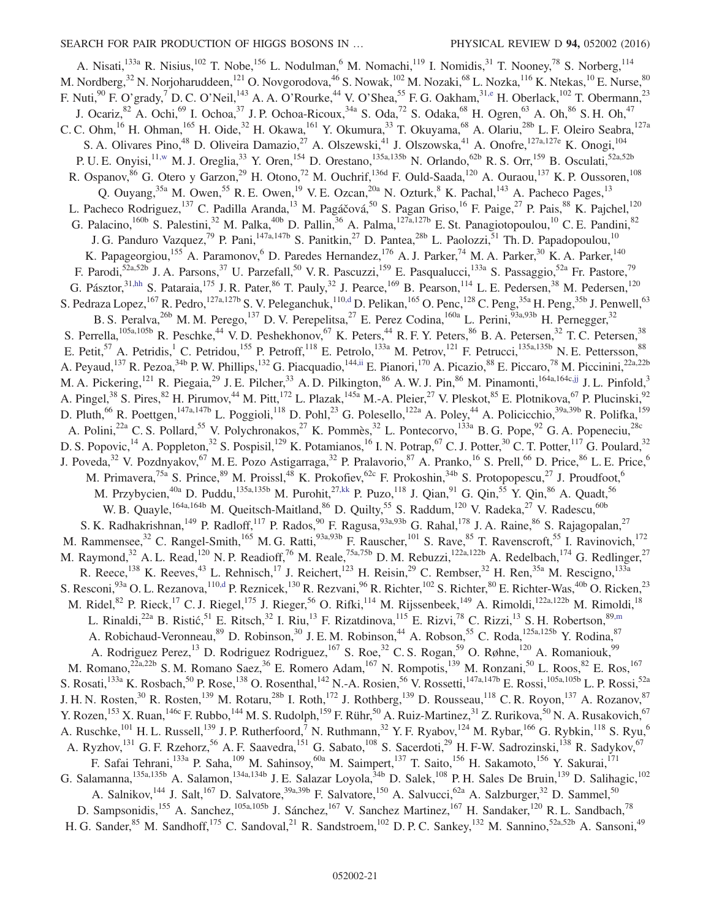<span id="page-21-4"></span><span id="page-21-3"></span><span id="page-21-2"></span><span id="page-21-1"></span><span id="page-21-0"></span>A. Nisati,<sup>133a</sup> R. Nisius,<sup>102</sup> T. Nobe,<sup>156</sup> L. Nodulman,<sup>6</sup> M. Nomachi,<sup>119</sup> I. Nomidis,<sup>31</sup> T. Nooney,<sup>78</sup> S. Norberg,<sup>114</sup> M. Nordberg, $32$  N. Norjoharuddeen, $121$  O. Novgorodova, $46$  S. Nowak, $102$  M. Nozaki, $68$  L. Nozka, $116$  K. Ntekas, $10$  E. Nurse, $80$ F. Nuti,<sup>90</sup> F. O'grady,<sup>7</sup> D. C. O'Neil,<sup>143</sup> A. A. O'Rourke,<sup>44</sup> V. O'Shea,<sup>55</sup> F. G. Oakham,<sup>3[1,e](#page-27-4)</sup> H. Oberlack,<sup>102</sup> T. Obermann,<sup>23</sup> J. Ocariz,  $82$  A. Ochi,  $69$  I. Ochoa,  $37$  J. P. Ochoa-Ricoux,  $34a$  S. Oda,  $72$  S. Odaka,  $68$  H. Ogren,  $63$  A. Oh,  $86$  S. H. Oh,  $47$ C. C. Ohm,<sup>16</sup> H. Ohman,<sup>165</sup> H. Oide,<sup>32</sup> H. Okawa,<sup>161</sup> Y. Okumura,<sup>33</sup> T. Okuyama,<sup>68</sup> A. Olariu,<sup>28b</sup> L. F. Oleiro Seabra,<sup>127a</sup> S. A. Olivares Pino,<sup>48</sup> D. Oliveira Damazio,<sup>27</sup> A. Olszewski,<sup>41</sup> J. Olszowska,<sup>41</sup> A. Onofre,<sup>127a,127e</sup> K. Onogi,<sup>104</sup> P. U. E. Onyisi,<sup>1[1,w](#page-27-22)</sup> M. J. Oreglia,<sup>33</sup> Y. Oren,<sup>154</sup> D. Orestano,<sup>135a,135b</sup> N. Orlando,<sup>62b</sup> R. S. Orr,<sup>159</sup> B. Osculati,<sup>52a,52b</sup> R. Ospanov,<sup>86</sup> G. Otero y Garzon,<sup>29</sup> H. Otono,<sup>72</sup> M. Ouchrif,<sup>136d</sup> F. Ould-Saada,<sup>120</sup> A. Ouraou,<sup>137</sup> K. P. Oussoren,<sup>108</sup> O. Ouyang,  $35a$  M. Owen,  $55$  R. E. Owen,  $19$  V. E. Ozcan,  $20a$  N. Ozturk,  $8$  K. Pachal,  $143$  A. Pacheco Pages,  $13$ L. Pacheco Rodriguez,<sup>137</sup> C. Padilla Aranda,<sup>13</sup> M. Pagáčová,<sup>50</sup> S. Pagan Griso,<sup>16</sup> F. Paige,<sup>27</sup> P. Pais,<sup>88</sup> K. Pajchel,<sup>120</sup> G. Palacino,  $160b$  S. Palestini,  $32$  M. Palka,  $40b$  D. Pallin,  $36$  A. Palma,  $127a,127b$  E. St. Panagiotopoulou,  $10$  C. E. Pandini,  $82$ J. G. Panduro Vazquez,<sup>79</sup> P. Pani,<sup>147a,147b</sup> S. Panitkin,<sup>27</sup> D. Pantea,<sup>28b</sup> L. Paolozzi,<sup>51</sup> Th. D. Papadopoulou,<sup>10</sup> K. Papageorgiou,<sup>155</sup> A. Paramonov,<sup>6</sup> D. Paredes Hernandez,<sup>176</sup> A. J. Parker,<sup>74</sup> M. A. Parker,<sup>30</sup> K. A. Parker,<sup>140</sup> F. Parodi, $\frac{52a,52b}{32a}$  J. A. Parsons,<sup>37</sup> U. Parzefall,<sup>50</sup> V. R. Pascuzzi,<sup>159</sup> E. Pasqualucci,<sup>133a</sup> S. Passaggio,<sup>52a</sup> Fr. Pastore,<sup>79</sup> G. Pásztor,  $31, hh$  S. Pataraia,  $175$  J. R. Pater,  $86$  T. Pauly,  $32$  J. Pearce,  $169$  B. Pearson,  $114$  L. E. Pedersen,  $38$  M. Pedersen,  $120$ S. Pedraza Lopez, <sup>167</sup> R. Pedro, <sup>127a,127b</sup> S. V. Peleganchuk, <sup>11[0,d](#page-27-2)</sup> D. Pelikan, <sup>165</sup> O. Penc, <sup>128</sup> C. Peng, <sup>35a</sup> H. Peng, <sup>35b</sup> J. Penwell, <sup>63</sup> B. S. Peralva,<sup>26b</sup> M. M. Perego,<sup>137</sup> D. V. Perepelitsa,<sup>27</sup> E. Perez Codina,<sup>160a</sup> L. Perini,<sup>93a,93b</sup> H. Pernegger,<sup>32</sup> S. Perrella,<sup>105a,105b</sup> R. Peschke,<sup>44</sup> V. D. Peshekhonov,<sup>67</sup> K. Peters,<sup>44</sup> R. F. Y. Peters,<sup>86</sup> B. A. Petersen,<sup>32</sup> T. C. Petersen,<sup>38</sup> E. Petit,<sup>57</sup> A. Petridis,<sup>1</sup> C. Petridou,<sup>155</sup> P. Petroff,<sup>118</sup> E. Petrolo,<sup>133a</sup> M. Petrov,<sup>121</sup> F. Petrucci,<sup>135a,135b</sup> N. E. Pettersson,<sup>88</sup> A. Peyaud,<sup>137</sup> R. Pezoa,<sup>34b</sup> P. W. Phillips,<sup>132</sup> G. Piacquadio,<sup>14[4,ii](#page-27-34)</sup> E. Pianori,<sup>170</sup> A. Picazio,<sup>88</sup> E. Piccaro,<sup>78</sup> M. Piccinini,<sup>22a,22b</sup> M. A. Pickering,<sup>121</sup> R. Piegaia,<sup>29</sup> J. E. Pilcher,<sup>33</sup> A. D. Pilkington,<sup>86</sup> A. W. J. Pin,<sup>86</sup> M. Pinamonti,<sup>164a,164c[,jj](#page-27-35)</sup> J. L. Pinfold,<sup>3</sup> A. Pingel,<sup>38</sup> S. Pires,<sup>82</sup> H. Pirumov,<sup>44</sup> M. Pitt,<sup>172</sup> L. Plazak,<sup>145a</sup> M.-A. Pleier,<sup>27</sup> V. Pleskot,<sup>85</sup> E. Plotnikova,<sup>67</sup> P. Plucinski,<sup>92</sup> D. Pluth,<sup>66</sup> R. Poettgen,<sup>147a,147b</sup> L. Poggioli,<sup>118</sup> D. Pohl,<sup>23</sup> G. Polesello,<sup>122a</sup> A. Poley,<sup>44</sup> A. Policicchio,<sup>39a,39b</sup> R. Polifka,<sup>159</sup> A. Polini,<sup>22a</sup> C. S. Pollard,<sup>55</sup> V. Polychronakos,<sup>27</sup> K. Pommès,<sup>32</sup> L. Pontecorvo,<sup>133a</sup> B. G. Pope,<sup>92</sup> G. A. Popeneciu,<sup>28c</sup> D. S. Popovic,<sup>14</sup> A. Poppleton,<sup>32</sup> S. Pospisil,<sup>129</sup> K. Potamianos,<sup>16</sup> I. N. Potrap,<sup>67</sup> C. J. Potter,<sup>30</sup> C. T. Potter,<sup>117</sup> G. Poulard,<sup>32</sup> J. Poveda,<sup>32</sup> V. Pozdnyakov,<sup>67</sup> M. E. Pozo Astigarraga,<sup>32</sup> P. Pralavorio,<sup>87</sup> A. Pranko,<sup>16</sup> S. Prell,<sup>66</sup> D. Price,<sup>86</sup> L. E. Price,<sup>6</sup> M. Primavera,<sup>75a</sup> S. Prince,<sup>89</sup> M. Proissl,<sup>48</sup> K. Prokofiev,<sup>62c</sup> F. Prokoshin,<sup>34b</sup> S. Protopopescu,<sup>27</sup> J. Proudfoot,<sup>6</sup> M. Przybycien,<sup>40a</sup> D. Puddu,<sup>135a,135b</sup> M. Purohit,<sup>2[7,kk](#page-27-36)</sup> P. Puzo,<sup>118</sup> J. Qian,<sup>91</sup> G. Qin,<sup>55</sup> Y. Qin,<sup>86</sup> A. Quadt,<sup>56</sup> W. B. Quayle,<sup>164a,164b</sup> M. Queitsch-Maitland,<sup>86</sup> D. Quilty,<sup>55</sup> S. Raddum,<sup>120</sup> V. Radeka,<sup>27</sup> V. Radescu,<sup>60b</sup> S. K. Radhakrishnan, <sup>149</sup> P. Radloff, <sup>117</sup> P. Rados, <sup>90</sup> F. Ragusa, <sup>93a, 93b</sup> G. Rahal, <sup>178</sup> J. A. Raine, <sup>86</sup> S. Rajagopalan, <sup>27</sup> M. Rammensee,<sup>32</sup> C. Rangel-Smith,<sup>165</sup> M. G. Ratti,<sup>93a,93b</sup> F. Rauscher,<sup>101</sup> S. Rave,<sup>85</sup> T. Ravenscroft,<sup>55</sup> I. Ravinovich,<sup>172</sup> M. Raymond,<sup>32</sup> A. L. Read,<sup>120</sup> N. P. Readioff,<sup>76</sup> M. Reale,<sup>75a,75b</sup> D. M. Rebuzzi,<sup>122a,122b</sup> A. Redelbach,<sup>174</sup> G. Redlinger,<sup>27</sup> R. Reece,<sup>138</sup> K. Reeves,<sup>43</sup> L. Rehnisch,<sup>17</sup> J. Reichert,<sup>123</sup> H. Reisin,<sup>29</sup> C. Rembser,<sup>32</sup> H. Ren,<sup>35a</sup> M. Rescigno,<sup>133a</sup> S. Resconi,<sup>93a</sup> O. L. Rezanova,<sup>11[0,d](#page-27-2)</sup> P. Reznicek,<sup>130</sup> R. Rezvani,<sup>96</sup> R. Richter,<sup>102</sup> S. Richter,<sup>80</sup> E. Richter-Was,<sup>40b</sup> O. Ricken,<sup>23</sup> M. Ridel,<sup>82</sup> P. Rieck,<sup>17</sup> C. J. Riegel,<sup>175</sup> J. Rieger,<sup>56</sup> O. Rifki,<sup>114</sup> M. Rijssenbeek,<sup>149</sup> A. Rimoldi,<sup>122a,122b</sup> M. Rimoldi,<sup>18</sup> L. Rinaldi,<sup>22a</sup> B. Ristić,<sup>51</sup> E. Ritsch,<sup>32</sup> I. Riu,<sup>13</sup> F. Rizatdinova,<sup>115</sup> E. Rizvi,<sup>78</sup> C. Rizzi,<sup>13</sup> S. H. Robertson,<sup>89[,m](#page-27-12)</sup> A. Robichaud-Veronneau,<sup>89</sup> D. Robinson,<sup>30</sup> J. E. M. Robinson,<sup>44</sup> A. Robson,<sup>55</sup> C. Roda,<sup>125a,125b</sup> Y. Rodina,<sup>87</sup> A. Rodriguez Perez,<sup>13</sup> D. Rodriguez Rodriguez,<sup>167</sup> S. Roe,<sup>32</sup> C. S. Rogan,<sup>59</sup> O. Røhne,<sup>120</sup> A. Romaniouk,<sup>99</sup> M. Romano,<sup>22a,22b</sup> S. M. Romano Saez,<sup>36</sup> E. Romero Adam,<sup>167</sup> N. Rompotis,<sup>139</sup> M. Ronzani,<sup>50</sup> L. Roos,<sup>82</sup> E. Ros,<sup>167</sup> S. Rosati,<sup>133a</sup> K. Rosbach,<sup>50</sup> P. Rose,<sup>138</sup> O. Rosenthal,<sup>142</sup> N.-A. Rosien,<sup>56</sup> V. Rossetti,<sup>147a,147b</sup> E. Rossi,<sup>105a,105b</sup> L. P. Rossi,<sup>52a</sup> J. H. N. Rosten,<sup>30</sup> R. Rosten,<sup>139</sup> M. Rotaru,<sup>28b</sup> I. Roth,<sup>172</sup> J. Rothberg,<sup>139</sup> D. Rousseau,<sup>118</sup> C. R. Royon,<sup>137</sup> A. Rozanov,<sup>87</sup> Y. Rozen,<sup>153</sup> X. Ruan,<sup>146c</sup> F. Rubbo,<sup>144</sup> M. S. Rudolph,<sup>159</sup> F. Rühr,<sup>50</sup> A. Ruiz-Martinez,<sup>31</sup> Z. Rurikova,<sup>50</sup> N. A. Rusakovich,<sup>67</sup> A. Ruschke,<sup>101</sup> H. L. Russell,<sup>139</sup> J. P. Rutherfoord,<sup>7</sup> N. Ruthmann,<sup>32</sup> Y. F. Ryabov,<sup>124</sup> M. Rybar,<sup>166</sup> G. Rybkin,<sup>118</sup> S. Ryu,<sup>6</sup> A. Ryzhov,<sup>131</sup> G. F. Rzehorz,<sup>56</sup> A. F. Saavedra,<sup>151</sup> G. Sabato,<sup>108</sup> S. Sacerdoti,<sup>29</sup> H. F-W. Sadrozinski,<sup>138</sup> R. Sadykov,<sup>67</sup> F. Safai Tehrani,<sup>133a</sup> P. Saha,<sup>109</sup> M. Sahinsoy,<sup>60a</sup> M. Saimpert,<sup>137</sup> T. Saito,<sup>156</sup> H. Sakamoto,<sup>156</sup> Y. Sakurai,<sup>171</sup> G. Salamanna,<sup>135a,135b</sup> A. Salamon,<sup>134a,134b</sup> J. E. Salazar Loyola,<sup>34b</sup> D. Salek,<sup>108</sup> P. H. Sales De Bruin,<sup>139</sup> D. Salihagic,<sup>102</sup> A. Salnikov,<sup>144</sup> J. Salt,<sup>167</sup> D. Salvatore,<sup>39a,39b</sup> F. Salvatore,<sup>150</sup> A. Salvucci,<sup>62a</sup> A. Salzburger,<sup>32</sup> D. Sammel,<sup>50</sup> D. Sampsonidis,<sup>155</sup> A. Sanchez,<sup>105a,105b</sup> J. Sánchez,<sup>167</sup> V. Sanchez Martinez,<sup>167</sup> H. Sandaker,<sup>120</sup> R. L. Sandbach,<sup>78</sup> H. G. Sander, <sup>85</sup> M. Sandhoff,<sup>175</sup> C. Sandoval,<sup>21</sup> R. Sandstroem,<sup>102</sup> D. P. C. Sankey,<sup>132</sup> M. Sannino,<sup>52a,52b</sup> A. Sansoni,<sup>49</sup>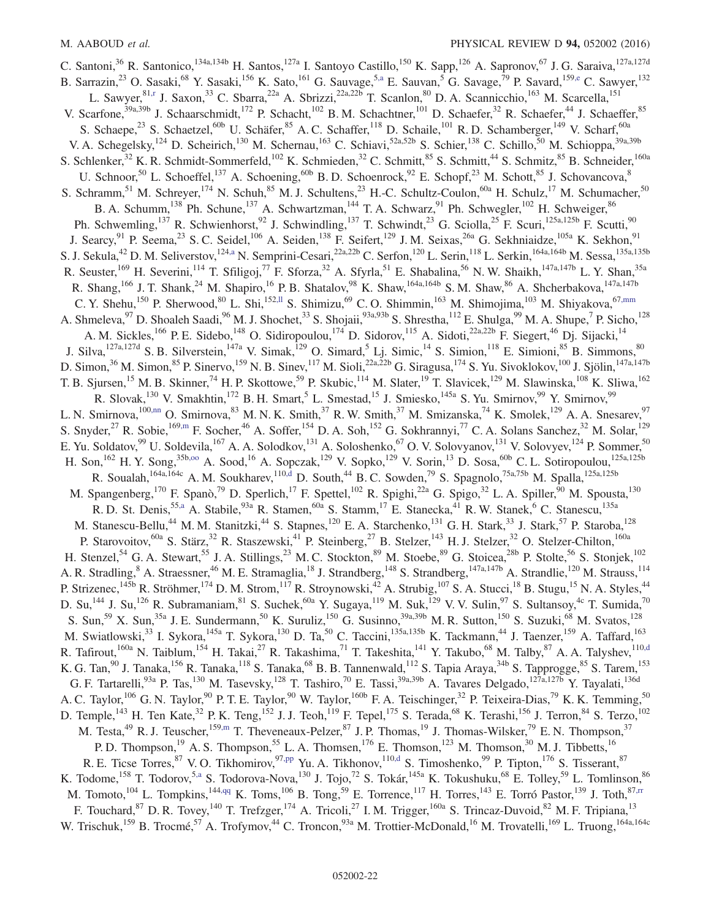<span id="page-22-2"></span><span id="page-22-1"></span><span id="page-22-0"></span>C. Santoni,<sup>36</sup> R. Santonico,<sup>134a,134b</sup> H. Santos,<sup>127a</sup> I. Santoyo Castillo,<sup>150</sup> K. Sapp,<sup>126</sup> A. Sapronov,<sup>67</sup> J. G. Saraiva,<sup>127a,127d</sup> B. Sarrazin,<sup>23</sup> O. Sasaki,<sup>68</sup> Y. Sasaki,<sup>156</sup> K. Sato,<sup>161</sup> G. Sauvage,<sup>[5,a](#page-27-3)</sup> E. Sauvan,<sup>5</sup> G. Savage,<sup>79</sup> P. Savard,<sup>159[,e](#page-27-4)</sup> C. Sawyer,<sup>132</sup> L. Sawyer, <sup>81[,r](#page-27-17)</sup> J. Saxon,<sup>33</sup> C. Sbarra,<sup>22a</sup> A. Sbrizzi,<sup>22a,22b</sup> T. Scanlon, <sup>80</sup> D. A. Scannicchio, <sup>163</sup> M. Scarcella, <sup>151</sup> V. Scarfone,<sup>39a,39b</sup> J. Schaarschmidt,<sup>172</sup> P. Schacht,<sup>102</sup> B. M. Schachtner,<sup>101</sup> D. Schaefer,<sup>32</sup> R. Schaefer,<sup>44</sup> J. Schaeffer,<sup>85</sup> S. Schaepe,<sup>23</sup> S. Schaetzel,<sup>60b</sup> U. Schäfer,<sup>85</sup> A. C. Schaffer,<sup>118</sup> D. Schaile,<sup>101</sup> R. D. Schamberger,<sup>149</sup> V. Scharf,<sup>60a</sup> V. A. Schegelsky,<sup>124</sup> D. Scheirich,<sup>130</sup> M. Schernau,<sup>163</sup> C. Schiavi,<sup>52a,52b</sup> S. Schier,<sup>138</sup> C. Schillo,<sup>50</sup> M. Schioppa,<sup>39a,39b</sup> S. Schlenker,<sup>32</sup> K. R. Schmidt-Sommerfeld,<sup>102</sup> K. Schmieden,<sup>32</sup> C. Schmitt,<sup>85</sup> S. Schmitt,<sup>44</sup> S. Schmitz,<sup>85</sup> B. Schneider,<sup>160a</sup> U. Schnoor,<sup>50</sup> L. Schoeffel,<sup>137</sup> A. Schoening,<sup>60b</sup> B. D. Schoenrock,<sup>92</sup> E. Schopf,<sup>23</sup> M. Schott,<sup>85</sup> J. Schovancova,<sup>8</sup> S. Schramm,<sup>51</sup> M. Schreyer,<sup>174</sup> N. Schuh,<sup>85</sup> M. J. Schultens,<sup>23</sup> H.-C. Schultz-Coulon,<sup>60a</sup> H. Schulz,<sup>17</sup> M. Schumacher,<sup>50</sup> B. A. Schumm,<sup>138</sup> Ph. Schune,<sup>137</sup> A. Schwartzman,<sup>144</sup> T. A. Schwarz,<sup>91</sup> Ph. Schwegler,<sup>102</sup> H. Schweiger,<sup>86</sup> Ph. Schwemling,<sup>137</sup> R. Schwienhorst,<sup>92</sup> J. Schwindling,<sup>137</sup> T. Schwindt,<sup>23</sup> G. Sciolla,<sup>25</sup> F. Scuri,<sup>125a,125b</sup> F. Scutti,<sup>90</sup> J. Searcy,<sup>91</sup> P. Seema,<sup>23</sup> S. C. Seidel,<sup>106</sup> A. Seiden,<sup>138</sup> F. Seifert,<sup>129</sup> J. M. Seixas,<sup>26a</sup> G. Sekhniaidze,<sup>105a</sup> K. Sekhon,<sup>91</sup> S. J. Sekula,<sup>42</sup> D. M. Seliverstov,<sup>12[4,a](#page-27-3)</sup> N. Semprini-Cesari,<sup>22a,22b</sup> C. Serfon,<sup>120</sup> L. Serin,<sup>118</sup> L. Serkin,<sup>164a,164b</sup> M. Sessa,<sup>135a,135b</sup> R. Seuster,  $^{169}$  H. Severini,  $^{114}$  T. Sfiligoj,  $^{77}$  F. Sforza,  $^{32}$  A. Sfyrla,  $^{51}$  E. Shabalina,  $^{56}$  N. W. Shaikh,  $^{147a,147b}$  L. Y. Shan,  $^{35a}$ R. Shang,<sup>166</sup> J. T. Shank,<sup>24</sup> M. Shapiro,<sup>16</sup> P. B. Shatalov,<sup>98</sup> K. Shaw,<sup>164a,164b</sup> S. M. Shaw,<sup>86</sup> A. Shcherbakova,<sup>147a,147b</sup> C. Y. Shehu,<sup>150</sup> P. Sherwood,<sup>80</sup> L. Shi,<sup>15[2,ll](#page-27-37)</sup> S. Shimizu,<sup>69</sup> C. O. Shimmin,<sup>163</sup> M. Shimojima,<sup>103</sup> M. Shiyakova,<sup>67[,mm](#page-27-38)</sup> A. Shmeleva,  $^{97}$  D. Shoaleh Saadi,  $^{96}$  M. J. Shochet,  $^{33}$  S. Shojaii,  $^{93a,93b}$  S. Shrestha,  $^{112}$  E. Shulga,  $^{99}$  M. A. Shupe,  $^{7}$  P. Sicho,  $^{128}$ A. M. Sickles,<sup>166</sup> P. E. Sidebo,<sup>148</sup> O. Sidiropoulou,<sup>174</sup> D. Sidorov,<sup>115</sup> A. Sidoti,<sup>22a,22b</sup> F. Siegert,<sup>46</sup> Dj. Sijacki,<sup>14</sup> J. Silva,<sup>127a,127d</sup> S. B. Silverstein,<sup>147a</sup> V. Simak,<sup>129</sup> O. Simard,<sup>5</sup> Lj. Simic,<sup>14</sup> S. Simion,<sup>118</sup> E. Simioni,<sup>85</sup> B. Simmons,<sup>80</sup> D. Simon,<sup>36</sup> M. Simon,<sup>85</sup> P. Sinervo,<sup>159</sup> N. B. Sinev,<sup>117</sup> M. Sioli,<sup>22a,22b</sup> G. Siragusa,<sup>174</sup> S. Yu. Sivoklokov,<sup>100</sup> J. Sjölin,<sup>147a,147b</sup> T. B. Sjursen,<sup>15</sup> M. B. Skinner,<sup>74</sup> H. P. Skottowe,<sup>59</sup> P. Skubic,<sup>114</sup> M. Slater,<sup>19</sup> T. Slavicek,<sup>129</sup> M. Slawinska,<sup>108</sup> K. Sliwa,<sup>162</sup> R. Slovak,<sup>130</sup> V. Smakhtin,<sup>172</sup> B. H. Smart,<sup>5</sup> L. Smestad,<sup>15</sup> J. Smiesko,<sup>145a</sup> S. Yu. Smirnov,<sup>99</sup> Y. Smirnov,<sup>99</sup> L. N. Smirnova,<sup>10[0,nn](#page-27-39)</sup> O. Smirnova,<sup>83</sup> M. N. K. Smith,<sup>37</sup> R. W. Smith,<sup>37</sup> M. Smizanska,<sup>74</sup> K. Smolek,<sup>129</sup> A. A. Snesarev,<sup>97</sup> S. Snyder,<sup>27</sup> R. Sobie,<sup>169[,m](#page-27-12)</sup> F. Socher,<sup>46</sup> A. Soffer,<sup>154</sup> D. A. Soh,<sup>152</sup> G. Sokhrannyi,<sup>77</sup> C. A. Solans Sanchez,<sup>32</sup> M. Solar,<sup>129</sup> E. Yu. Soldatov,  $99$  U. Soldevila,  $^{167}$  A. A. Solodkov,  $^{131}$  A. Soloshenko,  $^{67}$  O. V. Solovyanov,  $^{131}$  V. Solovyev,  $^{124}$  P. Sommer,  $^{50}$ H. Son,<sup>162</sup> H. Y. Song,<sup>35b[,oo](#page-28-0)</sup> A. Sood,<sup>16</sup> A. Sopczak,<sup>129</sup> V. Sopko,<sup>129</sup> V. Sorin,<sup>13</sup> D. Sosa,<sup>60b</sup> C. L. Sotiropoulou,<sup>125a,125b</sup> R. Soualah, <sup>164a,164c</sup> A. M. Soukharev, <sup>11[0,d](#page-27-2)</sup> D. South, <sup>44</sup> B. C. Sowden, <sup>79</sup> S. Spagnolo, <sup>75a,75b</sup> M. Spalla, <sup>125a,125b</sup> M. Spangenberg,<sup>170</sup> F. Spanò,<sup>79</sup> D. Sperlich,<sup>17</sup> F. Spettel,<sup>102</sup> R. Spighi,<sup>22a</sup> G. Spigo,<sup>32</sup> L. A. Spiller,<sup>90</sup> M. Spousta,<sup>130</sup> R. D. St. Denis,<sup>5[5,a](#page-27-3)</sup> A. Stabile,<sup>93a</sup> R. Stamen,<sup>60a</sup> S. Stamm,<sup>17</sup> E. Stanecka,<sup>41</sup> R. W. Stanek,<sup>6</sup> C. Stanescu,<sup>135a</sup> M. Stanescu-Bellu,<sup>44</sup> M. M. Stanitzki,<sup>44</sup> S. Stapnes,<sup>120</sup> E. A. Starchenko,<sup>131</sup> G. H. Stark,<sup>33</sup> J. Stark,<sup>57</sup> P. Staroba,<sup>128</sup> P. Starovoitov,<sup>60a</sup> S. Stärz,<sup>32</sup> R. Staszewski,<sup>41</sup> P. Steinberg,<sup>27</sup> B. Stelzer,<sup>143</sup> H. J. Stelzer,<sup>32</sup> O. Stelzer-Chilton,<sup>160a</sup> H. Stenzel,<sup>54</sup> G. A. Stewart,<sup>55</sup> J. A. Stillings,<sup>23</sup> M. C. Stockton,<sup>89</sup> M. Stoebe,<sup>89</sup> G. Stoicea,<sup>28b</sup> P. Stolte,<sup>56</sup> S. Stonjek,<sup>102</sup> A. R. Stradling,<sup>8</sup> A. Straessner,<sup>46</sup> M. E. Stramaglia,<sup>18</sup> J. Strandberg,<sup>148</sup> S. Strandberg,<sup>147a,147b</sup> A. Strandlie,<sup>120</sup> M. Strauss,<sup>114</sup> P. Strizenec,<sup>145b</sup> R. Ströhmer,<sup>174</sup> D. M. Strom,<sup>117</sup> R. Stroynowski,<sup>42</sup> A. Strubig,<sup>107</sup> S. A. Stucci,<sup>18</sup> B. Stugu,<sup>15</sup> N. A. Styles,<sup>44</sup> D. Su,<sup>144</sup> J. Su,<sup>126</sup> R. Subramaniam, <sup>81</sup> S. Suchek, <sup>60a</sup> Y. Sugaya, <sup>119</sup> M. Suk, <sup>129</sup> V. V. Sulin, <sup>97</sup> S. Sultansoy, <sup>4c</sup> T. Sumida, <sup>70</sup> S. Sun,<sup>59</sup> X. Sun,<sup>35a</sup> J. E. Sundermann,<sup>50</sup> K. Suruliz,<sup>150</sup> G. Susinno,<sup>39a,39b</sup> M. R. Sutton,<sup>150</sup> S. Suzuki,<sup>68</sup> M. Svatos,<sup>128</sup> M. Swiatlowski,<sup>33</sup> I. Sykora,<sup>145a</sup> T. Sykora,<sup>130</sup> D. Ta,<sup>50</sup> C. Taccini,<sup>135a,135b</sup> K. Tackmann,<sup>44</sup> J. Taenzer,<sup>159</sup> A. Taffard,<sup>163</sup> R. Tafirout,<sup>160a</sup> N. Taiblum,<sup>154</sup> H. Takai,<sup>27</sup> R. Takashima,<sup>71</sup> T. Takeshita,<sup>141</sup> Y. Takubo,<sup>68</sup> M. Talby,<sup>87</sup> A. A. Talyshev,<sup>110[,d](#page-27-2)</sup> K. G. Tan,<sup>90</sup> J. Tanaka,<sup>156</sup> R. Tanaka,<sup>118</sup> S. Tanaka,<sup>68</sup> B. B. Tannenwald,<sup>112</sup> S. Tapia Araya,<sup>34b</sup> S. Tapprogge,<sup>85</sup> S. Tarem,<sup>153</sup> G. F. Tartarelli,<sup>93a</sup> P. Tas,<sup>130</sup> M. Tasevsky,<sup>128</sup> T. Tashiro,<sup>70</sup> E. Tassi,<sup>39a,39b</sup> A. Tavares Delgado,<sup>127a,127b</sup> Y. Tayalati,<sup>136d</sup> A. C. Taylor,<sup>106</sup> G. N. Taylor,<sup>90</sup> P. T. E. Taylor,<sup>90</sup> W. Taylor,<sup>160b</sup> F. A. Teischinger,<sup>32</sup> P. Teixeira-Dias,<sup>79</sup> K. K. Temming,<sup>50</sup> D. Temple,<sup>143</sup> H. Ten Kate,<sup>32</sup> P. K. Teng,<sup>152</sup> J. J. Teoh,<sup>119</sup> F. Tepel,<sup>175</sup> S. Terada,<sup>68</sup> K. Terashi,<sup>156</sup> J. Terron,<sup>84</sup> S. Terzo,<sup>102</sup> M. Testa, <sup>49</sup> R. J. Teuscher, <sup>15[9,m](#page-27-12)</sup> T. Theveneaux-Pelzer, <sup>87</sup> J. P. Thomas, <sup>19</sup> J. Thomas-Wilsker, <sup>79</sup> E. N. Thompson, <sup>37</sup> P. D. Thompson,<sup>19</sup> A. S. Thompson,<sup>55</sup> L. A. Thomsen,<sup>176</sup> E. Thomson,<sup>123</sup> M. Thomson,<sup>30</sup> M. J. Tibbetts,<sup>16</sup> R. E. Ticse Torres, <sup>87</sup> V. O. Tikhomirov, <sup>9[7,pp](#page-28-1)</sup> Yu. A. Tikhonov, <sup>110[,d](#page-27-2)</sup> S. Timoshenko, <sup>99</sup> P. Tipton, <sup>176</sup> S. Tisserant, <sup>87</sup> K. Todome,<sup>158</sup> T. Todorov,<sup>5[,a](#page-27-3)</sup> S. Todorova-Nova,<sup>130</sup> J. Tojo,<sup>72</sup> S. Tokár,<sup>145a</sup> K. Tokushuku,<sup>68</sup> E. Tolley,<sup>59</sup> L. Tomlinson,<sup>86</sup> M. Tomoto,  $^{104}$  L. Tompkins,  $^{144,qq}$  $^{144,qq}$  $^{144,qq}$  K. Toms,  $^{106}$  B. Tong,  $^{59}$  E. Torrence,  $^{117}$  H. Torres,  $^{143}$  E. Torró Pastor,  $^{139}$  J. Toth,  $^{87,rr}$  $^{87,rr}$  $^{87,rr}$ F. Touchard, <sup>87</sup> D. R. Tovey, <sup>140</sup> T. Trefzger, <sup>174</sup> A. Tricoli, <sup>27</sup> I. M. Trigger, <sup>160a</sup> S. Trincaz-Duvoid, <sup>82</sup> M. F. Tripiana, <sup>13</sup> W. Trischuk,<sup>159</sup> B. Trocmé,<sup>57</sup> A. Trofymov,<sup>44</sup> C. Troncon,<sup>93a</sup> M. Trottier-McDonald,<sup>16</sup> M. Trovatelli,<sup>169</sup> L. Truong,<sup>164a,164c</sup>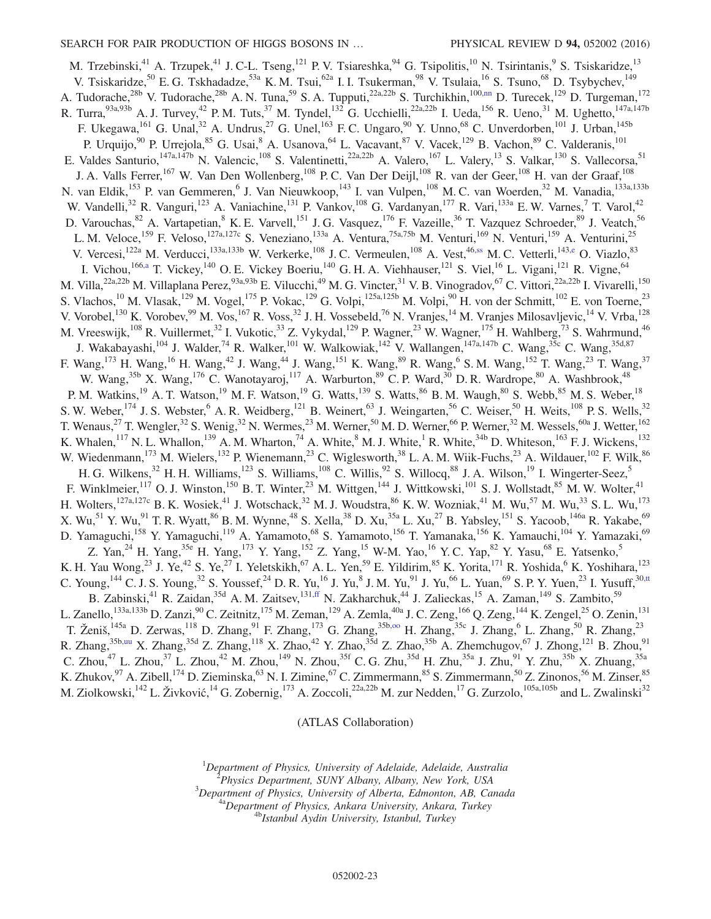M. Trzebinski,<sup>41</sup> A. Trzupek,<sup>41</sup> J. C-L. Tseng,<sup>121</sup> P. V. Tsiareshka,<sup>94</sup> G. Tsipolitis,<sup>10</sup> N. Tsirintanis,<sup>9</sup> S. Tsiskaridze,<sup>13</sup> V. Tsiskaridze,<sup>50</sup> E. G. Tskhadadze,<sup>53a</sup> K. M. Tsui,<sup>62a</sup> I. I. Tsukerman,<sup>98</sup> V. Tsulaia,<sup>16</sup> S. Tsuno,<sup>68</sup> D. Tsybychev,<sup>149</sup> A. Tudorache,<sup>28b</sup> V. Tudorache,<sup>28b</sup> A. N. Tuna,<sup>59</sup> S. A. Tupputi,<sup>22a,22b</sup> S. Turchikhin,<sup>10[0,nn](#page-27-39)</sup> D. Turecek,<sup>129</sup> D. Turgeman,<sup>172</sup> R. Turra,<sup>93a,93b</sup> A. J. Turvey,<sup>42</sup> P. M. Tuts,<sup>37</sup> M. Tyndel,<sup>132</sup> G. Ucchielli,<sup>22a,22b</sup> I. Ueda,<sup>156</sup> R. Ueno,<sup>31</sup> M. Ughetto,<sup>147a,147b</sup> F. Ukegawa,  $^{161}$  G. Unal,  $^{32}$  A. Undrus,  $^{27}$  G. Unel,  $^{163}$  F. C. Ungaro,  $^{90}$  Y. Unno,  $^{68}$  C. Unverdorben,  $^{101}$  J. Urban,  $^{145b}$ P. Urquijo,<sup>90</sup> P. Urrejola,<sup>85</sup> G. Usai,<sup>8</sup> A. Usanova,<sup>64</sup> L. Vacavant,<sup>87</sup> V. Vacek,<sup>129</sup> B. Vachon,<sup>89</sup> C. Valderanis,<sup>101</sup> E. Valdes Santurio,<sup>147a,147b</sup> N. Valencic,<sup>108</sup> S. Valentinetti,<sup>22a,22b</sup> A. Valero,<sup>167</sup> L. Valery,<sup>13</sup> S. Valkar,<sup>130</sup> S. Vallecorsa,<sup>51</sup> J. A. Valls Ferrer,<sup>167</sup> W. Van Den Wollenberg,<sup>108</sup> P. C. Van Der Deijl,<sup>108</sup> R. van der Geer,<sup>108</sup> H. van der Graaf,<sup>108</sup> N. van Eldik,<sup>153</sup> P. van Gemmeren, <sup>6</sup> J. Van Nieuwkoop, <sup>143</sup> I. van Vulpen, <sup>108</sup> M. C. van Woerden, <sup>32</sup> M. Vanadia, <sup>133a, 133b</sup> W. Vandelli,<sup>32</sup> R. Vanguri,<sup>123</sup> A. Vaniachine,<sup>131</sup> P. Vankov,<sup>108</sup> G. Vardanyan,<sup>177</sup> R. Vari,<sup>133a</sup> E. W. Varnes,<sup>7</sup> T. Varol,<sup>42</sup> D. Varouchas, <sup>82</sup> A. Vartapetian, <sup>8</sup> K. E. Varvell, <sup>151</sup> J. G. Vasquez, <sup>176</sup> F. Vazeille, <sup>36</sup> T. Vazquez Schroeder, <sup>89</sup> J. Veatch, <sup>56</sup> L. M. Veloce,<sup>159</sup> F. Veloso,<sup>127a,127c</sup> S. Veneziano,<sup>133a</sup> A. Ventura,<sup>75a,75b</sup> M. Venturi,<sup>169</sup> N. Venturi,<sup>159</sup> A. Venturini,<sup>25</sup> V. Vercesi,<sup>122a</sup> M. Verducci,<sup>133a,133b</sup> W. Verkerke,<sup>108</sup> J. C. Vermeulen,<sup>108</sup> A. Vest,<sup>46[,ss](#page-28-4)</sup> M. C. Vetterli,<sup>143[,e](#page-27-4)</sup> O. Viazlo,<sup>83</sup> I. Vichou, <sup>16[6,a](#page-27-3)</sup> T. Vickey, <sup>140</sup> O. E. Vickey Boeriu, <sup>140</sup> G. H. A. Viehhauser, <sup>121</sup> S. Viel, <sup>16</sup> L. Vigani, <sup>121</sup> R. Vigne, <sup>64</sup> M. Villa,<sup>22a,22b</sup> M. Villaplana Perez,<sup>93a,93b</sup> E. Vilucchi,<sup>49</sup> M. G. Vincter,<sup>31</sup> V. B. Vinogradov,<sup>67</sup> C. Vittori,<sup>22a,22b</sup> I. Vivarelli,<sup>150</sup> S. Vlachos,<sup>10</sup> M. Vlasak,<sup>129</sup> M. Vogel,<sup>175</sup> P. Vokac,<sup>129</sup> G. Volpi,<sup>125a,125b</sup> M. Volpi,<sup>90</sup> H. von der Schmitt,<sup>102</sup> E. von Toerne,<sup>23</sup> V. Vorobel,<sup>130</sup> K. Vorobev,<sup>99</sup> M. Vos,<sup>167</sup> R. Voss,<sup>32</sup> J. H. Vossebeld,<sup>76</sup> N. Vranjes,<sup>14</sup> M. Vranjes Milosavljevic,<sup>14</sup> V. Vrba,<sup>128</sup> M. Vreeswijk,<sup>108</sup> R. Vuillermet,<sup>32</sup> I. Vukotic,<sup>33</sup> Z. Vykydal,<sup>129</sup> P. Wagner,<sup>23</sup> W. Wagner,<sup>175</sup> H. Wahlberg,<sup>73</sup> S. Wahrmund,<sup>46</sup> J. Wakabayashi,<sup>104</sup> J. Walder,<sup>74</sup> R. Walker,<sup>101</sup> W. Walkowiak,<sup>142</sup> V. Wallangen,<sup>147a,147b</sup> C. Wang,<sup>35c</sup> C. Wang,<sup>35d,87</sup> F. Wang,<sup>173</sup> H. Wang,<sup>16</sup> H. Wang,<sup>42</sup> J. Wang,<sup>44</sup> J. Wang,<sup>151</sup> K. Wang,<sup>89</sup> R. Wang,<sup>6</sup> S. M. Wang,<sup>152</sup> T. Wang,<sup>23</sup> T. Wang,<sup>37</sup> W. Wang,<sup>35b</sup> X. Wang,<sup>176</sup> C. Wanotayaroj,<sup>117</sup> A. Warburton,<sup>89</sup> C. P. Ward,<sup>30</sup> D. R. Wardrope,<sup>80</sup> A. Washbrook,<sup>48</sup> P. M. Watkins,<sup>19</sup> A. T. Watson,<sup>19</sup> M. F. Watson,<sup>19</sup> G. Watts,<sup>139</sup> S. Watts,<sup>86</sup> B. M. Waugh,<sup>80</sup> S. Webb,<sup>85</sup> M. S. Weber,<sup>18</sup> S. W. Weber, <sup>174</sup> J. S. Webster,  $6$  A. R. Weidberg,  $^{121}$  B. Weinert,  $^{63}$  J. Weingarten,  $^{56}$  C. Weiser,  $^{50}$  H. Weits,  $^{108}$  P. S. Wells,  $^{32}$ T. Wenaus,<sup>27</sup> T. Wengler,<sup>32</sup> S. Wenig,<sup>32</sup> N. Wermes,<sup>23</sup> M. Werner,<sup>50</sup> M. D. Werner,<sup>66</sup> P. Werner,<sup>32</sup> M. Wessels,<sup>60a</sup> J. Wetter,<sup>162</sup> K. Whalen,<sup>117</sup> N. L. Whallon,<sup>139</sup> A. M. Wharton,<sup>74</sup> A. White,<sup>8</sup> M. J. White,<sup>1</sup> R. White,<sup>34b</sup> D. Whiteson,<sup>163</sup> F. J. Wickens,<sup>132</sup> W. Wiedenmann,<sup>173</sup> M. Wielers,<sup>132</sup> P. Wienemann,<sup>23</sup> C. Wiglesworth,<sup>38</sup> L. A. M. Wiik-Fuchs,<sup>23</sup> A. Wildauer,<sup>102</sup> F. Wilk,<sup>86</sup> H. G. Wilkens,<sup>32</sup> H. H. Williams,<sup>123</sup> S. Williams,<sup>108</sup> C. Willis,<sup>92</sup> S. Willocq,<sup>88</sup> J. A. Wilson,<sup>19</sup> I. Wingerter-Seez,<sup>5</sup> F. Winklmeier,<sup>117</sup> O. J. Winston,<sup>150</sup> B. T. Winter,<sup>23</sup> M. Wittgen,<sup>144</sup> J. Wittkowski,<sup>101</sup> S. J. Wollstadt,<sup>85</sup> M. W. Wolter,<sup>41</sup> H. Wolters,<sup>127a,127c</sup> B. K. Wosiek,<sup>41</sup> J. Wotschack,<sup>32</sup> M. J. Woudstra,<sup>86</sup> K. W. Wozniak,<sup>41</sup> M. Wu,<sup>57</sup> M. Wu,<sup>33</sup> S. L. Wu,<sup>173</sup> X. Wu,<sup>51</sup> Y. Wu,<sup>91</sup> T. R. Wyatt,<sup>86</sup> B. M. Wynne,<sup>48</sup> S. Xella,<sup>38</sup> D. Xu,<sup>35a</sup> L. Xu,<sup>27</sup> B. Yabsley,<sup>151</sup> S. Yacoob,<sup>146a</sup> R. Yakabe,<sup>69</sup> D. Yamaguchi,<sup>158</sup> Y. Yamaguchi,<sup>119</sup> A. Yamamoto,<sup>68</sup> S. Yamamoto,<sup>156</sup> T. Yamanaka,<sup>156</sup> K. Yamauchi,<sup>104</sup> Y. Yamazaki,<sup>69</sup> Z. Yan,<sup>24</sup> H. Yang,<sup>35e</sup> H. Yang,<sup>173</sup> Y. Yang,<sup>152</sup> Z. Yang,<sup>15</sup> W-M. Yao,<sup>16</sup> Y. C. Yap,<sup>82</sup> Y. Yasu,<sup>68</sup> E. Yatsenko,<sup>5</sup> K. H. Yau Wong,<sup>23</sup> J. Ye,<sup>42</sup> S. Ye,<sup>27</sup> I. Yeletskikh,<sup>67</sup> A. L. Yen,<sup>59</sup> E. Yildirim,<sup>85</sup> K. Yorita,<sup>171</sup> R. Yoshida,<sup>6</sup> K. Yoshihara,<sup>123</sup> C. Young,  $^{144}$  C. J. S. Young,  $^{32}$  S. Youssef,  $^{24}$  D. R. Yu,  $^{16}$  J. Yu,  $^{8}$  J. M. Yu,  $^{91}$  J. Yu,  $^{66}$  L. Yuan,  $^{69}$  S. P. Y. Yuen,  $^{23}$  I. Yusuff,  $^{30, \text{tt}}$ B. Zabinski,<sup>41</sup> R. Zaidan,<sup>35d</sup> A. M. Zaitsev,<sup>13[1,ff](#page-27-31)</sup> N. Zakharchuk,<sup>44</sup> J. Zalieckas,<sup>15</sup> A. Zaman,<sup>149</sup> S. Zambito,<sup>59</sup> L. Zanello,<sup>133a,133b</sup> D. Zanzi,<sup>90</sup> C. Zeitnitz,<sup>175</sup> M. Zeman,<sup>129</sup> A. Zemla,<sup>40a</sup> J. C. Zeng,<sup>166</sup> Q. Zeng,<sup>144</sup> K. Zengel,<sup>25</sup> O. Zenin,<sup>131</sup> T. Ženiš,<sup>145a</sup> D. Zerwas,<sup>118</sup> D. Zhang,<sup>91</sup> F. Zhang,<sup>173</sup> G. Zhang,<sup>35b,00</sup> H. Zhang,<sup>35c</sup> J. Zhang,<sup>6</sup> L. Zhang,<sup>50</sup> R. Zhang,<sup>23</sup> R. Zhang,<sup>35[b,uu](#page-28-6)</sup> X. Zhang,<sup>35d</sup> Z. Zhang,<sup>118</sup> X. Zhao,<sup>42</sup> Y. Zhao,<sup>35d</sup> Z. Zhao,<sup>35b</sup> A. Zhemchugov,<sup>67</sup> J. Zhong,<sup>121</sup> B. Zhou,<sup>91</sup> C. Zhou,<sup>47</sup> L. Zhou,<sup>37</sup> L. Zhou,<sup>42</sup> M. Zhou,<sup>149</sup> N. Zhou,<sup>35f</sup> C. G. Zhu,<sup>35d</sup> H. Zhu,<sup>35a</sup> J. Zhu,<sup>91</sup> Y. Zhu,<sup>35b</sup> X. Zhuang,<sup>35a</sup> K. Zhukov, <sup>97</sup> A. Zibell, <sup>174</sup> D. Zieminska, <sup>63</sup> N. I. Zimine, <sup>67</sup> C. Zimmermann, <sup>85</sup> S. Zimmermann, <sup>50</sup> Z. Zinonos, <sup>56</sup> M. Zinser, <sup>85</sup> M. Ziolkowski, <sup>142</sup> L. Živković, <sup>14</sup> G. Zobernig, <sup>173</sup> A. Zoccoli, <sup>22a,22b</sup> M. zur Nedden, <sup>17</sup> G. Zurzolo, <sup>105a,105b</sup> and L. Zwalinski<sup>32</sup>

(ATLAS Collaboration)

 ${}^{1}$ Department of Physics, University of Adelaide, Adelaide, Australia <sup>2</sup>Physics Department, SUNY Albany, Albany, New York, USA  $3$ Department of Physics, University of Alberta, Edmonton, AB, Canada <sup>4a</sup>Department of Physics, Ankara University, Ankara, Turkey

<sup>4b</sup>Istanbul Aydin University, Istanbul, Turkey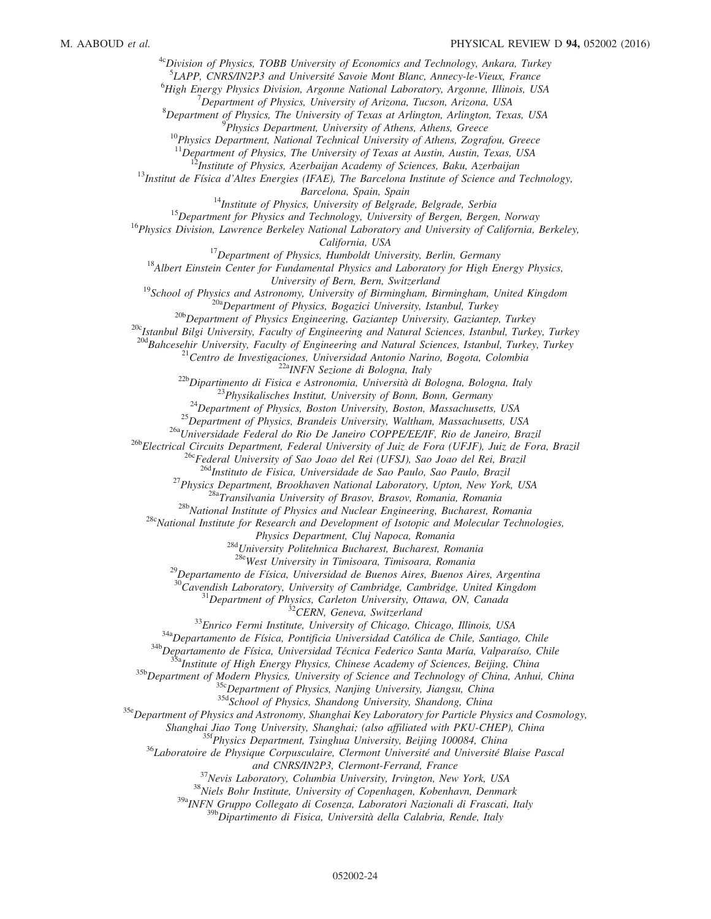$4c$ Division of Physics, TOBB University of Economics and Technology, Ankara, Turkey <sup>5</sup>LAPP, CNRS/IN2P3 and Université Savoie Mont Blanc, Annecy-le-Vieux, France <sup>6</sup>High Energy Physics Division, Argonne National Laboratory, Argonne, Illinois, USA  $^7$ Department of Physics, University of Arizona, Tucson, Arizona, USA  ${}^{8}$ Department of Physics, The University of Texas at Arlington, Arlington, Texas, USA <sup>9</sup>Physics Department, University of Athens, Athens, Greece  $10P$ hysics Department, National Technical University of Athens, Zografou, Greece  $11$ Department of Physics, The University of Texas at Austin, Austin, Texas, USA  $12$ Institute of Physics, Azerbaijan Academy of Sciences, Baku, Azerbaijan  $^{13}$ Institut de Física d'Altes Energies (IFAE), The Barcelona Institute of Science and Technology, Barcelona, Spain, Spain <sup>14</sup>Institute of Physics, University of Belgrade, Belgrade, Serbia <sup>15</sup>Department for Physics and Technology, University of Bergen, Bergen, Norway <sup>16</sup>Physics Division, Lawrence Berkeley National Laboratory and University of California, Berkeley, California, USA  $17$ Department of Physics, Humboldt University, Berlin, Germany <sup>18</sup>Albert Einstein Center for Fundamental Physics and Laboratory for High Energy Physics, University of Bern, Bern, Switzerland <sup>19</sup>School of Physics and Astronomy, University of Birmingham, Birmingham, United Kingdom  $^{20a}$ Department of Physics, Bogazici University, Istanbul, Turkey <sup>20b</sup>Department of Physics Engineering, Gaziantep University, Gaziantep, Turkey <sup>20c</sup>Istanbul Bilgi University, Faculty of Engineering and Natural Sciences, Istanbul, Turkey, Turkey  $^{20d}$ Bahcesehir University, Faculty of Engineering and Natural Sciences, Istanbul, Turkey, Turkey  $2^{1}$ Centro de Investigaciones, Universidad Antonio Narino, Bogota, Colombia <sup>22a</sup>INFN Sezione di Bologna, Italy <sup>22b</sup>Dipartimento di Fisica e Astronomia, Università di Bologna, Bologna, Italy  $^{23}$ Physikalisches Institut, University of Bonn, Bonn, Germany  $^{24}$ Department of Physics, Boston University, Boston, Massachusetts, USA <sup>25</sup>Department of Physics, Brandeis University, Waltham, Massachusetts, USA <sup>26a</sup>Universidade Federal do Rio De Janeiro COPPE/EE/IF, Rio de Janeiro, Brazil <sup>26b</sup>Electrical Circuits Department, Federal University of Juiz de Fora (UFJF), Juiz de Fora, Brazil <sup>26c</sup>Federal University of Sao Joao del Rei (UFSJ), Sao Joao del Rei, Brazil <sup>26d</sup>Instituto de Fisica, Universidade de Sao Paulo, Sao Paulo, Brazil <sup>27</sup>Physics Department, Brookhaven National Laboratory, Upton, New York, USA <sup>28a</sup>Transilvania University of Brasov, Brasov, Romania, Romania <sup>28b</sup>National Institute of Physics and Nuclear Engineering, Bucharest, Romania  $28c$ National Institute for Research and Development of Isotopic and Molecular Technologies, Physics Department, Cluj Napoca, Romania <sup>28d</sup>University Politehnica Bucharest, Bucharest, Romania 28eWest University in Timisoara, Timisoara, Romania  $^{29}$ Departamento de Física, Universidad de Buenos Aires, Buenos Aires, Argentina  $30$ Cavendish Laboratory, University of Cambridge, Cambridge, United Kingdom  $31$ Department of Physics, Carleton University, Ottawa, ON, Canada <sup>32</sup>CERN, Geneva, Switzerland  $33$ Enrico Fermi Institute, University of Chicago, Chicago, Illinois, USA <sup>34a</sup>Departamento de Física, Pontificia Universidad Católica de Chile, Santiago, Chile 34b Departamento de Física, Universidad Técnica Federico Santa María, Valparaíso, Chile <sup>5a</sup>Institute of High Energy Physics, Chinese Academy of Sciences, Beijing, China <sup>35b</sup>Department of Modern Physics, University of Science and Technology of China, Anhui, China <sup>35c</sup>Department of Physics, Nanjing University, Jiangsu, China <sup>35d</sup>School of Physics, Shandong University, Shandong, China <sup>35e</sup>Department of Physics and Astronomy, Shanghai Key Laboratory for Particle Physics and Cosmology, Shanghai Jiao Tong University, Shanghai; (also affiliated with PKU-CHEP), China <sup>35f</sup>Physics Department, Tsinghua University, Beijing 100084, China <sup>36</sup>Laboratoire de Physique Corpusculaire, Clermont Université and Université Blaise Pascal and CNRS/IN2P3, Clermont-Ferrand, France M. AABOUD et al. PHYSICAL REVIEW D 94, 052002 (2016)

<sup>37</sup>Nevis Laboratory, Columbia University, Irvington, New York, USA

<sup>38</sup>Niels Bohr Institute, University of Copenhagen, Kobenhavn, Denmark

<sup>39a</sup>INFN Gruppo Collegato di Cosenza, Laboratori Nazionali di Frascati, Italy

<sup>39b</sup>Dipartimento di Fisica, Università della Calabria, Rende, Italy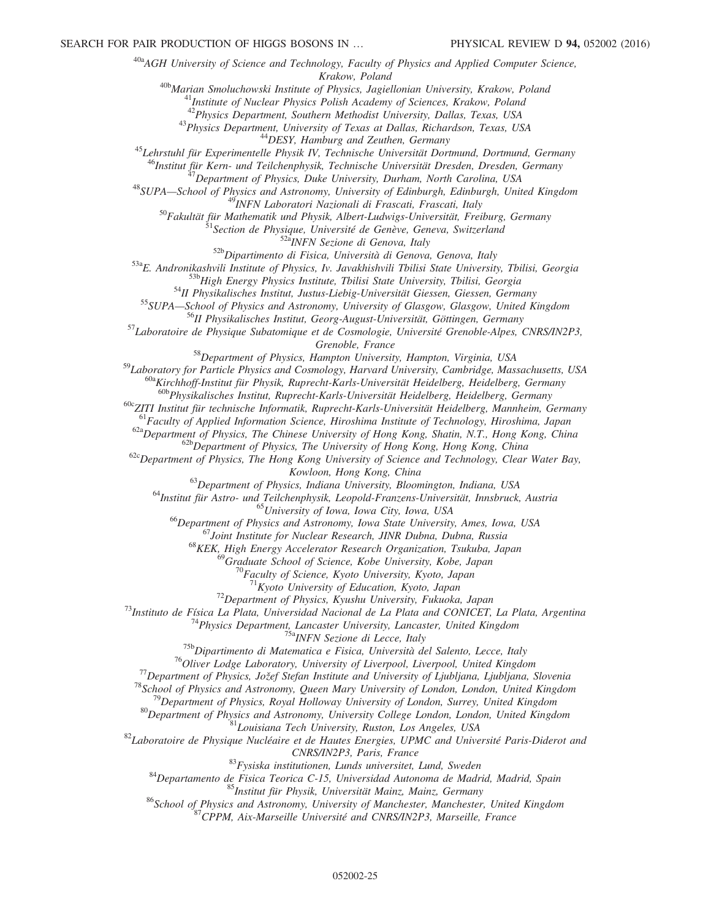$40a$ <sup>40a</sup>AGH University of Science and Technology, Faculty of Physics and Applied Computer Science,

Krakow, Poland

40bMarian Smoluchowski Institute of Physics, Jagiellonian University, Krakow, Poland

<sup>41</sup>Institute of Nuclear Physics Polish Academy of Sciences, Krakow, Poland

<sup>42</sup>Physics Department, Southern Methodist University, Dallas, Texas, USA

<sup>43</sup>Physics Department, University of Texas at Dallas, Richardson, Texas, USA

<sup>44</sup>DESY, Hamburg and Zeuthen, Germany

<sup>45</sup>Lehrstuhl für Experimentelle Physik IV, Technische Universität Dortmund, Dortmund, Germany

<sup>46</sup>Institut für Kern- und Teilchenphysik, Technische Universität Dresden, Dresden, Germany

<sup>47</sup>Department of Physics, Duke University, Durham, North Carolina, USA

<sup>48</sup>SUPA—School of Physics and Astronomy, University of Edinburgh, Edinburgh, United Kingdom

<sup>49</sup>INFN Laboratori Nazionali di Frascati, Frascati, Italy

<sup>50</sup>Fakultät für Mathematik und Physik, Albert-Ludwigs-Universität, Freiburg, Germany

<sup>51</sup>Section de Physique, Université de Genève, Geneva, Switzerland

52<sup>a</sup>INFN Sezione di Genova, Italy

52b Dipartimento di Fisica, Università di Genova, Genova, Italy

53aE. Andronikashvili Institute of Physics, Iv. Javakhishvili Tbilisi State University, Tbilisi, Georgia

<sup>53b</sup>High Energy Physics Institute, Tbilisi State University, Tbilisi, Georgia

 $^{54}$ II Physikalisches Institut, Justus-Liebig-Universität Giessen, Giessen, Germany<br> $^{55}$ SIIPA—School of Physics and Astronomy, University of Glasgow, Glasgow, United Ki

-School of Physics and Astronomy, University of Glasgow, Glasgow, United Kingdom

<sup>56</sup>II Physikalisches Institut, Georg-August-Universität, Göttingen, Germany

 $57$ Laboratoire de Physique Subatomique et de Cosmologie, Université Grenoble-Alpes, CNRS/IN2P3,

Grenoble, France

<sup>58</sup>Department of Physics, Hampton University, Hampton, Virginia, USA

<sup>59</sup>Laboratory for Particle Physics and Cosmology, Harvard University, Cambridge, Massachusetts, USA

 $^{60a}$ Kirchhoff-Institut für Physik, Ruprecht-Karls-Universität Heidelberg, Heidelberg, Germany

<sup>60b</sup>Physikalisches Institut, Ruprecht-Karls-Universität Heidelberg, Heidelberg, Germany

60cZITI Institut für technische Informatik, Ruprecht-Karls-Universität Heidelberg, Mannheim, Germany

 $<sup>61</sup>Faculty$  of Applied Information Science, Hiroshima Institute of Technology, Hiroshima, Japan</sup>

<sup>62a</sup>Department of Physics, The Chinese University of Hong Kong, Shatin, N.T., Hong Kong, China

 $^{62b}$ Department of Physics, The University of Hong Kong, Hong Kong, China

 $62c$ Department of Physics, The Hong Kong University of Science and Technology, Clear Water Bay,

Kowloon, Hong Kong, China

 $^{63}$ Department of Physics, Indiana University, Bloomington, Indiana, USA

<sup>64</sup>Institut für Astro- und Teilchenphysik, Leopold-Franzens-Universität, Innsbruck, Austria

<sup>65</sup>University of Iowa, Iowa City, Iowa, USA

<sup>66</sup>Department of Physics and Astronomy, Iowa State University, Ames, Iowa, USA

 $67$ Joint Institute for Nuclear Research, JINR Dubna, Dubna, Russia

<sup>68</sup>KEK, High Energy Accelerator Research Organization, Tsukuba, Japan

 $^{69}$ Graduate School of Science, Kobe University, Kobe, Japan

 $70F$ aculty of Science, Kyoto University, Kyoto, Japan

 $71$ Kyoto University of Education, Kyoto, Japan

 $12^{72}$ Department of Physics, Kyushu University, Fukuoka, Japan

 $^{73}$ Instituto de Física La Plata, Universidad Nacional de La Plata and CONICET, La Plata, Argentina

<sup>74</sup>Physics Department, Lancaster University, Lancaster, United Kingdom

<sup>75a</sup>INFN Sezione di Lecce, Italy

 $^{75b}$ Dipartimento di Matematica e Fisica, Università del Salento, Lecce, Italy

<sup>76</sup>Oliver Lodge Laboratory, University of Liverpool, Liverpool, United Kingdom

 $^{77}$ Department of Physics, Jožef Stefan Institute and University of Ljubljana, Ljubljana, Slovenia

 $78$ School of Physics and Astronomy, Queen Mary University of London, London, United Kingdom

<sup>79</sup>Department of Physics, Royal Holloway University of London, Surrey, United Kingdom

80<br>Department of Physics and Astronomy, University College London, London, United Kingdom

<sup>81</sup>Louisiana Tech University, Ruston, Los Angeles, USA

 $82$ Laboratoire de Physique Nucléaire et de Hautes Energies, UPMC and Université Paris-Diderot and CNRS/IN2P3, Paris, France

 $83$ Fysiska institutionen, Lunds universitet, Lund, Sweden

<sup>84</sup>Departamento de Fisica Teorica C-15, Universidad Autonoma de Madrid, Madrid, Spain

<sup>85</sup>Institut für Physik, Universität Mainz, Mainz, Germany

86 School of Physics and Astronomy, University of Manchester, Manchester, United Kingdom

 $87$ CPPM, Aix-Marseille Université and CNRS/IN2P3, Marseille, France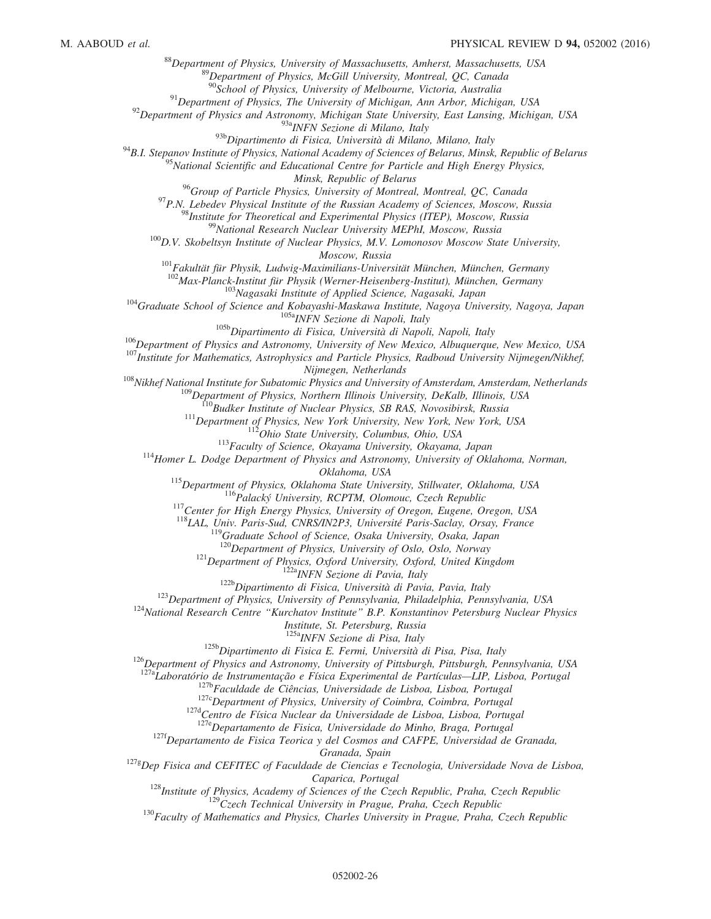88Department of Physics, University of Massachusetts, Amherst, Massachusetts, USA

 $89$ Department of Physics, McGill University, Montreal, QC, Canada

 $90$ School of Physics, University of Melbourne, Victoria, Australia

<sup>91</sup>Department of Physics, The University of Michigan, Ann Arbor, Michigan, USA

 $92$ Department of Physics and Astronomy, Michigan State University, East Lansing, Michigan, USA

93a<sub>INFN</sub> Sezione di Milano, Italy

93bDipartimento di Fisica, Università di Milano, Milano, Italy

 $94$ B.I. Stepanov Institute of Physics, National Academy of Sciences of Belarus, Minsk, Republic of Belarus

 $^{95}$ National Scientific and Educational Centre for Particle and High Energy Physics,

Minsk, Republic of Belarus

<sup>96</sup>Group of Particle Physics, University of Montreal, Montreal, QC, Canada

 $97$ P.N. Lebedev Physical Institute of the Russian Academy of Sciences, Moscow, Russia

 ${}^{8}$ Institute for Theoretical and Experimental Physics (ITEP), Moscow, Russia

<sup>99</sup>National Research Nuclear University MEPhI, Moscow, Russia

 $100$ D.V. Skobeltsyn Institute of Nuclear Physics, M.V. Lomonosov Moscow State University, Moscow, Russia

<sup>101</sup> Fakultät für Physik, Ludwig-Maximilians-Universität München, München, Germany

<sup>102</sup>Max-Planck-Institut für Physik (Werner-Heisenberg-Institut), München, Germany

<sup>103</sup>Nagasaki Institute of Applied Science, Nagasaki, Japan

<sup>104</sup>Graduate School of Science and Kobayashi-Maskawa Institute, Nagoya University, Nagoya, Japan 105a<sub>INFN</sub> Sezione di Napoli, Italy

<sup>105b</sup>Dipartimento di Fisica, Università di Napoli, Napoli, Italy

<sup>106</sup>Department of Physics and Astronomy, University of New Mexico, Albuquerque, New Mexico, USA

 $107$ Institute for Mathematics, Astrophysics and Particle Physics, Radboud University Nijmegen/Nikhef,

Nijmegen, Netherlands

 $^{108}$ Nikhef National Institute for Subatomic Physics and University of Amsterdam, Amsterdam, Netherlands

<sup>109</sup>Department of Physics, Northern Illinois University, DeKalb, Illinois, USA

 $^{10}$ Budker Institute of Nuclear Physics, SB RAS, Novosibirsk, Russia

<sup>111</sup>Department of Physics, New York University, New York, New York, USA

 $112$ Ohio State University, Columbus, Ohio, USA

<sup>113</sup>Faculty of Science, Okayama University, Okayama, Japan

 $114$ Homer L. Dodge Department of Physics and Astronomy, University of Oklahoma, Norman,

Oklahoma, USA

<sup>115</sup>Department of Physics, Oklahoma State University, Stillwater, Oklahoma, USA

116 Palacký University, RCPTM, Olomouc, Czech Republic

<sup>117</sup>Center for High Energy Physics, University of Oregon, Eugene, Oregon, USA

<sup>118</sup>LAL, Univ. Paris-Sud, CNRS/IN2P3, Université Paris-Saclay, Orsay, France

 $119$ Graduate School of Science, Osaka University, Osaka, Japan

 $120$ Department of Physics, University of Oslo, Oslo, Norway

<sup>121</sup>Department of Physics, Oxford University, Oxford, United Kingdom

<sup>122a</sup>INFN Sezione di Pavia, Italy

<sup>122b</sup>Dipartimento di Fisica, Università di Pavia, Pavia, Italy

<sup>123</sup>Department of Physics, University of Pennsylvania, Philadelphia, Pennsylvania, USA

<sup>124</sup>National Research Centre "Kurchatov Institute" B.P. Konstantinov Petersburg Nuclear Physics

Institute, St. Petersburg, Russia

<sup>125a</sup>INFN Sezione di Pisa, Italy

<sup>125b</sup>Dipartimento di Fisica E. Fermi, Università di Pisa, Pisa, Italy

<sup>126</sup>Department of Physics and Astronomy, University of Pittsburgh, Pittsburgh, Pennsylvania, USA

<sup>127a</sup>Laboratório de Instrumentação e Física Experimental de Partículas—LIP, Lisboa, Portugal

 $127b$ Faculdade de Ciências, Universidade de Lisboa, Lisboa, Portugal

<sup>127c</sup>Department of Physics, University of Coimbra, Coimbra, Portugal

<sup>127d</sup>Centro de Física Nuclear da Universidade de Lisboa, Lisboa, Portugal

<sup>127e</sup>Departamento de Fisica, Universidade do Minho, Braga, Portugal

 $127f$ Departamento de Fisica Teorica y del Cosmos and CAFPE, Universidad de Granada,

Granada, Spain

 $1278$ Dep Fisica and CEFITEC of Faculdade de Ciencias e Tecnologia, Universidade Nova de Lisboa, Caparica, Portugal

 $128$ Institute of Physics, Academy of Sciences of the Czech Republic, Praha, Czech Republic

 $129C$ zech Technical University in Prague, Praha, Czech Republic

 $130$ Faculty of Mathematics and Physics, Charles University in Prague, Praha, Czech Republic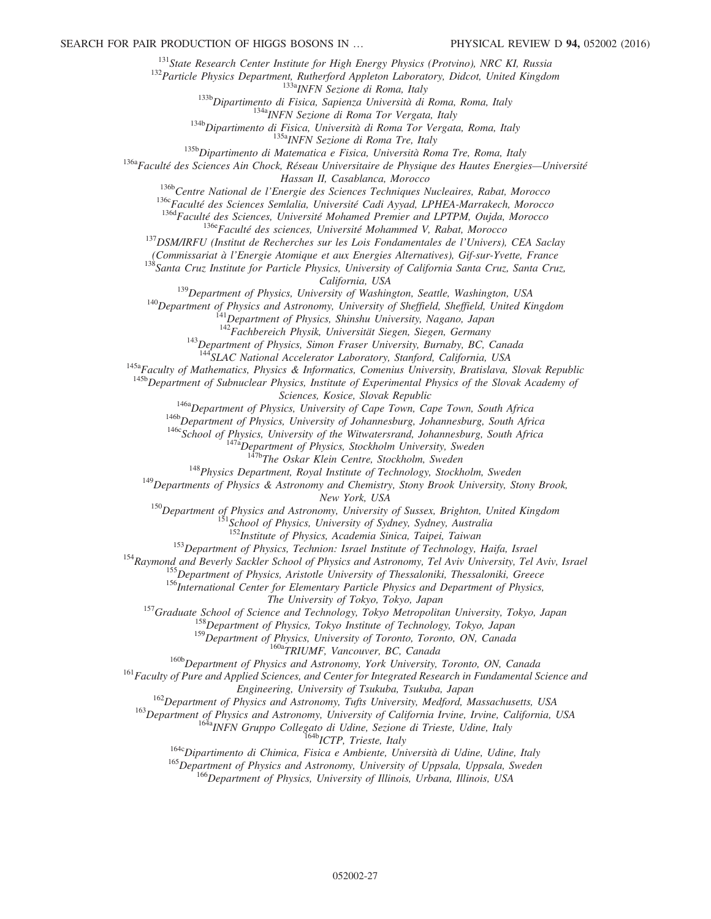<sup>131</sup>State Research Center Institute for High Energy Physics (Protvino), NRC KI, Russia

<sup>132</sup>Particle Physics Department, Rutherford Appleton Laboratory, Didcot, United Kingdom

133a<sub>INFN</sub> Sezione di Roma, Italy

<sup>133b</sup>Dipartimento di Fisica, Sapienza Università di Roma, Roma, Italy

<sup>134a</sup>INFN Sezione di Roma Tor Vergata, Italy

<sup>134b</sup>Dipartimento di Fisica, Università di Roma Tor Vergata, Roma, Italy

<sup>135a</sup>INFN Sezione di Roma Tre, Italy

<sup>135b</sup>Dipartimento di Matematica e Fisica, Università Roma Tre, Roma, Italy

<sup>136a</sup>Faculté des Sciences Ain Chock, Réseau Universitaire de Physique des Hautes Energies—Université Hassan II, Casablanca, Morocco

136b Centre National de l'Energie des Sciences Techniques Nucleaires, Rabat, Morocco

136c Faculté des Sciences Semlalia, Université Cadi Ayyad, LPHEA-Marrakech, Morocco

136d Faculté des Sciences, Université Mohamed Premier and LPTPM, Oujda, Morocco

<sup>136e</sup>Faculté des sciences, Université Mohammed V, Rabat, Morocco

 $137$ DSM/IRFU (Institut de Recherches sur les Lois Fondamentales de l'Univers), CEA Saclay

(Commissariat à l'Energie Atomique et aux Energies Alternatives), Gif-sur-Yvette, France

<span id="page-27-3"></span>138 Santa Cruz Institute for Particle Physics, University of California Santa Cruz, Santa Cruz, California, USA

<sup>139</sup>Department of Physics, University of Washington, Seattle, Washington, USA

<span id="page-27-1"></span><span id="page-27-0"></span><sup>140</sup>Department of Physics and Astronomy, University of Sheffield, Sheffield, United Kingdom

<sup>141</sup>Department of Physics, Shinshu University, Nagano, Japan

 $142$ Fachbereich Physik, Universität Siegen, Siegen, Germany

<sup>143</sup>Department of Physics, Simon Fraser University, Burnaby, BC, Canada

<sup>144</sup>SLAC National Accelerator Laboratory, Stanford, California, USA

<span id="page-27-10"></span><span id="page-27-9"></span><span id="page-27-8"></span><span id="page-27-7"></span><span id="page-27-6"></span><span id="page-27-5"></span><span id="page-27-4"></span><span id="page-27-2"></span> $145a$ Faculty of Mathematics, Physics & Informatics, Comenius University, Bratislava, Slovak Republic

<span id="page-27-12"></span><span id="page-27-11"></span><sup>145b</sup>Department of Subnuclear Physics, Institute of Experimental Physics of the Slovak Academy of Sciences, Kosice, Slovak Republic

<sup>146a</sup>Department of Physics, University of Cape Town, Cape Town, South Africa

<sup>146b</sup>Department of Physics, University of Johannesburg, Johannesburg, South Africa

 $146c$ School of Physics, University of the Witwatersrand, Johannesburg, South Africa

 $147a$ Department of Physics, Stockholm University, Sweden

147bThe Oskar Klein Centre, Stockholm, Sweden

<sup>148</sup>Physics Department, Royal Institute of Technology, Stockholm, Sweden

<span id="page-27-17"></span><span id="page-27-16"></span><span id="page-27-15"></span><span id="page-27-14"></span><span id="page-27-13"></span><sup>149</sup>Departments of Physics & Astronomy and Chemistry, Stony Brook University, Stony Brook,

New York, USA

<sup>150</sup>Department of Physics and Astronomy, University of Sussex, Brighton, United Kingdom

School of Physics, University of Sydney, Sydney, Australia

<sup>152</sup>Institute of Physics, Academia Sinica, Taipei, Taiwan

<sup>153</sup>Department of Physics, Technion: Israel Institute of Technology, Haifa, Israel

<span id="page-27-25"></span><span id="page-27-24"></span><span id="page-27-23"></span><span id="page-27-22"></span><span id="page-27-21"></span><span id="page-27-20"></span><span id="page-27-19"></span><span id="page-27-18"></span><sup>154</sup>Raymond and Beverly Sackler School of Physics and Astronomy, Tel Aviv University, Tel Aviv, Israel

<sup>155</sup>Department of Physics, Aristotle University of Thessaloniki, Thessaloniki, Greece

<sup>156</sup>International Center for Elementary Particle Physics and Department of Physics,

The University of Tokyo, Tokyo, Japan

<sup>157</sup>Graduate School of Science and Technology, Tokyo Metropolitan University, Tokyo, Japan

<sup>158</sup>Department of Physics, Tokyo Institute of Technology, Tokyo, Japan

<sup>159</sup>Department of Physics, University of Toronto, Toronto, ON, Canada

<sup>160a</sup>TRIUMF, Vancouver, BC, Canada

 $160b$ Department of Physics and Astronomy, York University, Toronto, ON, Canada

<span id="page-27-33"></span><span id="page-27-32"></span><span id="page-27-31"></span><span id="page-27-30"></span><span id="page-27-29"></span><span id="page-27-28"></span><span id="page-27-27"></span><span id="page-27-26"></span><sup>161</sup>Faculty of Pure and Applied Sciences, and Center for Integrated Research in Fundamental Science and

Engineering, University of Tsukuba, Tsukuba, Japan

<sup>162</sup>Department of Physics and Astronomy, Tufts University, Medford, Massachusetts, USA

<span id="page-27-39"></span><span id="page-27-38"></span><span id="page-27-37"></span><span id="page-27-36"></span><span id="page-27-35"></span><span id="page-27-34"></span><sup>163</sup>Department of Physics and Astronomy, University of California Irvine, Irvine, California, USA

<sup>164a</sup>INFN Gruppo Collegato di Udine, Sezione di Trieste, Udine, Italy <sup>164b</sup>ICTP, Trieste, Italy

<sup>164c</sup>Dipartimento di Chimica, Fisica e Ambiente, Università di Udine, Udine, Italy

<sup>165</sup>Department of Physics and Astronomy, University of Uppsala, Uppsala, Sweden

166 Department of Physics, University of Illinois, Urbana, Illinois, USA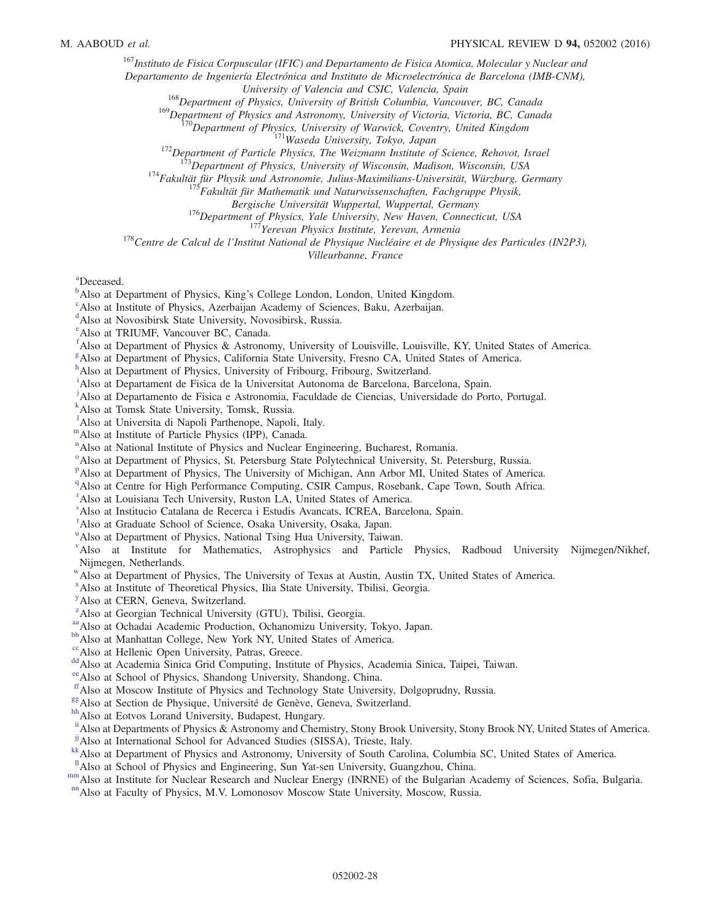<span id="page-28-1"></span><span id="page-28-0"></span><sup>167</sup>Instituto de Fisica Corpuscular (IFIC) and Departamento de Fisica Atomica, Molecular y Nuclear and

<span id="page-28-6"></span><span id="page-28-5"></span><span id="page-28-4"></span><span id="page-28-3"></span><span id="page-28-2"></span>Departamento de Ingeniería Electrónica and Instituto de Microelectrónica de Barcelona (IMB-CNM),

University of Valencia and CSIC, Valencia, Spain

 $168$ Department of Physics, University of British Columbia, Vancouver, BC, Canada

<sup>169</sup>Department of Physics and Astronomy, University of Victoria, Victoria, BC, Canada

<sup>170</sup>Department of Physics, University of Warwick, Coventry, United Kingdom

<sup>171</sup>Waseda University, Tokyo, Japan

 $172$ Department of Particle Physics, The Weizmann Institute of Science, Rehovot, Israel

<sup>73</sup>Department of Physics, University of Wisconsin, Madison, Wisconsin, USA

<sup>174</sup>Fakultät für Physik und Astronomie, Julius-Maximilians-Universität, Würzburg, Germany

 $175$ Fakultät für Mathematik und Naturwissenschaften, Fachgruppe Physik,

Bergische Universität Wuppertal, Wuppertal, Germany

<sup>176</sup>Department of Physics, Yale University, New Haven, Connecticut, USA

<sup>177</sup>Yerevan Physics Institute, Yerevan, Armenia

 $1^{178}$ Centre de Calcul de l'Institut National de Physique Nucléaire et de Physique des Particules (IN2P3),

Villeurbanne, France

[a](#page-15-0)Deceased.

<sup>[b](#page-15-1)</sup>Also at Department of Physics, King's College London, London, United Kingdom.

<sup>[c](#page-15-2)</sup>Also at Institute of Physics, Azerbaijan Academy of Sciences, Baku, Azerbaijan.

- [d](#page-15-3)Also at Novosibirsk State University, Novosibirsk, Russia.
- [e](#page-15-4)Also at TRIUMF, Vancouver BC, Canada.
- [f](#page-15-5)Also at Department of Physics & Astronomy, University of Louisville, Louisville, KY, United States of America.
- ${}^{\text{g}}$  ${}^{\text{g}}$  ${}^{\text{g}}$ Also at Department of Physics, California State University, Fresno CA, United States of America.
- [h](#page-15-6)<sup>h</sup>Also at Department of Physics, University of Fribourg, Fribourg, Switzerland.
- [i](#page-16-0)Also at Departament de Fisica de la Universitat Autonoma de Barcelona, Barcelona, Spain.
- <sup>[j](#page-16-1)</sup>Also at Departamento de Fisica e Astronomia, Faculdade de Ciencias, Universidade do Porto, Portugal.

[k](#page-16-2)Also at Tomsk State University, Tomsk, Russia.

- <sup>1</sup>A[l](#page-16-3)so at Universita di Napoli Parthenope, Napoli, Italy.
- [m](#page-16-4)Also at Institute of Particle Physics (IPP), Canada.
- <sup>[n](#page-16-5)</sup>Also at National Institute of Physics and Nuclear Engineering, Bucharest, Romania.
- <sup>[o](#page-17-0)</sup>Also at Department of Physics, St. Petersburg State Polytechnical University, St. Petersburg, Russia.
- <su[p](#page-17-1)>p</sup>Also at Department of Physics, The University of Michigan, Ann Arbor MI, United States of America.
- <sup>[q](#page-17-2)</sup>Also at Centre for High Performance Computing, CSIR Campus, Rosebank, Cape Town, South Africa.
- <sup>[r](#page-17-3)</sup>Also at Louisiana Tech University, Ruston LA, United States of America.
- [s](#page-17-4)Also at Institucio Catalana de Recerca i Estudis Avancats, ICREA, Barcelona, Spain.
- [t](#page-17-5)Also at Graduate School of Science, Osaka University, Osaka, Japan.
- <s[u](#page-18-0)p>u</sup>Also at Department of Physics, National Tsing Hua University, Taiwan.

[v](#page-18-1)Also at Institute for Mathematics, Astrophysics and Particle Physics, Radboud University Nijmegen/Nikhef, Nijmegen, Netherlands.

[w](#page-18-1)Also at Department of Physics, The University of Texas at Austin, Austin TX, United States of America.

[x](#page-18-2)Also at Institute of Theoretical Physics, Ilia State University, Tbilisi, Georgia.

- <sup>[y](#page-18-3)</sup>Also at CERN, Geneva, Switzerland.
- <sup>[z](#page-18-4)</sup>Also at Georgian Technical University (GTU), Tbilisi, Georgia.
- [aa](#page-18-5) Also at Ochadai Academic Production, Ochanomizu University, Tokyo, Japan.
- [bb](#page-18-6) Also at Manhattan College, New York NY, United States of America.
- <sup>[cc](#page-18-7)</sup>Also at Hellenic Open University, Patras, Greece.
- [dd](#page-19-0) Also at Academia Sinica Grid Computing, Institute of Physics, Academia Sinica, Taipei, Taiwan.
- [ee](#page-19-1)Also at School of Physics, Shandong University, Shandong, China.
- [ff](#page-19-2)Also at Moscow Institute of Physics and Technology State University, Dolgoprudny, Russia.
- <sup>[gg](#page-19-3)</sup>Also at Section de Physique, Université de Genève, Geneva, Switzerland.
- [hh](#page-20-0) Also at Eotvos Lorand University, Budapest, Hungary.
- [ii](#page-20-1)Also at Departments of Physics & Astronomy and Chemistry, Stony Brook University, Stony Brook NY, United States of America. <sup>[jj](#page-20-2)</sup>Also at International School for Advanced Studies (SISSA), Trieste, Italy.
- 
- [kk](#page-20-3) Also at Department of Physics and Astronomy, University of South Carolina, Columbia SC, United States of America.
- <sup>[ll](#page-21-0)</sup>Also at School of Physics and Engineering, Sun Yat-sen University, Guangzhou, China.
- [mm](#page-21-0) Also at Institute for Nuclear Research and Nuclear Energy (INRNE) of the Bulgarian Academy of Sciences, Sofia, Bulgaria.
- [nn](#page-21-1) Also at Faculty of Physics, M.V. Lomonosov Moscow State University, Moscow, Russia.